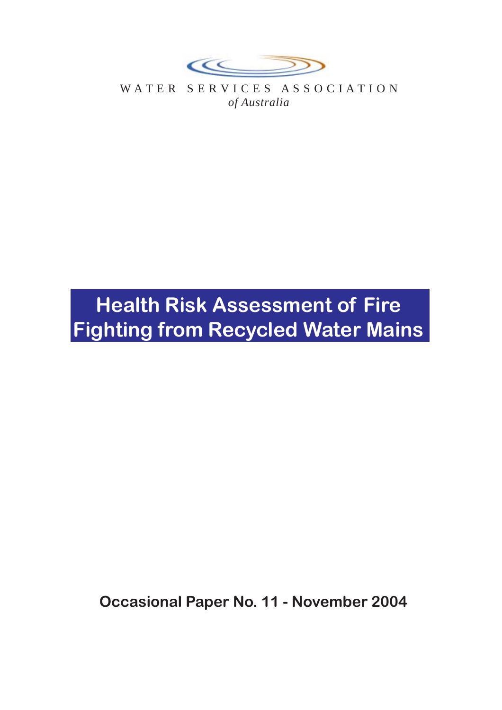

WATER SERVICES ASSOCIATION *of Australia*

# **Health Risk Assessment of Fire Fighting from Recycled Water Mains**

**Occasional Paper No. 11 - November 2004**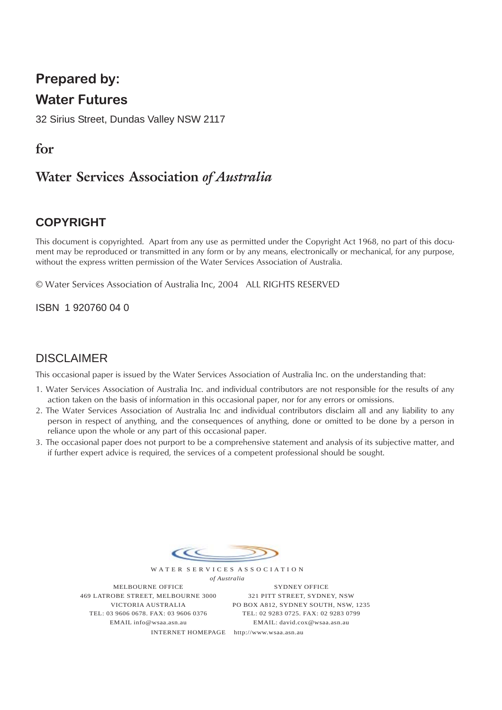# **Prepared by:**

## **Water Futures**

32 Sirius Street, Dundas Valley NSW 2117

## **for**

# **Water Services Association** *of Australia*

## **COPYRIGHT**

This document is copyrighted. Apart from any use as permitted under the Copyright Act 1968, no part of this document may be reproduced or transmitted in any form or by any means, electronically or mechanical, for any purpose, without the express written permission of the Water Services Association of Australia.

© Water Services Association of Australia Inc, 2004 ALL RIGHTS RESERVED

ISBN 1 920760 04 0

## DISCLAIMER

This occasional paper is issued by the Water Services Association of Australia Inc. on the understanding that:

- 1. Water Services Association of Australia Inc. and individual contributors are not responsible for the results of any action taken on the basis of information in this occasional paper, nor for any errors or omissions.
- 2. The Water Services Association of Australia Inc and individual contributors disclaim all and any liability to any person in respect of anything, and the consequences of anything, done or omitted to be done by a person in reliance upon the whole or any part of this occasional paper.
- 3. The occasional paper does not purport to be a comprehensive statement and analysis of its subjective matter, and if further expert advice is required, the services of a competent professional should be sought.



W A T E R S E R V I C E S A S S O C I A T I O N *of Australia*

MELBOURNE OFFICE 469 LATROBE STREET, MELBOURNE 3000 VICTORIA AUSTRALIA TEL: 03 9606 0678. FAX: 03 9606 0376 EMAIL info@wsaa.asn.au

SYDNEY OFFICE 321 PITT STREET, SYDNEY, NSW PO BOX A812, SYDNEY SOUTH, NSW, 1235 TEL: 02 9283 0725. FAX: 02 9283 0799 EMAIL: david.cox@wsaa.asn.au

INTERNET HOMEPAGE http://www.wsaa.asn.au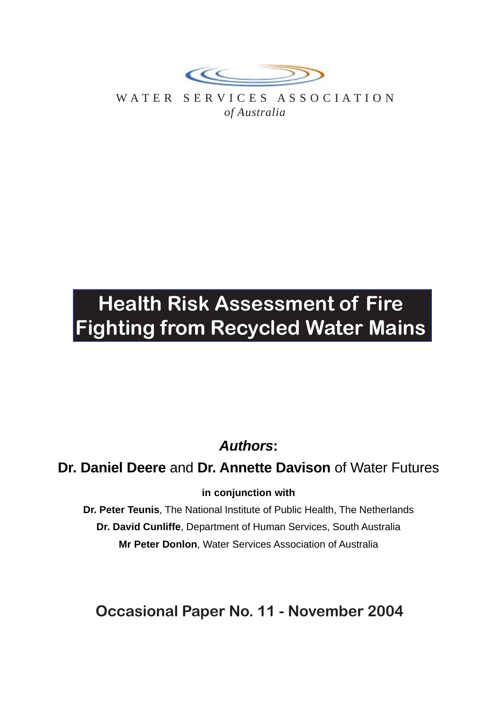

WATER SERVICES ASSOCIATION *of Australia*

# **Health Risk Assessment of Fire Fighting from Recycled Water Mains**

# *Authors***:**

**Dr. Daniel Deere** and **Dr. Annette Davison** of Water Futures

## **in conjunction with**

**Dr. Peter Teunis**, The National Institute of Public Health, The Netherlands **Dr. David Cunliffe**, Department of Human Services, South Australia **Mr Peter Donlon**, Water Services Association of Australia

**Occasional Paper No. 11 - November 2004**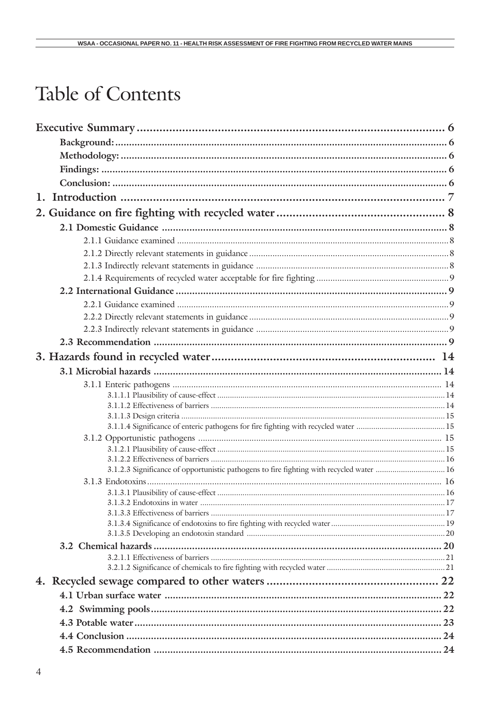# Table of Contents

| 3.1.2.3 Significance of opportunistic pathogens to fire fighting with recycled water  16 |  |
|------------------------------------------------------------------------------------------|--|
|                                                                                          |  |
|                                                                                          |  |
|                                                                                          |  |
|                                                                                          |  |
|                                                                                          |  |
|                                                                                          |  |
|                                                                                          |  |
|                                                                                          |  |
|                                                                                          |  |
|                                                                                          |  |
|                                                                                          |  |
|                                                                                          |  |
|                                                                                          |  |
|                                                                                          |  |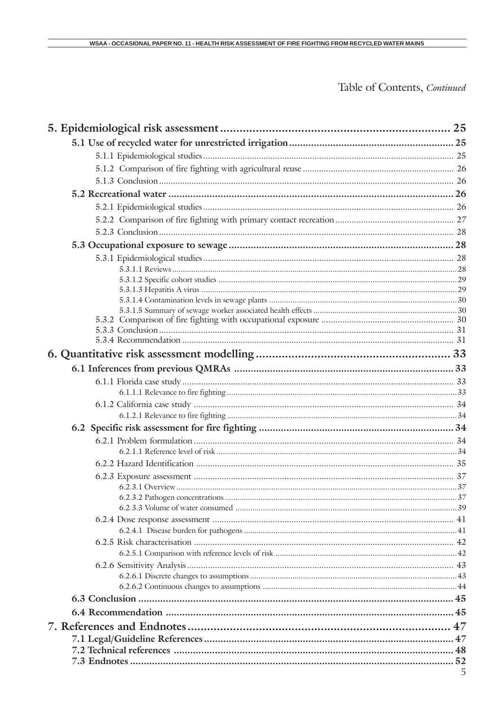# Table of Contents, Continued

| 5 |
|---|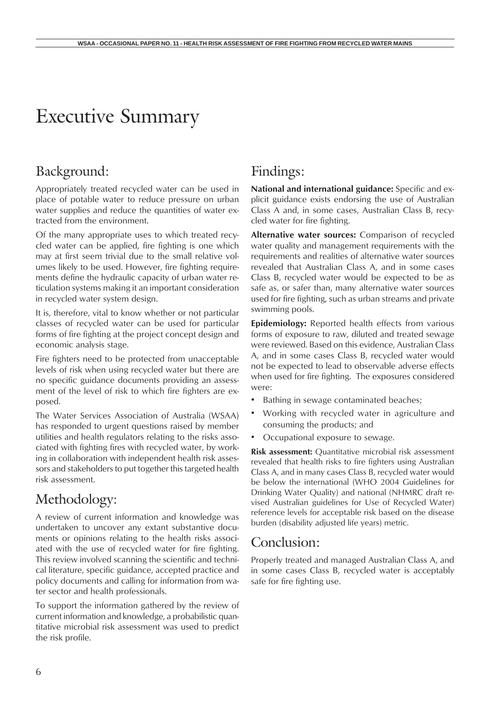# Executive Summary

## Background:

Appropriately treated recycled water can be used in place of potable water to reduce pressure on urban water supplies and reduce the quantities of water extracted from the environment.

Of the many appropriate uses to which treated recycled water can be applied, fire fighting is one which may at first seem trivial due to the small relative volumes likely to be used. However, fire fighting requirements define the hydraulic capacity of urban water reticulation systems making it an important consideration in recycled water system design.

It is, therefore, vital to know whether or not particular classes of recycled water can be used for particular forms of fire fighting at the project concept design and economic analysis stage.

Fire fighters need to be protected from unacceptable levels of risk when using recycled water but there are no specific guidance documents providing an assessment of the level of risk to which fire fighters are exposed.

The Water Services Association of Australia (WSAA) has responded to urgent questions raised by member utilities and health regulators relating to the risks associated with fighting fires with recycled water, by working in collaboration with independent health risk assessors and stakeholders to put together this targeted health risk assessment.

# Methodology:

A review of current information and knowledge was undertaken to uncover any extant substantive documents or opinions relating to the health risks associated with the use of recycled water for fire fighting. This review involved scanning the scientific and technical literature, specific guidance, accepted practice and policy documents and calling for information from water sector and health professionals.

To support the information gathered by the review of current information and knowledge, a probabilistic quantitative microbial risk assessment was used to predict the risk profile.

## Findings:

**National and international guidance:** Specific and explicit guidance exists endorsing the use of Australian Class A and, in some cases, Australian Class B, recycled water for fire fighting.

**Alternative water sources:** Comparison of recycled water quality and management requirements with the requirements and realities of alternative water sources revealed that Australian Class A, and in some cases Class B, recycled water would be expected to be as safe as, or safer than, many alternative water sources used for fire fighting, such as urban streams and private swimming pools.

**Epidemiology:** Reported health effects from various forms of exposure to raw, diluted and treated sewage were reviewed. Based on this evidence, Australian Class A, and in some cases Class B, recycled water would not be expected to lead to observable adverse effects when used for fire fighting. The exposures considered were:

- Bathing in sewage contaminated beaches;
- Working with recycled water in agriculture and consuming the products; and
- Occupational exposure to sewage.

**Risk assessment:** Quantitative microbial risk assessment revealed that health risks to fire fighters using Australian Class A, and in many cases Class B, recycled water would be below the international (WHO 2004 Guidelines for Drinking Water Quality) and national (NHMRC draft revised Australian guidelines for Use of Recycled Water) reference levels for acceptable risk based on the disease burden (disability adjusted life years) metric.

## Conclusion:

Properly treated and managed Australian Class A, and in some cases Class B, recycled water is acceptably safe for fire fighting use.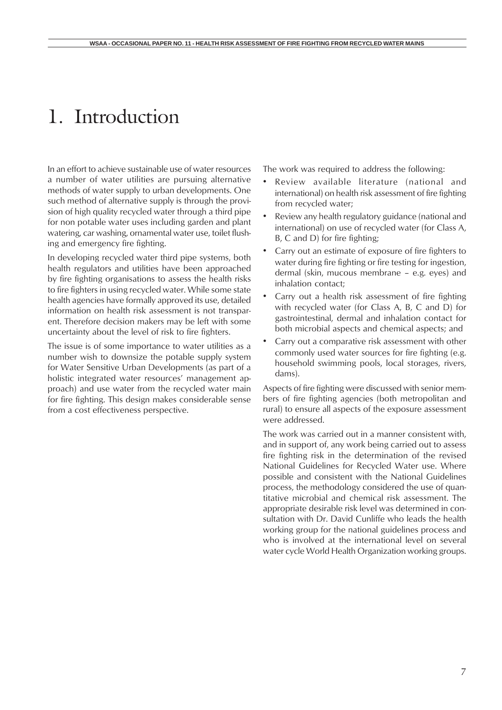# 1. Introduction

In an effort to achieve sustainable use of water resources a number of water utilities are pursuing alternative methods of water supply to urban developments. One such method of alternative supply is through the provision of high quality recycled water through a third pipe for non potable water uses including garden and plant watering, car washing, ornamental water use, toilet flushing and emergency fire fighting.

In developing recycled water third pipe systems, both health regulators and utilities have been approached by fire fighting organisations to assess the health risks to fire fighters in using recycled water. While some state health agencies have formally approved its use, detailed information on health risk assessment is not transparent. Therefore decision makers may be left with some uncertainty about the level of risk to fire fighters.

The issue is of some importance to water utilities as a number wish to downsize the potable supply system for Water Sensitive Urban Developments (as part of a holistic integrated water resources' management approach) and use water from the recycled water main for fire fighting. This design makes considerable sense from a cost effectiveness perspective.

The work was required to address the following:

- Review available literature (national and international) on health risk assessment of fire fighting from recycled water;
- Review any health regulatory guidance (national and international) on use of recycled water (for Class A, B, C and D) for fire fighting;
- Carry out an estimate of exposure of fire fighters to water during fire fighting or fire testing for ingestion, dermal (skin, mucous membrane – e.g. eyes) and inhalation contact;
- Carry out a health risk assessment of fire fighting with recycled water (for Class A, B, C and D) for gastrointestinal, dermal and inhalation contact for both microbial aspects and chemical aspects; and
- Carry out a comparative risk assessment with other commonly used water sources for fire fighting (e.g. household swimming pools, local storages, rivers, dams).

Aspects of fire fighting were discussed with senior members of fire fighting agencies (both metropolitan and rural) to ensure all aspects of the exposure assessment were addressed.

The work was carried out in a manner consistent with, and in support of, any work being carried out to assess fire fighting risk in the determination of the revised National Guidelines for Recycled Water use. Where possible and consistent with the National Guidelines process, the methodology considered the use of quantitative microbial and chemical risk assessment. The appropriate desirable risk level was determined in consultation with Dr. David Cunliffe who leads the health working group for the national guidelines process and who is involved at the international level on several water cycle World Health Organization working groups.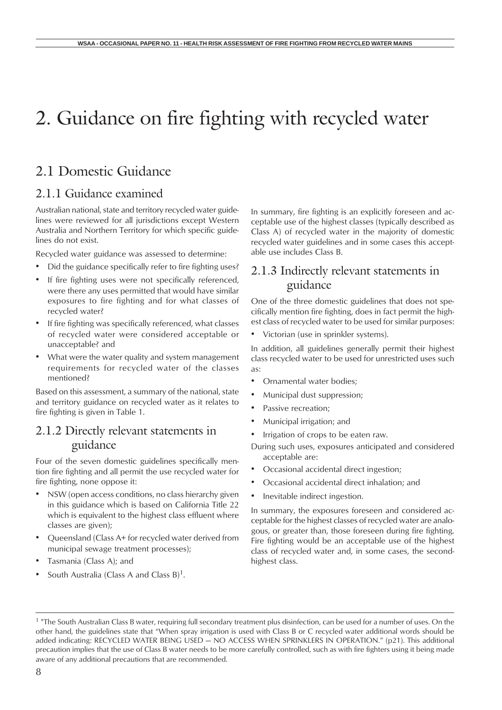## 2.1 Domestic Guidance

### 2.1.1 Guidance examined

Australian national, state and territory recycled water guidelines were reviewed for all jurisdictions except Western Australia and Northern Territory for which specific guidelines do not exist.

Recycled water guidance was assessed to determine:

- Did the guidance specifically refer to fire fighting uses?
- If fire fighting uses were not specifically referenced, were there any uses permitted that would have similar exposures to fire fighting and for what classes of recycled water?
- If fire fighting was specifically referenced, what classes of recycled water were considered acceptable or unacceptable? and
- What were the water quality and system management requirements for recycled water of the classes mentioned?

Based on this assessment, a summary of the national, state and territory guidance on recycled water as it relates to fire fighting is given in Table 1.

### 2.1.2 Directly relevant statements in guidance

Four of the seven domestic guidelines specifically mention fire fighting and all permit the use recycled water for fire fighting, none oppose it:

- NSW (open access conditions, no class hierarchy given in this guidance which is based on California Title 22 which is equivalent to the highest class effluent where classes are given);
- Queensland (Class A+ for recycled water derived from municipal sewage treatment processes);
- Tasmania (Class A); and
- South Australia (Class A and Class  $B$ )<sup>1</sup>.

In summary, fire fighting is an explicitly foreseen and acceptable use of the highest classes (typically described as Class A) of recycled water in the majority of domestic recycled water guidelines and in some cases this acceptable use includes Class B.

## 2.1.3 Indirectly relevant statements in guidance

One of the three domestic guidelines that does not specifically mention fire fighting, does in fact permit the highest class of recycled water to be used for similar purposes:

• Victorian (use in sprinkler systems).

In addition, all guidelines generally permit their highest class recycled water to be used for unrestricted uses such as:

- Ornamental water bodies;
- Municipal dust suppression;
- Passive recreation;
- Municipal irrigation; and
- Irrigation of crops to be eaten raw.

During such uses, exposures anticipated and considered acceptable are:

- Occasional accidental direct ingestion;
- Occasional accidental direct inhalation; and
- Inevitable indirect ingestion.

In summary, the exposures foreseen and considered acceptable for the highest classes of recycled water are analogous, or greater than, those foreseen during fire fighting. Fire fighting would be an acceptable use of the highest class of recycled water and, in some cases, the secondhighest class.

<sup>&</sup>lt;sup>1</sup> \*The South Australian Class B water, requiring full secondary treatment plus disinfection, can be used for a number of uses. On the other hand, the guidelines state that "When spray irrigation is used with Class B or C recycled water additional words should be added indicating: RECYCLED WATER BEING USED — NO ACCESS WHEN SPRINKLERS IN OPERATION." (p21). This additional precaution implies that the use of Class B water needs to be more carefully controlled, such as with fire fighters using it being made aware of any additional precautions that are recommended.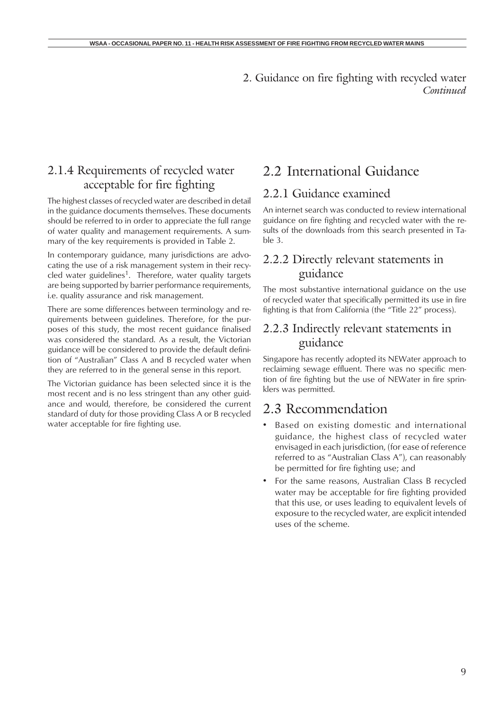## 2.1.4 Requirements of recycled water acceptable for fire fighting

The highest classes of recycled water are described in detail in the guidance documents themselves. These documents should be referred to in order to appreciate the full range of water quality and management requirements. A summary of the key requirements is provided in Table 2.

In contemporary guidance, many jurisdictions are advocating the use of a risk management system in their recycled water guidelines<sup>1</sup>. Therefore, water quality targets are being supported by barrier performance requirements, i.e. quality assurance and risk management.

There are some differences between terminology and requirements between guidelines. Therefore, for the purposes of this study, the most recent guidance finalised was considered the standard. As a result, the Victorian guidance will be considered to provide the default definition of "Australian" Class A and B recycled water when they are referred to in the general sense in this report.

The Victorian guidance has been selected since it is the most recent and is no less stringent than any other guidance and would, therefore, be considered the current standard of duty for those providing Class A or B recycled water acceptable for fire fighting use.

## 2.2 International Guidance

### 2.2.1 Guidance examined

An internet search was conducted to review international guidance on fire fighting and recycled water with the results of the downloads from this search presented in Table 3.

## 2.2.2 Directly relevant statements in guidance

The most substantive international guidance on the use of recycled water that specifically permitted its use in fire fighting is that from California (the "Title 22" process).

## 2.2.3 Indirectly relevant statements in guidance

Singapore has recently adopted its NEWater approach to reclaiming sewage effluent. There was no specific mention of fire fighting but the use of NEWater in fire sprinklers was permitted.

## 2.3 Recommendation

- Based on existing domestic and international guidance, the highest class of recycled water envisaged in each jurisdiction, (for ease of reference referred to as "Australian Class A"), can reasonably be permitted for fire fighting use; and
- For the same reasons, Australian Class B recycled water may be acceptable for fire fighting provided that this use, or uses leading to equivalent levels of exposure to the recycled water, are explicit intended uses of the scheme.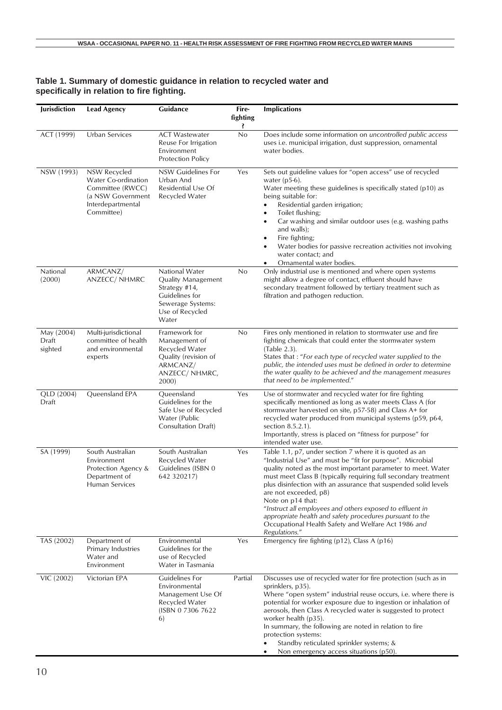| Jurisdiction                   | <b>Lead Agency</b>                                                                                              | Guidance                                                                                                                 | Fire-<br>fighting<br>Ŝ. | <b>Implications</b>                                                                                                                                                                                                                                                                                                                                                                                                                                                                                                                                                       |
|--------------------------------|-----------------------------------------------------------------------------------------------------------------|--------------------------------------------------------------------------------------------------------------------------|-------------------------|---------------------------------------------------------------------------------------------------------------------------------------------------------------------------------------------------------------------------------------------------------------------------------------------------------------------------------------------------------------------------------------------------------------------------------------------------------------------------------------------------------------------------------------------------------------------------|
| ACT (1999)                     | Urban Services                                                                                                  | <b>ACT Wastewater</b><br>Reuse For Irrigation<br>Environment<br><b>Protection Policy</b>                                 | No                      | Does include some information on uncontrolled public access<br>uses i.e. municipal irrigation, dust suppression, ornamental<br>water bodies.                                                                                                                                                                                                                                                                                                                                                                                                                              |
| NSW (1993)                     | NSW Recycled<br>Water Co-ordination<br>Committee (RWCC)<br>(a NSW Government<br>Interdepartmental<br>Committee) | NSW Guidelines For<br>Urban And<br>Residential Use Of<br>Recycled Water                                                  | Yes                     | Sets out guideline values for "open access" use of recycled<br>water $(p5-6)$ .<br>Water meeting these guidelines is specifically stated (p10) as<br>being suitable for:<br>Residential garden irrigation;<br>$\bullet$<br>Toilet flushing;<br>$\bullet$<br>Car washing and similar outdoor uses (e.g. washing paths<br>٠<br>and walls);<br>Fire fighting;<br>$\bullet$<br>Water bodies for passive recreation activities not involving<br>water contact; and<br>Ornamental water bodies.                                                                                 |
| National<br>(2000)             | ARMCANZ/<br>ANZECC/ NHMRC                                                                                       | National Water<br>Quality Management<br>Strategy #14,<br>Guidelines for<br>Sewerage Systems:<br>Use of Recycled<br>Water | No                      | Only industrial use is mentioned and where open systems<br>might allow a degree of contact, effluent should have<br>secondary treatment followed by tertiary treatment such as<br>filtration and pathogen reduction.                                                                                                                                                                                                                                                                                                                                                      |
| May (2004)<br>Draft<br>sighted | Multi-jurisdictional<br>committee of health<br>and environmental<br>experts                                     | Framework for<br>Management of<br>Recycled Water<br>Quality (revision of<br>ARMCANZ/<br>ANZECC/ NHMRC,<br>2000)          | No                      | Fires only mentioned in relation to stormwater use and fire<br>fighting chemicals that could enter the stormwater system<br>(Table 2.3).<br>States that : "For each type of recycled water supplied to the<br>public, the intended uses must be defined in order to determine<br>the water quality to be achieved and the management measures<br>that need to be implemented."                                                                                                                                                                                            |
| QLD (2004)<br>Draft            | Queensland EPA                                                                                                  | Queensland<br>Guidelines for the<br>Safe Use of Recycled<br>Water (Public<br><b>Consultation Draft)</b>                  | Yes                     | Use of stormwater and recycled water for fire fighting<br>specifically mentioned as long as water meets Class A (for<br>stormwater harvested on site, p57-58) and Class A+ for<br>recycled water produced from municipal systems (p59, p64,<br>section 8.5.2.1).<br>Importantly, stress is placed on "fitness for purpose" for<br>intended water use.                                                                                                                                                                                                                     |
| SA (1999)                      | South Australian<br>Environment<br>Protection Agency &<br>Department of<br>Human Services                       | South Australian<br>Recycled Water<br>Guidelines (ISBN 0<br>642 320217)                                                  | Yes                     | Table 1.1, p7, under section 7 where it is quoted as an<br>"Industrial Use" and must be "fit for purpose". Microbial<br>quality noted as the most important parameter to meet. Water<br>must meet Class B (typically requiring full secondary treatment<br>plus disinfection with an assurance that suspended solid levels<br>are not exceeded, p8)<br>Note on p14 that:<br>"Instruct all employees and others exposed to effluent in<br>appropriate health and safety procedures pursuant to the<br>Occupational Health Safety and Welfare Act 1986 and<br>Regulations." |
| TAS (2002)                     | Department of<br>Primary Industries<br>Water and<br>Environment                                                 | Environmental<br>Guidelines for the<br>use of Recycled<br>Water in Tasmania                                              | Yes                     | Emergency fire fighting $(p12)$ , Class A $(p16)$                                                                                                                                                                                                                                                                                                                                                                                                                                                                                                                         |
| VIC (2002)                     | Victorian EPA                                                                                                   | Guidelines For<br>Environmental<br>Management Use Of<br>Recycled Water<br>(ISBN 0 7306 7622)<br>6)                       | Partial                 | Discusses use of recycled water for fire protection (such as in<br>sprinklers, p35).<br>Where "open system" industrial reuse occurs, i.e. where there is<br>potential for worker exposure due to ingestion or inhalation of<br>aerosols, then Class A recycled water is suggested to protect<br>worker health (p35).<br>In summary, the following are noted in relation to fire<br>protection systems:<br>Standby reticulated sprinkler systems; &<br>Non emergency access situations (p50).                                                                              |

#### **Table 1. Summary of domestic guidance in relation to recycled water and specifically in relation to fire fighting.**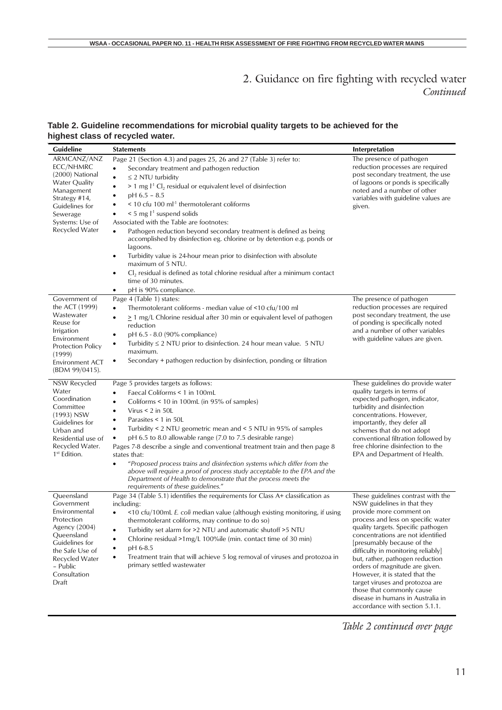#### **Table 2. Guideline recommendations for microbial quality targets to be achieved for the highest class of recycled water.**

| Guideline                                                                                                                                                                          | <b>Statements</b>                                                                                                                                                                                                                                                                                                                                                                                                                                                                                                                                                                                                                                                                                                                                                                                                                                            | Interpretation                                                                                                                                                                                                                                                                                                                                                                                                                                                                                                                  |
|------------------------------------------------------------------------------------------------------------------------------------------------------------------------------------|--------------------------------------------------------------------------------------------------------------------------------------------------------------------------------------------------------------------------------------------------------------------------------------------------------------------------------------------------------------------------------------------------------------------------------------------------------------------------------------------------------------------------------------------------------------------------------------------------------------------------------------------------------------------------------------------------------------------------------------------------------------------------------------------------------------------------------------------------------------|---------------------------------------------------------------------------------------------------------------------------------------------------------------------------------------------------------------------------------------------------------------------------------------------------------------------------------------------------------------------------------------------------------------------------------------------------------------------------------------------------------------------------------|
| ARMCANZ/ANZ<br>ECC/NHMRC<br>(2000) National<br><b>Water Quality</b><br>Management<br>Strategy #14,<br>Guidelines for<br>Sewerage<br>Systems: Use of<br>Recycled Water              | Page 21 (Section 4.3) and pages 25, 26 and 27 (Table 3) refer to:<br>Secondary treatment and pathogen reduction<br>$\bullet$<br>$\leq$ 2 NTU turbidity<br>$\bullet$<br>$> 1$ mg $I-1$ Cl <sub>2</sub> residual or equivalent level of disinfection<br>$\bullet$<br>$pH$ 6.5 - 8.5<br>< 10 cfu 100 ml <sup>-1</sup> thermotolerant coliforms<br>$\le$ 5 mg $l^{-1}$ suspend solids<br>Associated with the Table are footnotes:<br>Pathogen reduction beyond secondary treatment is defined as being<br>$\bullet$<br>accomplished by disinfection eg. chlorine or by detention e.g. ponds or<br>lagoons.<br>Turbidity value is 24-hour mean prior to disinfection with absolute<br>$\bullet$<br>maximum of 5 NTU.<br>$Cl2$ residual is defined as total chlorine residual after a minimum contact<br>$\bullet$<br>time of 30 minutes.<br>pH is 90% compliance. | The presence of pathogen<br>reduction processes are required<br>post secondary treatment, the use<br>of lagoons or ponds is specifically<br>noted and a number of other<br>variables with guideline values are<br>given.                                                                                                                                                                                                                                                                                                        |
| Government of<br>the ACT (1999)<br>Wastewater<br>Reuse for<br>Irrigation<br>Environment<br><b>Protection Policy</b><br>(1999)<br><b>Environment ACT</b><br>(BDM 99/0415).          | Page 4 (Table 1) states:<br>Thermotolerant coliforms - median value of <10 cfu/100 ml<br>$\bullet$<br>$\geq$ 1 mg/L Chlorine residual after 30 min or equivalent level of pathogen<br>$\bullet$<br>reduction<br>pH 6.5 - 8.0 (90% compliance)<br>٠<br>Turbidity $\leq$ 2 NTU prior to disinfection. 24 hour mean value. 5 NTU<br>$\bullet$<br>maximum.<br>Secondary + pathogen reduction by disinfection, ponding or filtration<br>٠                                                                                                                                                                                                                                                                                                                                                                                                                         | The presence of pathogen<br>reduction processes are required<br>post secondary treatment, the use<br>of ponding is specifically noted<br>and a number of other variables<br>with guideline values are given.                                                                                                                                                                                                                                                                                                                    |
| NSW Recycled<br>Water<br>Coordination<br>Committee<br>(1993) NSW<br>Guidelines for<br>Urban and<br>Residential use of<br>Recycled Water.<br>1 <sup>st</sup> Edition.               | Page 5 provides targets as follows:<br>Faecal Coliforms < 1 in 100mL<br>Coliforms < 10 in 100mL (in 95% of samples)<br>Virus $< 2$ in 50L<br>$\bullet$<br>Parasites < 1 in 50L<br>Turbidity < $2$ NTU geometric mean and < $5$ NTU in 95% of samples<br>$\bullet$<br>pH 6.5 to 8.0 allowable range (7.0 to 7.5 desirable range)<br>Pages 7-8 describe a single and conventional treatment train and then page 8<br>states that:<br>"Proposed process trains and disinfection systems which differ from the<br>$\bullet$<br>above will require a proof of process study acceptable to the EPA and the<br>Department of Health to demonstrate that the process meets the<br>requirements of these guidelines."                                                                                                                                                 | These guidelines do provide water<br>quality targets in terms of<br>expected pathogen, indicator,<br>turbidity and disinfection<br>concentrations. However,<br>importantly, they defer all<br>schemes that do not adopt<br>conventional filtration followed by<br>free chlorine disinfection to the<br>EPA and Department of Health.                                                                                                                                                                                            |
| Queensland<br>Government<br>Environmental<br>Protection<br>Agency (2004)<br>Queensland<br>Guidelines for<br>the Safe Use of<br>Recycled Water<br>- Public<br>Consultation<br>Draft | Page 34 (Table 5.1) identifies the requirements for Class A+ classification as<br>including:<br><10 cfu/100mL E. coli median value (although existing monitoring, if using<br>$\bullet$<br>thermotolerant coliforms, may continue to do so)<br>Turbidity set alarm for >2 NTU and automatic shutoff >5 NTU<br>Chlorine residual >1mg/L 100%ile (min. contact time of 30 min)<br>pH 6-8.5<br>Treatment train that will achieve 5 log removal of viruses and protozoa in<br>$\bullet$<br>primary settled wastewater                                                                                                                                                                                                                                                                                                                                            | These guidelines contrast with the<br>NSW guidelines in that they<br>provide more comment on<br>process and less on specific water<br>quality targets. Specific pathogen<br>concentrations are not identified<br>[presumably because of the<br>difficulty in monitoring reliably]<br>but, rather, pathogen reduction<br>orders of magnitude are given.<br>However, it is stated that the<br>target viruses and protozoa are<br>those that commonly cause<br>disease in humans in Australia in<br>accordance with section 5.1.1. |

*Table 2 continued over page*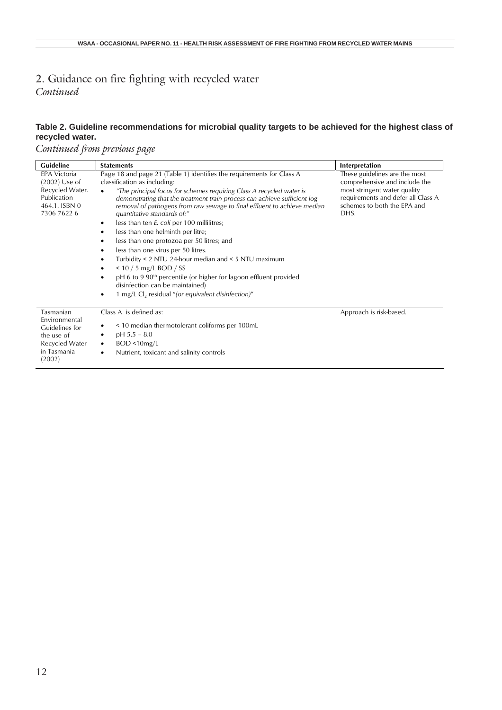#### **Table 2. Guideline recommendations for microbial quality targets to be achieved for the highest class of recycled water.**

*Continued from previous page*

| Guideline                                                                                                    | <b>Statements</b>                                                                                                                                                                                                                                                                                                                                                                                                                                                                                                                                                                                                                                                                                                                                                                                                                                      | Interpretation                                                                                                                                                              |
|--------------------------------------------------------------------------------------------------------------|--------------------------------------------------------------------------------------------------------------------------------------------------------------------------------------------------------------------------------------------------------------------------------------------------------------------------------------------------------------------------------------------------------------------------------------------------------------------------------------------------------------------------------------------------------------------------------------------------------------------------------------------------------------------------------------------------------------------------------------------------------------------------------------------------------------------------------------------------------|-----------------------------------------------------------------------------------------------------------------------------------------------------------------------------|
| <b>EPA Victoria</b><br>(2002) Use of<br>Recycled Water.<br>Publication<br>464.1. ISBN 0<br>7306 7622 6       | Page 18 and page 21 (Table 1) identifies the requirements for Class A<br>classification as including:<br>"The principal focus for schemes requiring Class A recycled water is<br>$\bullet$<br>demonstrating that the treatment train process can achieve sufficient log<br>removal of pathogens from raw sewage to final effluent to achieve median<br>quantitative standards of:"<br>less than ten E. coli per 100 millilitres;<br>٠<br>less than one helminth per litre;<br>less than one protozoa per 50 litres; and<br>٠<br>less than one virus per 50 litres.<br>٠<br>Turbidity < 2 NTU 24-hour median and < 5 NTU maximum<br>٠<br>$<$ 10 / 5 mg/L BOD / SS<br>pH 6 to 9 90 <sup>th</sup> percentile (or higher for lagoon effluent provided<br>disinfection can be maintained)<br>1 mg/L Cl <sub>2</sub> residual "(or equivalent disinfection)" | These guidelines are the most<br>comprehensive and include the<br>most stringent water quality<br>requirements and defer all Class A<br>schemes to both the EPA and<br>DHS. |
| Tasmanian<br><b>Fnvironmental</b><br>Guidelines for<br>the use of<br>Recycled Water<br>in Tasmania<br>(2002) | Class A is defined as:<br>< 10 median thermotolerant coliforms per 100mL<br>$pH$ 5.5 – 8.0<br>٠<br>BOD < 10mg/L<br>٠<br>Nutrient, toxicant and salinity controls<br>٠                                                                                                                                                                                                                                                                                                                                                                                                                                                                                                                                                                                                                                                                                  | Approach is risk-based.                                                                                                                                                     |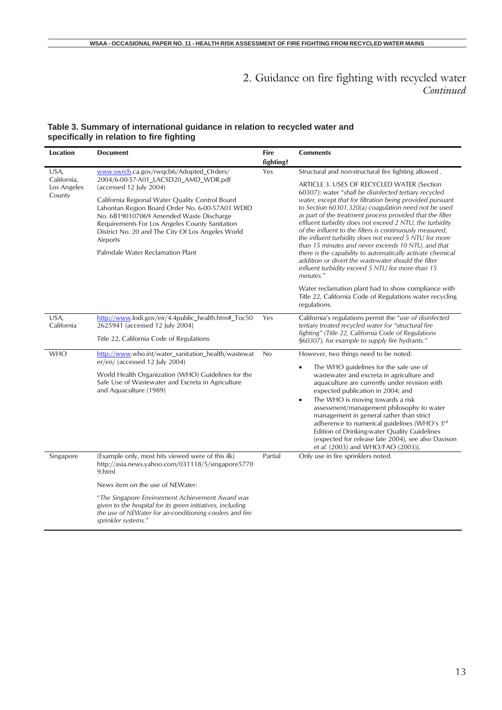#### **Table 3. Summary of international guidance in relation to recycled water and specifically in relation to fire fighting**

| <b>Location</b>                      | <b>Document</b>                                                                                                                                                                                               | <b>Fire</b> | <b>Comments</b>                                                                                                                                                                                                                                                                                                                                           |  |
|--------------------------------------|---------------------------------------------------------------------------------------------------------------------------------------------------------------------------------------------------------------|-------------|-----------------------------------------------------------------------------------------------------------------------------------------------------------------------------------------------------------------------------------------------------------------------------------------------------------------------------------------------------------|--|
|                                      |                                                                                                                                                                                                               | fighting?   |                                                                                                                                                                                                                                                                                                                                                           |  |
| USA,                                 | www.swrcb.ca.gov/rwqcb6/Adopted_Orders/                                                                                                                                                                       | Yes         | Structural and non-structural fire fighting allowed.                                                                                                                                                                                                                                                                                                      |  |
| California,<br>Los Angeles<br>County | 2004/6-00-57-A01_LACSD20_AMD_WDR.pdf<br>(accessed 12 July 2004)<br>California Regional Water Quality Control Board                                                                                            |             | ARTICLE 3. USES OF RECYCLED WATER (Section<br>60307): water "shall be disinfected tertiary recycled<br>water, except that for filtration being provided pursuant                                                                                                                                                                                          |  |
|                                      | Lahontan Region Board Order No. 6-00-57A01 WDID<br>No. 6B190107069 Amended Waste Discharge<br>Requirements For Los Angeles County Sanitation<br>District No. 20 and The City Of Los Angeles World<br>Airports |             | to Section $60301.320(a)$ coagulation need not be used<br>as part of the treatment process provided that the filter<br>effluent turbidity does not exceed 2 NTU, the turbidity<br>of the influent to the filters is continuously measured,<br>the influent turbidity does not exceed 5 NTU for more<br>than 15 minutes and never exceeds 10 NTU, and that |  |
|                                      | Palmdale Water Reclamation Plant                                                                                                                                                                              |             | there is the capability to automatically activate chemical<br>addition or divert the wastewater should the filter<br>influent turbidity exceed 5 NTU for more than 15<br>minutes."                                                                                                                                                                        |  |
|                                      |                                                                                                                                                                                                               |             | Water reclamation plant had to show compliance with<br>Title 22, California Code of Regulations water recycling<br>regulations.                                                                                                                                                                                                                           |  |
| USA,<br>California                   | http://www.lodi.gov/eir/4.4public_health.htm#_Toc50<br>2625941 (accessed 12 July 2004)                                                                                                                        | Yes         | California's regulations permit the "use of disinfected<br>tertiary treated recycled water for "structural fire                                                                                                                                                                                                                                           |  |
|                                      | Title 22, California Code of Regulations                                                                                                                                                                      |             | fighting" (Title 22, California Code of Regulations<br>§60307), for example to supply fire hydrants."                                                                                                                                                                                                                                                     |  |
| <b>WHO</b>                           | http://www.who.int/water_sanitation_health/wastewat<br>er/en/ (accessed 12 July 2004)                                                                                                                         | No          | However, two things need to be noted:<br>The WHO guidelines for the safe use of                                                                                                                                                                                                                                                                           |  |
|                                      | World Health Organization (WHO) Guidelines for the<br>Safe Use of Wastewater and Excreta in Agriculture<br>and Aquaculture (1989)                                                                             |             | wastewater and excreta in agriculture and<br>aquaculture are currently under revision with<br>expected publication in 2004; and                                                                                                                                                                                                                           |  |
|                                      |                                                                                                                                                                                                               |             | The WHO is moving towards a risk<br>$\bullet$<br>assessment/management philosophy to water<br>management in general rather than strict<br>adherence to numerical guidelines (WHO's 3rd<br>Edition of Drinking-water Quality Guidelines<br>(expected for release late 2004), see also Davison<br>et al. (2003) and WHO/FAO (2003)).                        |  |
| Singapore                            | (Example only, most hits viewed were of this ilk)<br>http://asia.news.yahoo.com/031118/5/singapore5770<br>9.html                                                                                              | Partial     | Only use in fire sprinklers noted.                                                                                                                                                                                                                                                                                                                        |  |
|                                      | News item on the use of NEWater:                                                                                                                                                                              |             |                                                                                                                                                                                                                                                                                                                                                           |  |
|                                      | "The Singapore Environment Achievement Award was<br>given to the hospital for its green initiatives, including<br>the use of NEWater for air-conditioning coolers and fire<br>sprinkler systems."             |             |                                                                                                                                                                                                                                                                                                                                                           |  |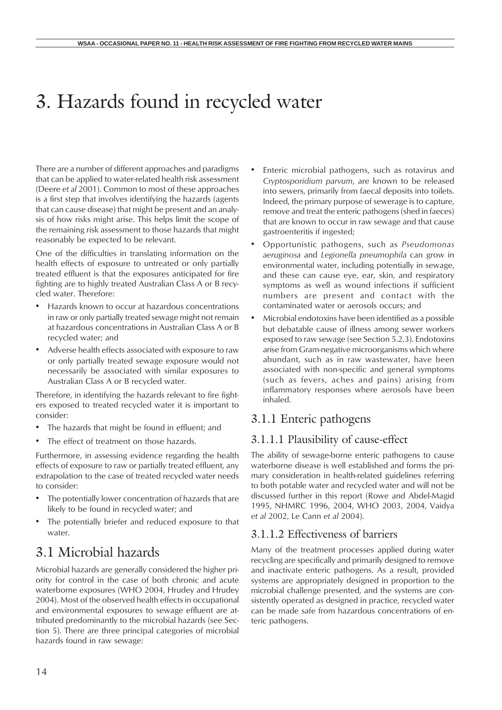# 3. Hazards found in recycled water

There are a number of different approaches and paradigms that can be applied to water-related health risk assessment (Deere *et al* 2001). Common to most of these approaches is a first step that involves identifying the hazards (agents that can cause disease) that might be present and an analysis of how risks might arise. This helps limit the scope of the remaining risk assessment to those hazards that might reasonably be expected to be relevant.

One of the difficulties in translating information on the health effects of exposure to untreated or only partially treated effluent is that the exposures anticipated for fire fighting are to highly treated Australian Class A or B recycled water. Therefore:

- Hazards known to occur at hazardous concentrations in raw or only partially treated sewage might not remain at hazardous concentrations in Australian Class A or B recycled water; and
- Adverse health effects associated with exposure to raw or only partially treated sewage exposure would not necessarily be associated with similar exposures to Australian Class A or B recycled water.

Therefore, in identifying the hazards relevant to fire fighters exposed to treated recycled water it is important to consider:

- The hazards that might be found in effluent; and
- The effect of treatment on those hazards.

Furthermore, in assessing evidence regarding the health effects of exposure to raw or partially treated effluent, any extrapolation to the case of treated recycled water needs to consider:

- The potentially lower concentration of hazards that are likely to be found in recycled water; and
- The potentially briefer and reduced exposure to that water.

# 3.1 Microbial hazards

Microbial hazards are generally considered the higher priority for control in the case of both chronic and acute waterborne exposures (WHO 2004, Hrudey and Hrudey 2004). Most of the observed health effects in occupational and environmental exposures to sewage effluent are attributed predominantly to the microbial hazards (see Section 5). There are three principal categories of microbial hazards found in raw sewage:

- Enteric microbial pathogens, such as rotavirus and *Cryptosporidium parvum*, are known to be released into sewers, primarily from faecal deposits into toilets. Indeed, the primary purpose of sewerage is to capture, remove and treat the enteric pathogens (shed in faeces) that are known to occur in raw sewage and that cause gastroenteritis if ingested;
- Opportunistic pathogens, such as *Pseudomonas aeruginosa* and *Legionella pneumophila* can grow in environmental water, including potentially in sewage, and these can cause eye, ear, skin, and respiratory symptoms as well as wound infections if sufficient numbers are present and contact with the contaminated water or aerosols occurs; and
- Microbial endotoxins have been identified as a possible but debatable cause of illness among sewer workers exposed to raw sewage (see Section 5.2.3). Endotoxins arise from Gram-negative microorganisms which where abundant, such as in raw wastewater, have been associated with non-specific and general symptoms (such as fevers, aches and pains) arising from inflammatory responses where aerosols have been inhaled.

## 3.1.1 Enteric pathogens

#### 3.1.1.1 Plausibility of cause-effect

The ability of sewage-borne enteric pathogens to cause waterborne disease is well established and forms the primary consideration in health-related guidelines referring to both potable water and recycled water and will not be discussed further in this report (Rowe and Abdel-Magid 1995, NHMRC 1996, 2004, WHO 2003, 2004, Vaidya *et al* 2002, Le Cann *et al* 2004).

#### 3.1.1.2 Effectiveness of barriers

Many of the treatment processes applied during water recycling are specifically and primarily designed to remove and inactivate enteric pathogens. As a result, provided systems are appropriately designed in proportion to the microbial challenge presented, and the systems are consistently operated as designed in practice, recycled water can be made safe from hazardous concentrations of enteric pathogens.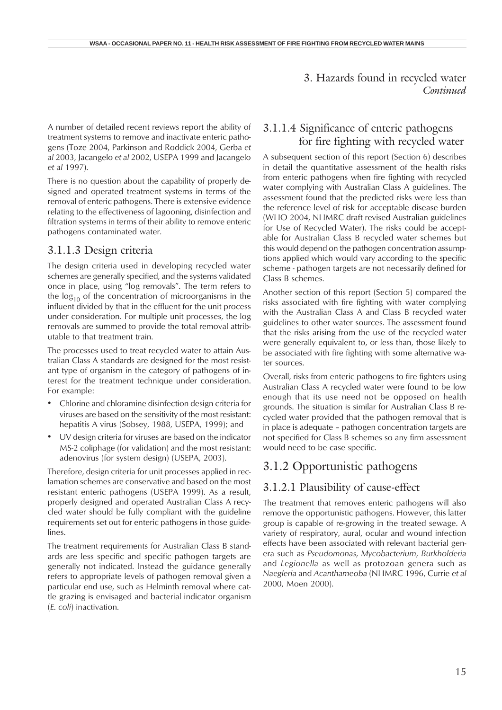A number of detailed recent reviews report the ability of treatment systems to remove and inactivate enteric pathogens (Toze 2004, Parkinson and Roddick 2004, Gerba *et al* 2003, Jacangelo *et al* 2002, USEPA 1999 and Jacangelo *et al* 1997).

There is no question about the capability of properly designed and operated treatment systems in terms of the removal of enteric pathogens. There is extensive evidence relating to the effectiveness of lagooning, disinfection and filtration systems in terms of their ability to remove enteric pathogens contaminated water.

#### 3.1.1.3 Design criteria

The design criteria used in developing recycled water schemes are generally specified, and the systems validated once in place, using "log removals". The term refers to the  $log_{10}$  of the concentration of microorganisms in the influent divided by that in the effluent for the unit process under consideration. For multiple unit processes, the log removals are summed to provide the total removal attributable to that treatment train.

The processes used to treat recycled water to attain Australian Class A standards are designed for the most resistant type of organism in the category of pathogens of interest for the treatment technique under consideration. For example:

- Chlorine and chloramine disinfection design criteria for viruses are based on the sensitivity of the most resistant: hepatitis A virus (Sobsey, 1988, USEPA, 1999); and
- UV design criteria for viruses are based on the indicator MS-2 coliphage (for validation) and the most resistant: adenovirus (for system design) (USEPA, 2003).

Therefore, design criteria for unit processes applied in reclamation schemes are conservative and based on the most resistant enteric pathogens (USEPA 1999). As a result, properly designed and operated Australian Class A recycled water should be fully compliant with the guideline requirements set out for enteric pathogens in those guidelines.

The treatment requirements for Australian Class B standards are less specific and specific pathogen targets are generally not indicated. Instead the guidance generally refers to appropriate levels of pathogen removal given a particular end use, such as Helminth removal where cattle grazing is envisaged and bacterial indicator organism (*E. coli*) inactivation.

#### 3.1.1.4 Significance of enteric pathogens for fire fighting with recycled water

A subsequent section of this report (Section 6) describes in detail the quantitative assessment of the health risks from enteric pathogens when fire fighting with recycled water complying with Australian Class A guidelines. The assessment found that the predicted risks were less than the reference level of risk for acceptable disease burden (WHO 2004, NHMRC draft revised Australian guidelines for Use of Recycled Water). The risks could be acceptable for Australian Class B recycled water schemes but this would depend on the pathogen concentration assumptions applied which would vary according to the specific scheme - pathogen targets are not necessarily defined for Class B schemes.

Another section of this report (Section 5) compared the risks associated with fire fighting with water complying with the Australian Class A and Class B recycled water guidelines to other water sources. The assessment found that the risks arising from the use of the recycled water were generally equivalent to, or less than, those likely to be associated with fire fighting with some alternative water sources.

Overall, risks from enteric pathogens to fire fighters using Australian Class A recycled water were found to be low enough that its use need not be opposed on health grounds. The situation is similar for Australian Class B recycled water provided that the pathogen removal that is in place is adequate – pathogen concentration targets are not specified for Class B schemes so any firm assessment would need to be case specific.

## 3.1.2 Opportunistic pathogens

#### 3.1.2.1 Plausibility of cause-effect

The treatment that removes enteric pathogens will also remove the opportunistic pathogens. However, this latter group is capable of re-growing in the treated sewage. A variety of respiratory, aural, ocular and wound infection effects have been associated with relevant bacterial genera such as *Pseudomonas*, *Mycobacterium*, *Burkholderia* and *Legionella* as well as protozoan genera such as *Naegleria* and *Acanthameoba* (NHMRC 1996, Currie *et al* 2000, Moen 2000).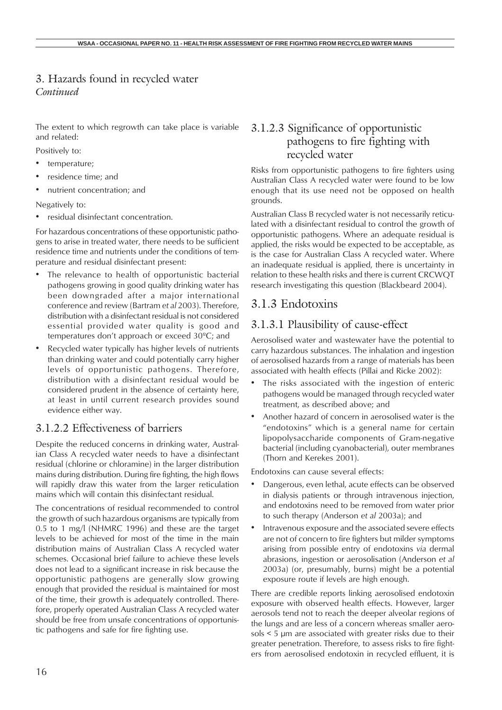The extent to which regrowth can take place is variable and related:

Positively to:

- temperature;
- residence time; and
- nutrient concentration; and

Negatively to:

• residual disinfectant concentration.

For hazardous concentrations of these opportunistic pathogens to arise in treated water, there needs to be sufficient residence time and nutrients under the conditions of temperature and residual disinfectant present:

- The relevance to health of opportunistic bacterial pathogens growing in good quality drinking water has been downgraded after a major international conference and review (Bartram *et al* 2003). Therefore, distribution with a disinfectant residual is not considered essential provided water quality is good and temperatures don't approach or exceed 30ºC; and
- Recycled water typically has higher levels of nutrients than drinking water and could potentially carry higher levels of opportunistic pathogens. Therefore, distribution with a disinfectant residual would be considered prudent in the absence of certainty here, at least in until current research provides sound evidence either way.

#### 3.1.2.2 Effectiveness of barriers

Despite the reduced concerns in drinking water, Australian Class A recycled water needs to have a disinfectant residual (chlorine or chloramine) in the larger distribution mains during distribution. During fire fighting, the high flows will rapidly draw this water from the larger reticulation mains which will contain this disinfectant residual.

The concentrations of residual recommended to control the growth of such hazardous organisms are typically from 0.5 to 1 mg/l (NHMRC 1996) and these are the target levels to be achieved for most of the time in the main distribution mains of Australian Class A recycled water schemes. Occasional brief failure to achieve these levels does not lead to a significant increase in risk because the opportunistic pathogens are generally slow growing enough that provided the residual is maintained for most of the time, their growth is adequately controlled. Therefore, properly operated Australian Class A recycled water should be free from unsafe concentrations of opportunistic pathogens and safe for fire fighting use.

### 3.1.2.3 Significance of opportunistic pathogens to fire fighting with recycled water

Risks from opportunistic pathogens to fire fighters using Australian Class A recycled water were found to be low enough that its use need not be opposed on health grounds.

Australian Class B recycled water is not necessarily reticulated with a disinfectant residual to control the growth of opportunistic pathogens. Where an adequate residual is applied, the risks would be expected to be acceptable, as is the case for Australian Class A recycled water. Where an inadequate residual is applied, there is uncertainty in relation to these health risks and there is current CRCWQT research investigating this question (Blackbeard 2004).

## 3.1.3 Endotoxins

## 3.1.3.1 Plausibility of cause-effect

Aerosolised water and wastewater have the potential to carry hazardous substances. The inhalation and ingestion of aerosolised hazards from a range of materials has been associated with health effects (Pillai and Ricke 2002):

- The risks associated with the ingestion of enteric pathogens would be managed through recycled water treatment, as described above; and
- Another hazard of concern in aerosolised water is the "endotoxins" which is a general name for certain lipopolysaccharide components of Gram-negative bacterial (including cyanobacterial), outer membranes (Thorn and Kerekes 2001).

Endotoxins can cause several effects:

- Dangerous, even lethal, acute effects can be observed in dialysis patients or through intravenous injection, and endotoxins need to be removed from water prior to such therapy (Anderson *et al* 2003a); and
- Intravenous exposure and the associated severe effects are not of concern to fire fighters but milder symptoms arising from possible entry of endotoxins *via* dermal abrasions, ingestion or aerosolisation (Anderson *et al* 2003a) (or, presumably, burns) might be a potential exposure route if levels are high enough.

There are credible reports linking aerosolised endotoxin exposure with observed health effects. However, larger aerosols tend not to reach the deeper alveolar regions of the lungs and are less of a concern whereas smaller aerosols < 5 µm are associated with greater risks due to their greater penetration. Therefore, to assess risks to fire fighters from aerosolised endotoxin in recycled effluent, it is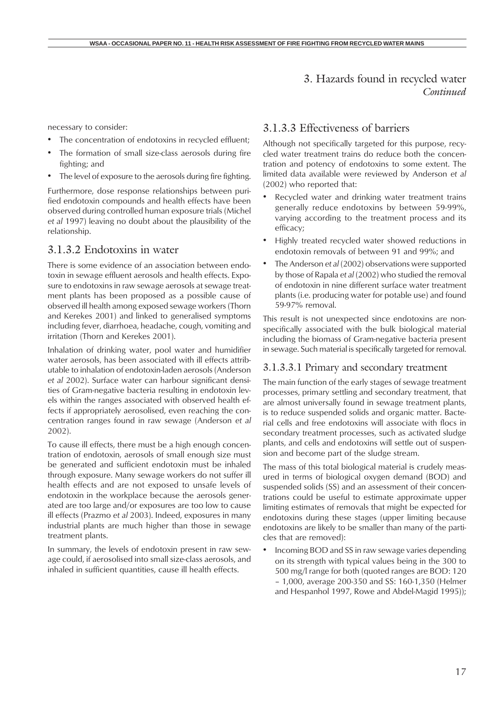necessary to consider:

- The concentration of endotoxins in recycled effluent:
- The formation of small size-class aerosols during fire fighting; and
- The level of exposure to the aerosols during fire fighting.

Furthermore, dose response relationships between purified endotoxin compounds and health effects have been observed during controlled human exposure trials (Michel *et al* 1997) leaving no doubt about the plausibility of the relationship.

#### 3.1.3.2 Endotoxins in water

There is some evidence of an association between endotoxin in sewage effluent aerosols and health effects. Exposure to endotoxins in raw sewage aerosols at sewage treatment plants has been proposed as a possible cause of observed ill health among exposed sewage workers (Thorn and Kerekes 2001) and linked to generalised symptoms including fever, diarrhoea, headache, cough, vomiting and irritation (Thorn and Kerekes 2001).

Inhalation of drinking water, pool water and humidifier water aerosols, has been associated with ill effects attributable to inhalation of endotoxin-laden aerosols (Anderson *et al* 2002). Surface water can harbour significant densities of Gram-negative bacteria resulting in endotoxin levels within the ranges associated with observed health effects if appropriately aerosolised, even reaching the concentration ranges found in raw sewage (Anderson *et al* 2002).

To cause ill effects, there must be a high enough concentration of endotoxin, aerosols of small enough size must be generated and sufficient endotoxin must be inhaled through exposure. Many sewage workers do not suffer ill health effects and are not exposed to unsafe levels of endotoxin in the workplace because the aerosols generated are too large and/or exposures are too low to cause ill effects (Prazmo *et al* 2003). Indeed, exposures in many industrial plants are much higher than those in sewage treatment plants.

In summary, the levels of endotoxin present in raw sewage could, if aerosolised into small size-class aerosols, and inhaled in sufficient quantities, cause ill health effects.

#### 3.1.3.3 Effectiveness of barriers

Although not specifically targeted for this purpose, recycled water treatment trains do reduce both the concentration and potency of endotoxins to some extent. The limited data available were reviewed by Anderson *et al* (2002) who reported that:

- Recycled water and drinking water treatment trains generally reduce endotoxins by between 59-99%, varying according to the treatment process and its efficacy;
- Highly treated recycled water showed reductions in endotoxin removals of between 91 and 99%; and
- The Anderson *et al* (2002) observations were supported by those of Rapala *et al* (2002) who studied the removal of endotoxin in nine different surface water treatment plants (i.e. producing water for potable use) and found 59-97% removal.

This result is not unexpected since endotoxins are nonspecifically associated with the bulk biological material including the biomass of Gram-negative bacteria present in sewage. Such material is specifically targeted for removal.

#### 3.1.3.3.1 Primary and secondary treatment

The main function of the early stages of sewage treatment processes, primary settling and secondary treatment, that are almost universally found in sewage treatment plants, is to reduce suspended solids and organic matter. Bacterial cells and free endotoxins will associate with flocs in secondary treatment processes, such as activated sludge plants, and cells and endotoxins will settle out of suspension and become part of the sludge stream.

The mass of this total biological material is crudely measured in terms of biological oxygen demand (BOD) and suspended solids (SS) and an assessment of their concentrations could be useful to estimate approximate upper limiting estimates of removals that might be expected for endotoxins during these stages (upper limiting because endotoxins are likely to be smaller than many of the particles that are removed):

• Incoming BOD and SS in raw sewage varies depending on its strength with typical values being in the 300 to 500 mg/l range for both (quoted ranges are BOD: 120 – 1,000, average 200-350 and SS: 160-1,350 (Helmer and Hespanhol 1997, Rowe and Abdel-Magid 1995));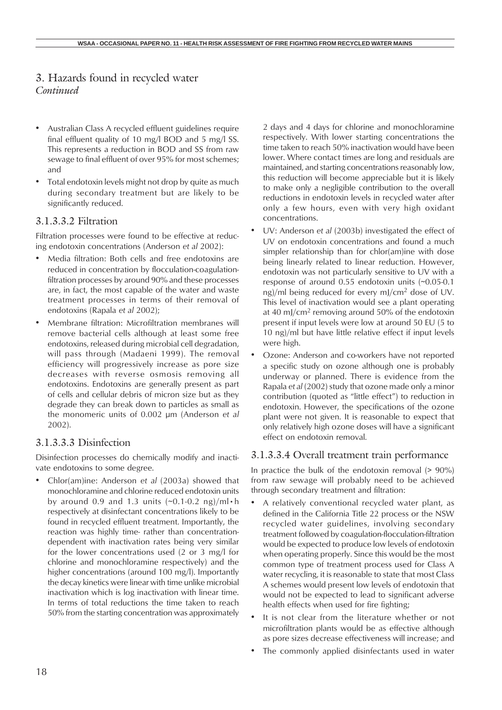- Australian Class A recycled effluent guidelines require final effluent quality of 10 mg/l BOD and 5 mg/l SS. This represents a reduction in BOD and SS from raw sewage to final effluent of over 95% for most schemes; and
- Total endotoxin levels might not drop by quite as much during secondary treatment but are likely to be significantly reduced.

#### 3.1.3.3.2 Filtration

Filtration processes were found to be effective at reducing endotoxin concentrations (Anderson *et al* 2002):

- Media filtration: Both cells and free endotoxins are reduced in concentration by flocculation-coagulationfiltration processes by around 90% and these processes are, in fact, the most capable of the water and waste treatment processes in terms of their removal of endotoxins (Rapala *et al* 2002);
- Membrane filtration: Microfiltration membranes will remove bacterial cells although at least some free endotoxins, released during microbial cell degradation, will pass through (Madaeni 1999). The removal efficiency will progressively increase as pore size decreases with reverse osmosis removing all endotoxins. Endotoxins are generally present as part of cells and cellular debris of micron size but as they degrade they can break down to particles as small as the monomeric units of 0.002 µm (Anderson *et al* 2002).

#### 3.1.3.3.3 Disinfection

Disinfection processes do chemically modify and inactivate endotoxins to some degree.

• Chlor(am)ine: Anderson *et al* (2003a) showed that monochloramine and chlorine reduced endotoxin units by around 0.9 and 1.3 units  $(\sim 0.1 - 0.2 \text{ ng})/\text{ml} \cdot \text{h}$ respectively at disinfectant concentrations likely to be found in recycled effluent treatment. Importantly, the reaction was highly time- rather than concentrationdependent with inactivation rates being very similar for the lower concentrations used (2 or 3 mg/l for chlorine and monochloramine respectively) and the higher concentrations (around 100 mg/l). Importantly the decay kinetics were linear with time unlike microbial inactivation which is log inactivation with linear time. In terms of total reductions the time taken to reach 50% from the starting concentration was approximately

2 days and 4 days for chlorine and monochloramine respectively. With lower starting concentrations the time taken to reach 50% inactivation would have been lower. Where contact times are long and residuals are maintained, and starting concentrations reasonably low, this reduction will become appreciable but it is likely to make only a negligible contribution to the overall reductions in endotoxin levels in recycled water after only a few hours, even with very high oxidant concentrations.

- UV: Anderson et al (2003b) investigated the effect of UV on endotoxin concentrations and found a much simpler relationship than for chlor(am)ine with dose being linearly related to linear reduction. However, endotoxin was not particularly sensitive to UV with a response of around 0.55 endotoxin units (~0.05-0.1 ng)/ml being reduced for every mJ/cm2 dose of UV. This level of inactivation would see a plant operating at 40 mJ/cm<sup>2</sup> removing around 50% of the endotoxin present if input levels were low at around 50 EU (5 to 10 ng)/ml but have little relative effect if input levels were high.
- Ozone: Anderson and co-workers have not reported a specific study on ozone although one is probably underway or planned. There is evidence from the Rapala *et al* (2002) study that ozone made only a minor contribution (quoted as "little effect") to reduction in endotoxin. However, the specifications of the ozone plant were not given. It is reasonable to expect that only relatively high ozone doses will have a significant effect on endotoxin removal.

#### 3.1.3.3.4 Overall treatment train performance

In practice the bulk of the endotoxin removal  $(> 90\%)$ from raw sewage will probably need to be achieved through secondary treatment and filtration:

- A relatively conventional recycled water plant, as defined in the California Title 22 process or the NSW recycled water guidelines, involving secondary treatment followed by coagulation-flocculation-filtration would be expected to produce low levels of endotoxin when operating properly. Since this would be the most common type of treatment process used for Class A water recycling, it is reasonable to state that most Class A schemes would present low levels of endotoxin that would not be expected to lead to significant adverse health effects when used for fire fighting;
- It is not clear from the literature whether or not microfiltration plants would be as effective although as pore sizes decrease effectiveness will increase; and
- The commonly applied disinfectants used in water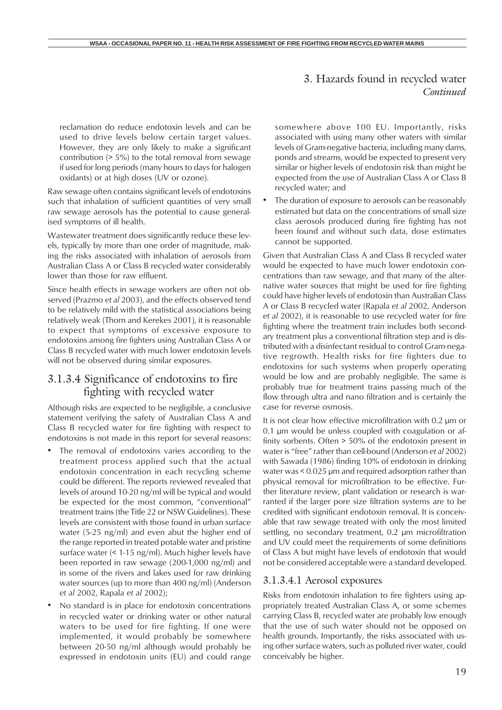reclamation do reduce endotoxin levels and can be used to drive levels below certain target values. However, they are only likely to make a significant contribution (> 5%) to the total removal from sewage if used for long periods (many hours to days for halogen oxidants) or at high doses (UV or ozone).

Raw sewage often contains significant levels of endotoxins such that inhalation of sufficient quantities of very small raw sewage aerosols has the potential to cause generalised symptoms of ill health.

Wastewater treatment does significantly reduce these levels, typically by more than one order of magnitude, making the risks associated with inhalation of aerosols from Australian Class A or Class B recycled water considerably lower than those for raw effluent.

Since health effects in sewage workers are often not observed (Prazmo *et al* 2003), and the effects observed tend to be relatively mild with the statistical associations being relatively weak (Thorn and Kerekes 2001), it is reasonable to expect that symptoms of excessive exposure to endotoxins among fire fighters using Australian Class A or Class B recycled water with much lower endotoxin levels will not be observed during similar exposures.

### 3.1.3.4 Significance of endotoxins to fire fighting with recycled water

Although risks are expected to be negligible, a conclusive statement verifying the safety of Australian Class A and Class B recycled water for fire fighting with respect to endotoxins is not made in this report for several reasons:

- The removal of endotoxins varies according to the treatment process applied such that the actual endotoxin concentration in each recycling scheme could be different. The reports reviewed revealed that levels of around 10-20 ng/ml will be typical and would be expected for the most common, "conventional" treatment trains (the Title 22 or NSW Guidelines). These levels are consistent with those found in urban surface water (5-25 ng/ml) and even abut the higher end of the range reported in treated potable water and pristine surface water (< 1-15 ng/ml). Much higher levels have been reported in raw sewage (200-1,000 ng/ml) and in some of the rivers and lakes used for raw drinking water sources (up to more than 400 ng/ml) (Anderson *et al* 2002, Rapala *et al* 2002);
- No standard is in place for endotoxin concentrations in recycled water or drinking water or other natural waters to be used for fire fighting. If one were implemented, it would probably be somewhere between 20-50 ng/ml although would probably be expressed in endotoxin units (EU) and could range

somewhere above 100 EU. Importantly, risks associated with using many other waters with similar levels of Gram-negative bacteria, including many dams, ponds and streams, would be expected to present very similar or higher levels of endotoxin risk than might be expected from the use of Australian Class A or Class B recycled water; and

The duration of exposure to aerosols can be reasonably estimated but data on the concentrations of small size class aerosols produced during fire fighting has not been found and without such data, dose estimates cannot be supported.

Given that Australian Class A and Class B recycled water would be expected to have much lower endotoxin concentrations than raw sewage, and that many of the alternative water sources that might be used for fire fighting could have higher levels of endotoxin than Australian Class A or Class B recycled water (Rapala *et al* 2002, Anderson *et al* 2002), it is reasonable to use recycled water for fire fighting where the treatment train includes both secondary treatment plus a conventional filtration step and is distributed with a disinfectant residual to control Gram-negative regrowth. Health risks for fire fighters due to endotoxins for such systems when properly operating would be low and are probably negligible. The same is probably true for treatment trains passing much of the flow through ultra and nano filtration and is certainly the case for reverse osmosis.

It is not clear how effective microfiltration with 0.2 µm or 0.1 um would be unless coupled with coagulation or affinity sorbents. Often > 50% of the endotoxin present in water is "free" rather than cell-bound (Anderson *et al* 2002) with Sawada (1986) finding 10% of endotoxin in drinking water was < 0.025 µm and required adsorption rather than physical removal for microfiltration to be effective. Further literature review, plant validation or research is warranted if the larger pore size filtration systems are to be credited with significant endotoxin removal. It is conceivable that raw sewage treated with only the most limited settling, no secondary treatment, 0.2 µm microfiltration and UV could meet the requirements of some definitions of Class A but might have levels of endotoxin that would not be considered acceptable were a standard developed.

#### 3.1.3.4.1 Aerosol exposures

Risks from endotoxin inhalation to fire fighters using appropriately treated Australian Class A, or some schemes carrying Class B, recycled water are probably low enough that the use of such water should not be opposed on health grounds. Importantly, the risks associated with using other surface waters, such as polluted river water, could conceivably be higher.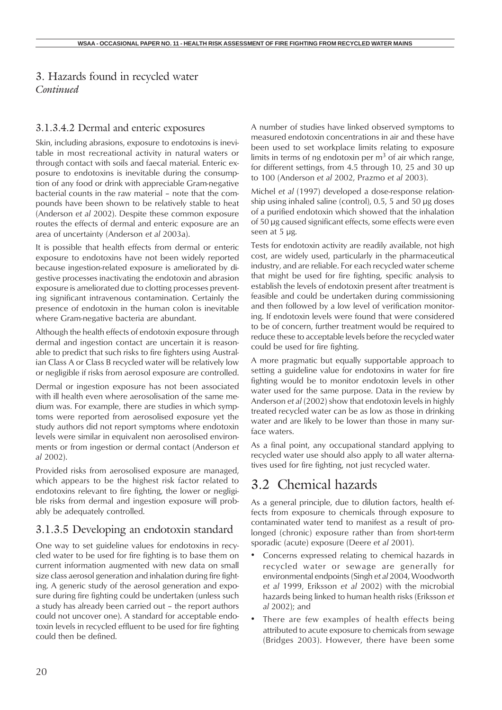#### 3.1.3.4.2 Dermal and enteric exposures

Skin, including abrasions, exposure to endotoxins is inevitable in most recreational activity in natural waters or through contact with soils and faecal material. Enteric exposure to endotoxins is inevitable during the consumption of any food or drink with appreciable Gram-negative bacterial counts in the raw material – note that the compounds have been shown to be relatively stable to heat (Anderson *et al* 2002). Despite these common exposure routes the effects of dermal and enteric exposure are an area of uncertainty (Anderson *et al* 2003a).

It is possible that health effects from dermal or enteric exposure to endotoxins have not been widely reported because ingestion-related exposure is ameliorated by digestive processes inactivating the endotoxin and abrasion exposure is ameliorated due to clotting processes preventing significant intravenous contamination. Certainly the presence of endotoxin in the human colon is inevitable where Gram-negative bacteria are abundant.

Although the health effects of endotoxin exposure through dermal and ingestion contact are uncertain it is reasonable to predict that such risks to fire fighters using Australian Class A or Class B recycled water will be relatively low or negligible if risks from aerosol exposure are controlled.

Dermal or ingestion exposure has not been associated with ill health even where aerosolisation of the same medium was. For example, there are studies in which symptoms were reported from aerosolised exposure yet the study authors did not report symptoms where endotoxin levels were similar in equivalent non aerosolised environments or from ingestion or dermal contact (Anderson *et al* 2002).

Provided risks from aerosolised exposure are managed, which appears to be the highest risk factor related to endotoxins relevant to fire fighting, the lower or negligible risks from dermal and ingestion exposure will probably be adequately controlled.

### 3.1.3.5 Developing an endotoxin standard

One way to set guideline values for endotoxins in recycled water to be used for fire fighting is to base them on current information augmented with new data on small size class aerosol generation and inhalation during fire fighting. A generic study of the aerosol generation and exposure during fire fighting could be undertaken (unless such a study has already been carried out – the report authors could not uncover one). A standard for acceptable endotoxin levels in recycled effluent to be used for fire fighting could then be defined.

A number of studies have linked observed symptoms to measured endotoxin concentrations in air and these have been used to set workplace limits relating to exposure limits in terms of ng endotoxin per  $m<sup>3</sup>$  of air which range, for different settings, from 4.5 through 10, 25 and 30 up to 100 (Anderson *et al* 2002, Prazmo *et al* 2003).

Michel *et al* (1997) developed a dose-response relationship using inhaled saline (control), 0.5, 5 and 50 µg doses of a purified endotoxin which showed that the inhalation of 50 µg caused significant effects, some effects were even seen at 5 µg.

Tests for endotoxin activity are readily available, not high cost, are widely used, particularly in the pharmaceutical industry, and are reliable. For each recycled water scheme that might be used for fire fighting, specific analysis to establish the levels of endotoxin present after treatment is feasible and could be undertaken during commissioning and then followed by a low level of verification monitoring. If endotoxin levels were found that were considered to be of concern, further treatment would be required to reduce these to acceptable levels before the recycled water could be used for fire fighting.

A more pragmatic but equally supportable approach to setting a guideline value for endotoxins in water for fire fighting would be to monitor endotoxin levels in other water used for the same purpose. Data in the review by Anderson *et al* (2002) show that endotoxin levels in highly treated recycled water can be as low as those in drinking water and are likely to be lower than those in many surface waters.

As a final point, any occupational standard applying to recycled water use should also apply to all water alternatives used for fire fighting, not just recycled water.

# 3.2 Chemical hazards

As a general principle, due to dilution factors, health effects from exposure to chemicals through exposure to contaminated water tend to manifest as a result of prolonged (chronic) exposure rather than from short-term sporadic (acute) exposure (Deere *et al* 2001).

- Concerns expressed relating to chemical hazards in recycled water or sewage are generally for environmental endpoints (Singh *et al* 2004, Woodworth *et al* 1999, Eriksson *et al* 2002) with the microbial hazards being linked to human health risks (Eriksson *et al* 2002); and
- There are few examples of health effects being attributed to acute exposure to chemicals from sewage (Bridges 2003). However, there have been some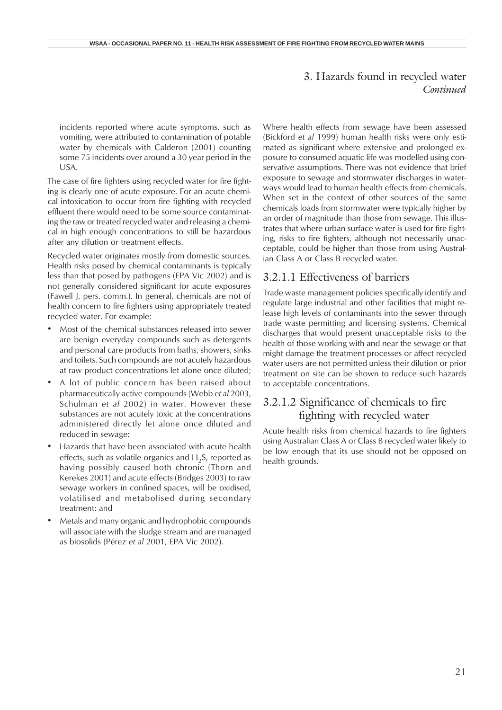incidents reported where acute symptoms, such as vomiting, were attributed to contamination of potable water by chemicals with Calderon (2001) counting some 75 incidents over around a 30 year period in the USA.

The case of fire fighters using recycled water for fire fighting is clearly one of acute exposure. For an acute chemical intoxication to occur from fire fighting with recycled effluent there would need to be some source contaminating the raw or treated recycled water and releasing a chemical in high enough concentrations to still be hazardous after any dilution or treatment effects.

Recycled water originates mostly from domestic sources. Health risks posed by chemical contaminants is typically less than that posed by pathogens (EPA Vic 2002) and is not generally considered significant for acute exposures (Fawell J, pers. comm.). In general, chemicals are not of health concern to fire fighters using appropriately treated recycled water. For example:

- Most of the chemical substances released into sewer are benign everyday compounds such as detergents and personal care products from baths, showers, sinks and toilets. Such compounds are not acutely hazardous at raw product concentrations let alone once diluted;
- A lot of public concern has been raised about pharmaceutically active compounds (Webb *et al* 2003, Schulman *et al* 2002) in water. However these substances are not acutely toxic at the concentrations administered directly let alone once diluted and reduced in sewage;
- Hazards that have been associated with acute health effects, such as volatile organics and  $H_2S$ , reported as having possibly caused both chronic (Thorn and Kerekes 2001) and acute effects (Bridges 2003) to raw sewage workers in confined spaces, will be oxidised, volatilised and metabolised during secondary treatment; and
- Metals and many organic and hydrophobic compounds will associate with the sludge stream and are managed as biosolids (Pérez *et al* 2001, EPA Vic 2002).

Where health effects from sewage have been assessed (Bickford *et al* 1999) human health risks were only estimated as significant where extensive and prolonged exposure to consumed aquatic life was modelled using conservative assumptions. There was not evidence that brief exposure to sewage and stormwater discharges in waterways would lead to human health effects from chemicals. When set in the context of other sources of the same chemicals loads from stormwater were typically higher by an order of magnitude than those from sewage. This illustrates that where urban surface water is used for fire fighting, risks to fire fighters, although not necessarily unacceptable, could be higher than those from using Australian Class A or Class B recycled water.

#### 3.2.1.1 Effectiveness of barriers

Trade waste management policies specifically identify and regulate large industrial and other facilities that might release high levels of contaminants into the sewer through trade waste permitting and licensing systems. Chemical discharges that would present unacceptable risks to the health of those working with and near the sewage or that might damage the treatment processes or affect recycled water users are not permitted unless their dilution or prior treatment on site can be shown to reduce such hazards to acceptable concentrations.

## 3.2.1.2 Significance of chemicals to fire fighting with recycled water

Acute health risks from chemical hazards to fire fighters using Australian Class A or Class B recycled water likely to be low enough that its use should not be opposed on health grounds.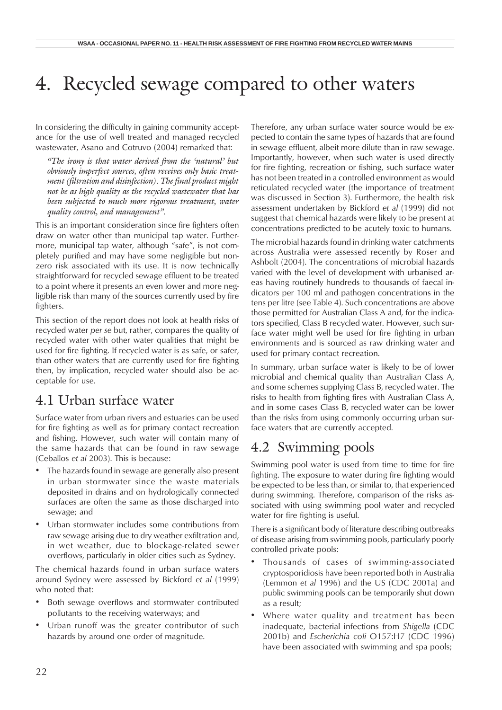# 4. Recycled sewage compared to other waters

In considering the difficulty in gaining community acceptance for the use of well treated and managed recycled wastewater, Asano and Cotruvo (2004) remarked that:

*"The irony is that water derived from the 'natural' but obviously imperfect sources, often receives only basic treatment (filtration and disinfection). The final product might not be as high quality as the recycled wastewater that has been subjected to much more rigorous treatment, water quality control, and management".*

This is an important consideration since fire fighters often draw on water other than municipal tap water. Furthermore, municipal tap water, although "safe", is not completely purified and may have some negligible but nonzero risk associated with its use. It is now technically straightforward for recycled sewage effluent to be treated to a point where it presents an even lower and more negligible risk than many of the sources currently used by fire fighters.

This section of the report does not look at health risks of recycled water *per se* but, rather, compares the quality of recycled water with other water qualities that might be used for fire fighting. If recycled water is as safe, or safer, than other waters that are currently used for fire fighting then, by implication, recycled water should also be acceptable for use.

# 4.1 Urban surface water

Surface water from urban rivers and estuaries can be used for fire fighting as well as for primary contact recreation and fishing. However, such water will contain many of the same hazards that can be found in raw sewage (Ceballos *et al* 2003). This is because:

- The hazards found in sewage are generally also present in urban stormwater since the waste materials deposited in drains and on hydrologically connected surfaces are often the same as those discharged into sewage; and
- Urban stormwater includes some contributions from raw sewage arising due to dry weather exfiltration and, in wet weather, due to blockage-related sewer overflows, particularly in older cities such as Sydney.

The chemical hazards found in urban surface waters around Sydney were assessed by Bickford *et al* (1999) who noted that:

- Both sewage overflows and stormwater contributed pollutants to the receiving waterways; and
- Urban runoff was the greater contributor of such hazards by around one order of magnitude.

Therefore, any urban surface water source would be expected to contain the same types of hazards that are found in sewage effluent, albeit more dilute than in raw sewage. Importantly, however, when such water is used directly for fire fighting, recreation or fishing, such surface water has not been treated in a controlled environment as would reticulated recycled water (the importance of treatment was discussed in Section 3). Furthermore, the health risk assessment undertaken by Bickford *et al* (1999) did not suggest that chemical hazards were likely to be present at concentrations predicted to be acutely toxic to humans.

The microbial hazards found in drinking water catchments across Australia were assessed recently by Roser and Ashbolt (2004). The concentrations of microbial hazards varied with the level of development with urbanised areas having routinely hundreds to thousands of faecal indicators per 100 ml and pathogen concentrations in the tens per litre (see Table 4). Such concentrations are above those permitted for Australian Class A and, for the indicators specified, Class B recycled water. However, such surface water might well be used for fire fighting in urban environments and is sourced as raw drinking water and used for primary contact recreation.

In summary, urban surface water is likely to be of lower microbial and chemical quality than Australian Class A, and some schemes supplying Class B, recycled water. The risks to health from fighting fires with Australian Class A, and in some cases Class B, recycled water can be lower than the risks from using commonly occurring urban surface waters that are currently accepted.

# 4.2 Swimming pools

Swimming pool water is used from time to time for fire fighting. The exposure to water during fire fighting would be expected to be less than, or similar to, that experienced during swimming. Therefore, comparison of the risks associated with using swimming pool water and recycled water for fire fighting is useful.

There is a significant body of literature describing outbreaks of disease arising from swimming pools, particularly poorly controlled private pools:

- Thousands of cases of swimming-associated cryptosporidiosis have been reported both in Australia (Lemmon *et al* 1996) and the US (CDC 2001a) and public swimming pools can be temporarily shut down as a result;
- Where water quality and treatment has been inadequate, bacterial infections from *Shigella* (CDC 2001b) and *Escherichia coli* O157:H7 (CDC 1996) have been associated with swimming and spa pools;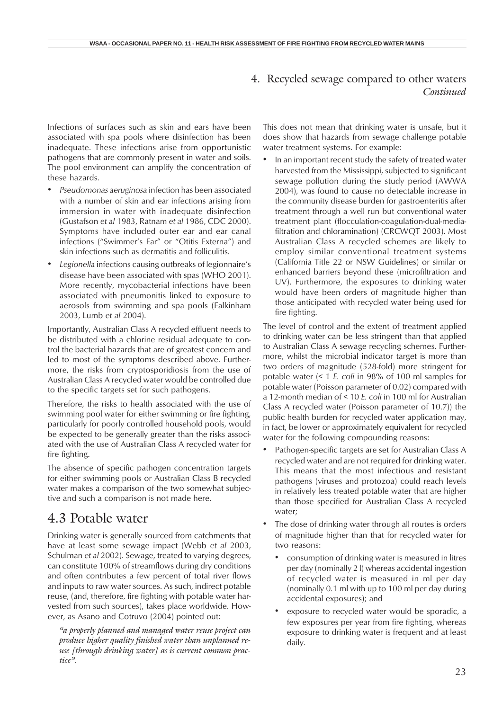### 4. Recycled sewage compared to other waters *Continued*

Infections of surfaces such as skin and ears have been associated with spa pools where disinfection has been inadequate. These infections arise from opportunistic pathogens that are commonly present in water and soils. The pool environment can amplify the concentration of these hazards.

- *• Pseudomonas aeruginosa* infection has been associated with a number of skin and ear infections arising from immersion in water with inadequate disinfection (Gustafson *et al* 1983, Ratnam *et al* 1986, CDC 2000). Symptoms have included outer ear and ear canal infections ("Swimmer's Ear" or "Otitis Externa") and skin infections such as dermatitis and folliculitis.
- *• Legionella* infections causing outbreaks of legionnaire's disease have been associated with spas (WHO 2001). More recently, mycobacterial infections have been associated with pneumonitis linked to exposure to aerosols from swimming and spa pools (Falkinham 2003, Lumb *et al* 2004).

Importantly, Australian Class A recycled effluent needs to be distributed with a chlorine residual adequate to control the bacterial hazards that are of greatest concern and led to most of the symptoms described above. Furthermore, the risks from cryptosporidiosis from the use of Australian Class A recycled water would be controlled due to the specific targets set for such pathogens.

Therefore, the risks to health associated with the use of swimming pool water for either swimming or fire fighting, particularly for poorly controlled household pools, would be expected to be generally greater than the risks associated with the use of Australian Class A recycled water for fire fighting.

The absence of specific pathogen concentration targets for either swimming pools or Australian Class B recycled water makes a comparison of the two somewhat subjective and such a comparison is not made here.

# 4.3 Potable water

Drinking water is generally sourced from catchments that have at least some sewage impact (Webb *et al* 2003, Schulman *et al* 2002). Sewage, treated to varying degrees, can constitute 100% of streamflows during dry conditions and often contributes a few percent of total river flows and inputs to raw water sources. As such, indirect potable reuse, (and, therefore, fire fighting with potable water harvested from such sources), takes place worldwide. However, as Asano and Cotruvo (2004) pointed out:

*"a properly planned and managed water reuse project can produce higher quality finished water than unplanned reuse [through drinking water] as is current common practice".*

This does not mean that drinking water is unsafe, but it does show that hazards from sewage challenge potable water treatment systems. For example:

In an important recent study the safety of treated water harvested from the Mississippi, subjected to significant sewage pollution during the study period (AWWA 2004), was found to cause no detectable increase in the community disease burden for gastroenteritis after treatment through a well run but conventional water treatment plant (flocculation-coagulation-dual-mediafiltration and chloramination) (CRCWQT 2003). Most Australian Class A recycled schemes are likely to employ similar conventional treatment systems (California Title 22 or NSW Guidelines) or similar or enhanced barriers beyond these (microfiltration and UV). Furthermore, the exposures to drinking water would have been orders of magnitude higher than those anticipated with recycled water being used for fire fighting.

The level of control and the extent of treatment applied to drinking water can be less stringent than that applied to Australian Class A sewage recycling schemes. Furthermore, whilst the microbial indicator target is more than two orders of magnitude (528-fold) more stringent for potable water (< 1 *E. coli* in 98% of 100 ml samples for potable water (Poisson parameter of 0.02) compared with a 12-month median of < 10 *E. coli* in 100 ml for Australian Class A recycled water (Poisson parameter of 10.7)) the public health burden for recycled water application may, in fact, be lower or approximately equivalent for recycled water for the following compounding reasons:

- Pathogen-specific targets are set for Australian Class A recycled water and are not required for drinking water. This means that the most infectious and resistant pathogens (viruses and protozoa) could reach levels in relatively less treated potable water that are higher than those specified for Australian Class A recycled water;
- The dose of drinking water through all routes is orders of magnitude higher than that for recycled water for two reasons:
	- consumption of drinking water is measured in litres per day (nominally 2 l) whereas accidental ingestion of recycled water is measured in ml per day (nominally 0.1 ml with up to 100 ml per day during accidental exposures); and
	- exposure to recycled water would be sporadic, a few exposures per year from fire fighting, whereas exposure to drinking water is frequent and at least daily.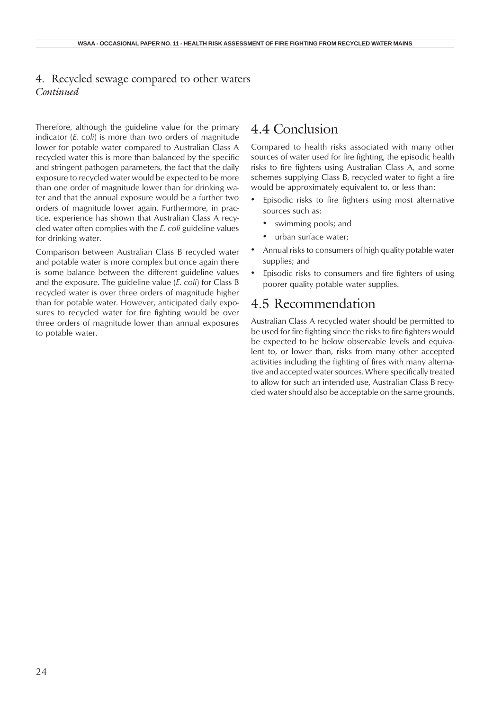#### 4. Recycled sewage compared to other waters *Continued*

Therefore, although the guideline value for the primary indicator (*E. coli*) is more than two orders of magnitude lower for potable water compared to Australian Class A recycled water this is more than balanced by the specific and stringent pathogen parameters, the fact that the daily exposure to recycled water would be expected to be more than one order of magnitude lower than for drinking water and that the annual exposure would be a further two orders of magnitude lower again. Furthermore, in practice, experience has shown that Australian Class A recycled water often complies with the *E. coli* guideline values for drinking water.

Comparison between Australian Class B recycled water and potable water is more complex but once again there is some balance between the different guideline values and the exposure. The guideline value (*E. coli*) for Class B recycled water is over three orders of magnitude higher than for potable water. However, anticipated daily exposures to recycled water for fire fighting would be over three orders of magnitude lower than annual exposures to potable water.

# 4.4 Conclusion

Compared to health risks associated with many other sources of water used for fire fighting, the episodic health risks to fire fighters using Australian Class A, and some schemes supplying Class B, recycled water to fight a fire would be approximately equivalent to, or less than:

- Episodic risks to fire fighters using most alternative sources such as:
	- swimming pools; and
	- urban surface water;
- Annual risks to consumers of high quality potable water supplies; and
- Episodic risks to consumers and fire fighters of using poorer quality potable water supplies.

## 4.5 Recommendation

Australian Class A recycled water should be permitted to be used for fire fighting since the risks to fire fighters would be expected to be below observable levels and equivalent to, or lower than, risks from many other accepted activities including the fighting of fires with many alternative and accepted water sources. Where specifically treated to allow for such an intended use, Australian Class B recycled water should also be acceptable on the same grounds.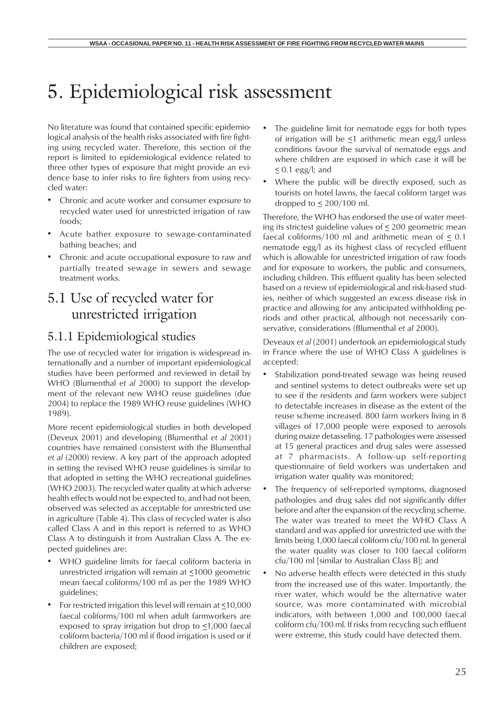# 5. Epidemiological risk assessment

No literature was found that contained specific epidemiological analysis of the health risks associated with fire fighting using recycled water. Therefore, this section of the report is limited to epidemiological evidence related to three other types of exposure that might provide an evidence base to infer risks to fire fighters from using recycled water:

- Chronic and acute worker and consumer exposure to recycled water used for unrestricted irrigation of raw foods;
- Acute bather exposure to sewage-contaminated bathing beaches; and
- Chronic and acute occupational exposure to raw and partially treated sewage in sewers and sewage treatment works.

# 5.1 Use of recycled water for unrestricted irrigation

## 5.1.1 Epidemiological studies

The use of recycled water for irrigation is widespread internationally and a number of important epidemiological studies have been performed and reviewed in detail by WHO (Blumenthal *et al* 2000) to support the development of the relevant new WHO reuse guidelines (due 2004) to replace the 1989 WHO reuse guidelines (WHO 1989).

More recent epidemiological studies in both developed (Deveux 2001) and developing (Blumenthal *et al* 2001) countries have remained consistent with the Blumenthal *et al* (2000) review. A key part of the approach adopted in setting the revised WHO reuse guidelines is similar to that adopted in setting the WHO recreational guidelines (WHO 2003). The recycled water quality at which adverse health effects would not be expected to, and had not been, observed was selected as acceptable for unrestricted use in agriculture (Table 4). This class of recycled water is also called Class A and in this report is referred to as WHO Class A to distinguish it from Australian Class A. The expected guidelines are:

- WHO guideline limits for faecal coliform bacteria in unrestricted irrigation will remain at <1000 geometric mean faecal coliforms/100 ml as per the 1989 WHO guidelines;
- For restricted irrigation this level will remain at <10,000 faecal coliforms/100 ml when adult farmworkers are exposed to spray irrigation but drop to  $\leq$ 1,000 faecal coliform bacteria/100 ml if flood irrigation is used or if children are exposed;
- The guideline limit for nematode eggs for both types of irrigation will be <1 arithmetic mean egg/l unless conditions favour the survival of nematode eggs and where children are exposed in which case it will be  $\leq$  0.1 egg/l; and
- Where the public will be directly exposed, such as tourists on hotel lawns, the faecal coliform target was dropped to  $\leq$  200/100 ml.

Therefore, the WHO has endorsed the use of water meeting its strictest guideline values of  $\leq$  200 geometric mean faecal coliforms/100 ml and arithmetic mean of  $\leq 0.1$ nematode egg/l as its highest class of recycled effluent which is allowable for unrestricted irrigation of raw foods and for exposure to workers, the public and consumers, including children. This effluent quality has been selected based on a review of epidemiological and risk-based studies, neither of which suggested an excess disease risk in practice and allowing for any anticipated withholding periods and other practical, although not necessarily conservative, considerations (Blumenthal *et al* 2000).

Deveaux *et al* (2001) undertook an epidemiological study in France where the use of WHO Class A guidelines is accepted:

- Stabilization pond-treated sewage was being reused and sentinel systems to detect outbreaks were set up to see if the residents and farm workers were subject to detectable increases in disease as the extent of the reuse scheme increased. 800 farm workers living in 8 villages of 17,000 people were exposed to aerosols during maize detasseling. 17 pathologies were assessed at 15 general practices and drug sales were assessed at 7 pharmacists. A follow-up self-reporting questionnaire of field workers was undertaken and irrigation water quality was monitored;
- The frequency of self-reported symptoms, diagnosed pathologies and drug sales did not significantly differ before and after the expansion of the recycling scheme. The water was treated to meet the WHO Class A standard and was applied for unrestricted use with the limits being 1,000 faecal coliform cfu/100 ml. In general the water quality was closer to 100 faecal coliform cfu/100 ml [similar to Australian Class B]; and
- No adverse health effects were detected in this study from the increased use of this water. Importantly, the river water, which would be the alternative water source, was more contaminated with microbial indicators, with between 1,000 and 100,000 faecal coliform cfu/100 ml. If risks from recycling such effluent were extreme, this study could have detected them.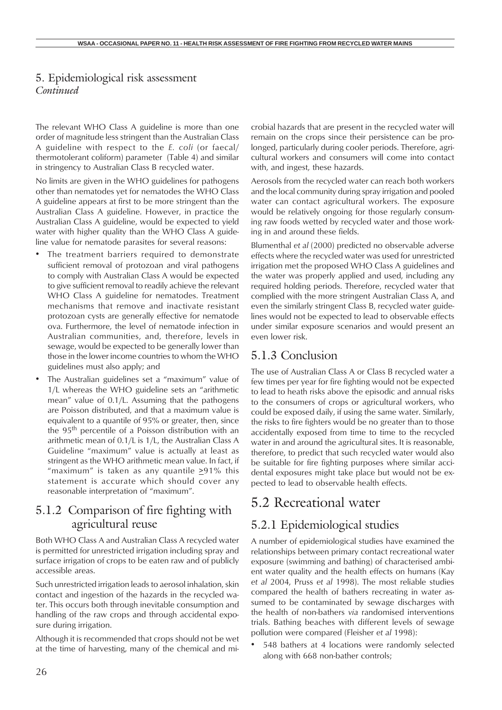The relevant WHO Class A guideline is more than one order of magnitude less stringent than the Australian Class A guideline with respect to the *E. coli* (or faecal/ thermotolerant coliform) parameter (Table 4) and similar in stringency to Australian Class B recycled water.

No limits are given in the WHO guidelines for pathogens other than nematodes yet for nematodes the WHO Class A guideline appears at first to be more stringent than the Australian Class A guideline. However, in practice the Australian Class A guideline, would be expected to yield water with higher quality than the WHO Class A guideline value for nematode parasites for several reasons:

- The treatment barriers required to demonstrate sufficient removal of protozoan and viral pathogens to comply with Australian Class A would be expected to give sufficient removal to readily achieve the relevant WHO Class A guideline for nematodes. Treatment mechanisms that remove and inactivate resistant protozoan cysts are generally effective for nematode ova. Furthermore, the level of nematode infection in Australian communities, and, therefore, levels in sewage, would be expected to be generally lower than those in the lower income countries to whom the WHO guidelines must also apply; and
- The Australian guidelines set a "maximum" value of 1/L whereas the WHO guideline sets an "arithmetic mean" value of 0.1/L. Assuming that the pathogens are Poisson distributed, and that a maximum value is equivalent to a quantile of 95% or greater, then, since the 95<sup>th</sup> percentile of a Poisson distribution with an arithmetic mean of 0.1/L is 1/L, the Australian Class A Guideline "maximum" value is actually at least as stringent as the WHO arithmetic mean value. In fact, if "maximum" is taken as any quantile  $\geq$ 91% this statement is accurate which should cover any reasonable interpretation of "maximum".

## 5.1.2 Comparison of fire fighting with agricultural reuse

Both WHO Class A and Australian Class A recycled water is permitted for unrestricted irrigation including spray and surface irrigation of crops to be eaten raw and of publicly accessible areas.

Such unrestricted irrigation leads to aerosol inhalation, skin contact and ingestion of the hazards in the recycled water. This occurs both through inevitable consumption and handling of the raw crops and through accidental exposure during irrigation.

Although it is recommended that crops should not be wet at the time of harvesting, many of the chemical and microbial hazards that are present in the recycled water will remain on the crops since their persistence can be prolonged, particularly during cooler periods. Therefore, agricultural workers and consumers will come into contact with, and ingest, these hazards.

Aerosols from the recycled water can reach both workers and the local community during spray irrigation and pooled water can contact agricultural workers. The exposure would be relatively ongoing for those regularly consuming raw foods wetted by recycled water and those working in and around these fields.

Blumenthal *et al* (2000) predicted no observable adverse effects where the recycled water was used for unrestricted irrigation met the proposed WHO Class A guidelines and the water was properly applied and used, including any required holding periods. Therefore, recycled water that complied with the more stringent Australian Class A, and even the similarly stringent Class B, recycled water guidelines would not be expected to lead to observable effects under similar exposure scenarios and would present an even lower risk.

#### 5.1.3 Conclusion

The use of Australian Class A or Class B recycled water a few times per year for fire fighting would not be expected to lead to heath risks above the episodic and annual risks to the consumers of crops or agricultural workers, who could be exposed daily, if using the same water. Similarly, the risks to fire fighters would be no greater than to those accidentally exposed from time to time to the recycled water in and around the agricultural sites. It is reasonable, therefore, to predict that such recycled water would also be suitable for fire fighting purposes where similar accidental exposures might take place but would not be expected to lead to observable health effects.

# 5.2 Recreational water

## 5.2.1 Epidemiological studies

A number of epidemiological studies have examined the relationships between primary contact recreational water exposure (swimming and bathing) of characterised ambient water quality and the health effects on humans (Kay *et al* 2004, Pruss *et al* 1998). The most reliable studies compared the health of bathers recreating in water assumed to be contaminated by sewage discharges with the health of non-bathers *via* randomised interventions trials. Bathing beaches with different levels of sewage pollution were compared (Fleisher *et al* 1998):

• 548 bathers at 4 locations were randomly selected along with 668 non-bather controls;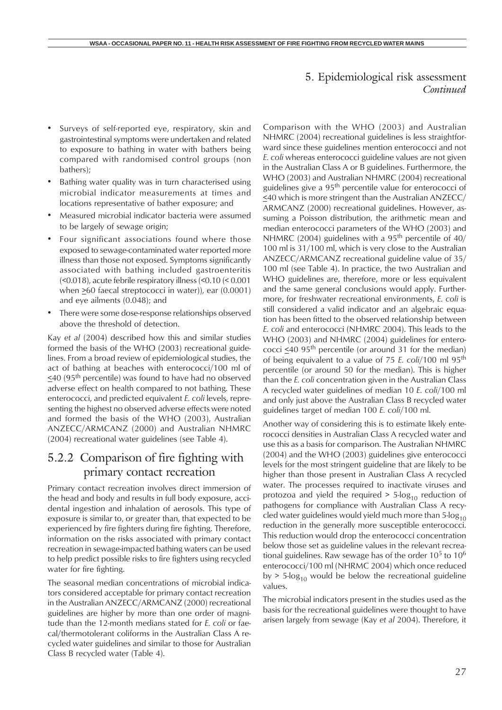- Surveys of self-reported eye, respiratory, skin and gastrointestinal symptoms were undertaken and related to exposure to bathing in water with bathers being compared with randomised control groups (non bathers);
- Bathing water quality was in turn characterised using microbial indicator measurements at times and locations representative of bather exposure; and
- Measured microbial indicator bacteria were assumed to be largely of sewage origin;
- Four significant associations found where those exposed to sewage-contaminated water reported more illness than those not exposed. Symptoms significantly associated with bathing included gastroenteritis (<0.018), acute febrile respiratory illness (<0.10 (< 0.001 when  $\geq 60$  faecal streptococci in water)), ear (0.0001) and eye ailments (0.048); and
- There were some dose-response relationships observed above the threshold of detection.

Kay *et al* (2004) described how this and similar studies formed the basis of the WHO (2003) recreational guidelines. From a broad review of epidemiological studies, the act of bathing at beaches with enterococci/100 ml of  $\leq$ 40 (95<sup>th</sup> percentile) was found to have had no observed adverse effect on health compared to not bathing. These enterococci, and predicted equivalent *E. coli* levels, representing the highest no observed adverse effects were noted and formed the basis of the WHO (2003), Australian ANZECC/ARMCANZ (2000) and Australian NHMRC (2004) recreational water guidelines (see Table 4).

## 5.2.2 Comparison of fire fighting with primary contact recreation

Primary contact recreation involves direct immersion of the head and body and results in full body exposure, accidental ingestion and inhalation of aerosols. This type of exposure is similar to, or greater than, that expected to be experienced by fire fighters during fire fighting. Therefore, information on the risks associated with primary contact recreation in sewage-impacted bathing waters can be used to help predict possible risks to fire fighters using recycled water for fire fighting.

The seasonal median concentrations of microbial indicators considered acceptable for primary contact recreation in the Australian ANZECC/ARMCANZ (2000) recreational guidelines are higher by more than one order of magnitude than the 12-month medians stated for *E. coli* or faecal/thermotolerant coliforms in the Australian Class A recycled water guidelines and similar to those for Australian Class B recycled water (Table 4).

Comparison with the WHO (2003) and Australian NHMRC (2004) recreational guidelines is less straightforward since these guidelines mention enterococci and not *E. coli* whereas enterococci guideline values are not given in the Australian Class A or B guidelines. Furthermore, the WHO (2003) and Australian NHMRC (2004) recreational guidelines give a 95<sup>th</sup> percentile value for enterococci of <40 which is more stringent than the Australian ANZECC/ ARMCANZ (2000) recreational guidelines. However, assuming a Poisson distribution, the arithmetic mean and median enterococci parameters of the WHO (2003) and NHMRC (2004) guidelines with a 95<sup>th</sup> percentile of  $40/$ 100 ml is 31/100 ml, which is very close to the Australian ANZECC/ARMCANZ recreational guideline value of 35/ 100 ml (see Table 4). In practice, the two Australian and WHO guidelines are, therefore, more or less equivalent and the same general conclusions would apply. Furthermore, for freshwater recreational environments, *E. coli* is still considered a valid indicator and an algebraic equation has been fitted to the observed relationship between *E. coli* and enterococci (NHMRC 2004). This leads to the WHO (2003) and NHMRC (2004) guidelines for enterococci  $\leq 40$  95<sup>th</sup> percentile (or around 31 for the median) of being equivalent to a value of 75 *E. coli*/100 ml 95th percentile (or around 50 for the median). This is higher than the *E. coli* concentration given in the Australian Class A recycled water guidelines of median 10 *E. coli*/100 ml and only just above the Australian Class B recycled water guidelines target of median 100 *E. coli*/100 ml.

Another way of considering this is to estimate likely enterococci densities in Australian Class A recycled water and use this as a basis for comparison. The Australian NHMRC (2004) and the WHO (2003) guidelines give enterococci levels for the most stringent guideline that are likely to be higher than those present in Australian Class A recycled water. The processes required to inactivate viruses and protozoa and yield the required  $> 5$ -log<sub>10</sub> reduction of pathogens for compliance with Australian Class A recycled water guidelines would yield much more than  $5$ -log<sub>10</sub> reduction in the generally more susceptible enterococci. This reduction would drop the enterococci concentration below those set as guideline values in the relevant recreational guidelines. Raw sewage has of the order  $10<sup>5</sup>$  to  $10<sup>6</sup>$ enterococci/100 ml (NHRMC 2004) which once reduced by > 5- $log_{10}$  would be below the recreational guideline values.

The microbial indicators present in the studies used as the basis for the recreational guidelines were thought to have arisen largely from sewage (Kay *et al* 2004). Therefore, it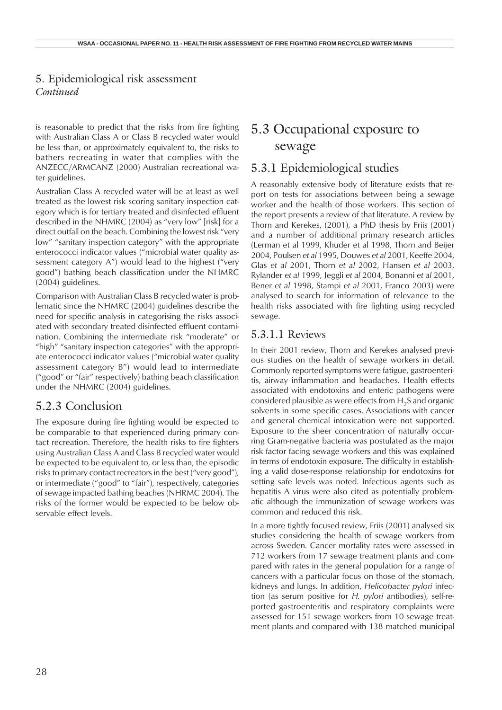is reasonable to predict that the risks from fire fighting with Australian Class A or Class B recycled water would be less than, or approximately equivalent to, the risks to bathers recreating in water that complies with the ANZECC/ARMCANZ (2000) Australian recreational water guidelines.

Australian Class A recycled water will be at least as well treated as the lowest risk scoring sanitary inspection category which is for tertiary treated and disinfected effluent described in the NHMRC (2004) as "very low" [risk] for a direct outfall on the beach. Combining the lowest risk "very low" "sanitary inspection category" with the appropriate enterococci indicator values ("microbial water quality assessment category A") would lead to the highest ("very good") bathing beach classification under the NHMRC (2004) guidelines.

Comparison with Australian Class B recycled water is problematic since the NHMRC (2004) guidelines describe the need for specific analysis in categorising the risks associated with secondary treated disinfected effluent contamination. Combining the intermediate risk "moderate" or "high" "sanitary inspection categories" with the appropriate enterococci indicator values ("microbial water quality assessment category B") would lead to intermediate ("good" or "fair" respectively) bathing beach classification under the NHMRC (2004) guidelines.

## 5.2.3 Conclusion

The exposure during fire fighting would be expected to be comparable to that experienced during primary contact recreation. Therefore, the health risks to fire fighters using Australian Class A and Class B recycled water would be expected to be equivalent to, or less than, the episodic risks to primary contact recreators in the best ("very good"), or intermediate ("good" to "fair"), respectively, categories of sewage impacted bathing beaches (NHRMC 2004). The risks of the former would be expected to be below observable effect levels.

## 5.3 Occupational exposure to sewage

## 5.3.1 Epidemiological studies

A reasonably extensive body of literature exists that report on tests for associations between being a sewage worker and the health of those workers. This section of the report presents a review of that literature. A review by Thorn and Kerekes, (2001), a PhD thesis by Friis (2001) and a number of additional primary research articles (Lerman et al 1999, Khuder et al 1998, Thorn and Beijer 2004, Poulsen *et al* 1995, Douwes *et al* 2001, Keeffe 2004, Glas *et al* 2001, Thorn *et al* 2002, Hansen *et al* 2003, Rylander *et al* 1999, Jeggli *et al* 2004, Bonanni *et al* 2001, Bener *et al* 1998, Stampi *et al* 2001, Franco 2003) were analysed to search for information of relevance to the health risks associated with fire fighting using recycled sewage.

### 5.3.1.1 Reviews

In their 2001 review, Thorn and Kerekes analysed previous studies on the health of sewage workers in detail. Commonly reported symptoms were fatigue, gastroenteritis, airway inflammation and headaches. Health effects associated with endotoxins and enteric pathogens were considered plausible as were effects from  $H_2S$  and organic solvents in some specific cases. Associations with cancer and general chemical intoxication were not supported. Exposure to the sheer concentration of naturally occurring Gram-negative bacteria was postulated as the major risk factor facing sewage workers and this was explained in terms of endotoxin exposure. The difficulty in establishing a valid dose-response relationship for endotoxins for setting safe levels was noted. Infectious agents such as hepatitis A virus were also cited as potentially problematic although the immunization of sewage workers was common and reduced this risk.

In a more tightly focused review, Friis (2001) analysed six studies considering the health of sewage workers from across Sweden. Cancer mortality rates were assessed in 712 workers from 17 sewage treatment plants and compared with rates in the general population for a range of cancers with a particular focus on those of the stomach, kidneys and lungs. In addition, *Helicobacter pylori* infection (as serum positive for *H. pylori* antibodies), self-reported gastroenteritis and respiratory complaints were assessed for 151 sewage workers from 10 sewage treatment plants and compared with 138 matched municipal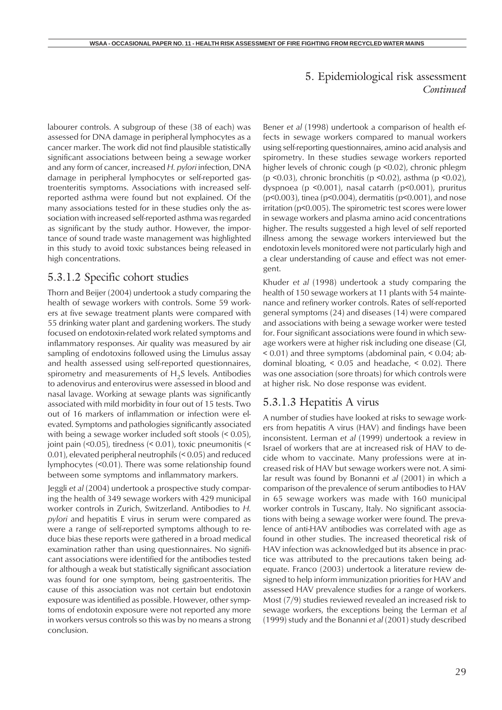labourer controls. A subgroup of these (38 of each) was assessed for DNA damage in peripheral lymphocytes as a cancer marker. The work did not find plausible statistically significant associations between being a sewage worker and any form of cancer, increased *H. pylori* infection, DNA damage in peripheral lymphocytes or self-reported gastroenteritis symptoms. Associations with increased selfreported asthma were found but not explained. Of the many associations tested for in these studies only the association with increased self-reported asthma was regarded as significant by the study author. However, the importance of sound trade waste management was highlighted in this study to avoid toxic substances being released in high concentrations.

#### 5.3.1.2 Specific cohort studies

Thorn and Beijer (2004) undertook a study comparing the health of sewage workers with controls. Some 59 workers at five sewage treatment plants were compared with 55 drinking water plant and gardening workers. The study focused on endotoxin-related work related symptoms and inflammatory responses. Air quality was measured by air sampling of endotoxins followed using the Limulus assay and health assessed using self-reported questionnaires, spirometry and measurements of  $H_2S$  levels. Antibodies to adenovirus and enterovirus were assessed in blood and nasal lavage. Working at sewage plants was significantly associated with mild morbidity in four out of 15 tests. Two out of 16 markers of inflammation or infection were elevated. Symptoms and pathologies significantly associated with being a sewage worker included soft stools (< 0.05), joint pain (<0.05), tiredness (< 0.01), toxic pneumonitis (< 0.01), elevated peripheral neutrophils (< 0.05) and reduced lymphocytes (<0.01). There was some relationship found between some symptoms and inflammatory markers.

Jeggli *et al* (2004) undertook a prospective study comparing the health of 349 sewage workers with 429 municipal worker controls in Zurich, Switzerland. Antibodies to *H. pylori* and hepatitis E virus in serum were compared as were a range of self-reported symptoms although to reduce bias these reports were gathered in a broad medical examination rather than using questionnaires. No significant associations were identified for the antibodies tested for although a weak but statistically significant association was found for one symptom, being gastroenteritis. The cause of this association was not certain but endotoxin exposure was identified as possible. However, other symptoms of endotoxin exposure were not reported any more in workers versus controls so this was by no means a strong conclusion.

Bener *et al* (1998) undertook a comparison of health effects in sewage workers compared to manual workers using self-reporting questionnaires, amino acid analysis and spirometry. In these studies sewage workers reported higher levels of chronic cough (p <0.02), chronic phlegm (p <0.03), chronic bronchitis (p <0.02), asthma (p <0.02), dyspnoea (p <0.001), nasal catarrh (p<0.001), pruritus (p<0.003), tinea (p<0.004), dermatitis (p<0.001), and nose irritation (p<0.005). The spirometric test scores were lower in sewage workers and plasma amino acid concentrations higher. The results suggested a high level of self reported illness among the sewage workers interviewed but the endotoxin levels monitored were not particularly high and a clear understanding of cause and effect was not emergent.

Khuder *et al* (1998) undertook a study comparing the health of 150 sewage workers at 11 plants with 54 maintenance and refinery worker controls. Rates of self-reported general symptoms (24) and diseases (14) were compared and associations with being a sewage worker were tested for. Four significant associations were found in which sewage workers were at higher risk including one disease (GI, < 0.01) and three symptoms (abdominal pain, < 0.04; abdominal bloating, < 0.05 and headache, < 0.02). There was one association (sore throats) for which controls were at higher risk. No dose response was evident.

#### 5.3.1.3 Hepatitis A virus

A number of studies have looked at risks to sewage workers from hepatitis A virus (HAV) and findings have been inconsistent. Lerman *et al* (1999) undertook a review in Israel of workers that are at increased risk of HAV to decide whom to vaccinate. Many professions were at increased risk of HAV but sewage workers were not. A similar result was found by Bonanni *et al* (2001) in which a comparison of the prevalence of serum antibodies to HAV in 65 sewage workers was made with 160 municipal worker controls in Tuscany, Italy. No significant associations with being a sewage worker were found. The prevalence of anti-HAV antibodies was correlated with age as found in other studies. The increased theoretical risk of HAV infection was acknowledged but its absence in practice was attributed to the precautions taken being adequate. Franco (2003) undertook a literature review designed to help inform immunization priorities for HAV and assessed HAV prevalence studies for a range of workers. Most (7/9) studies reviewed revealed an increased risk to sewage workers, the exceptions being the Lerman *et al* (1999) study and the Bonanni *et al* (2001) study described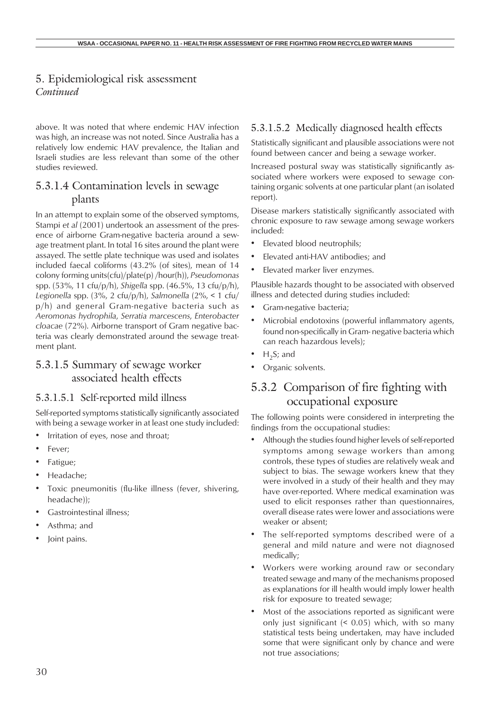above. It was noted that where endemic HAV infection was high, an increase was not noted. Since Australia has a relatively low endemic HAV prevalence, the Italian and Israeli studies are less relevant than some of the other studies reviewed.

#### 5.3.1.4 Contamination levels in sewage plants

In an attempt to explain some of the observed symptoms, Stampi *et al* (2001) undertook an assessment of the presence of airborne Gram-negative bacteria around a sewage treatment plant. In total 16 sites around the plant were assayed. The settle plate technique was used and isolates included faecal coliforms (43.2% (of sites), mean of 14 colony forming units(cfu)/plate(p) /hour(h)), *Pseudomonas* spp. (53%, 11 cfu/p/h), *Shigella* spp. (46.5%, 13 cfu/p/h), *Legionella* spp. (3%, 2 cfu/p/h), *Salmonella* (2%, < 1 cfu/ p/h) and general Gram-negative bacteria such as *Aeromonas hydrophila*, *Serratia marcescens*, *Enterobacter cloacae* (72%). Airborne transport of Gram negative bacteria was clearly demonstrated around the sewage treatment plant.

#### 5.3.1.5 Summary of sewage worker associated health effects

#### 5.3.1.5.1 Self-reported mild illness

Self-reported symptoms statistically significantly associated with being a sewage worker in at least one study included:

- Irritation of eyes, nose and throat;
- Fever:
- Fatigue;
- Headache;
- Toxic pneumonitis (flu-like illness (fever, shivering, headache));
- Gastrointestinal illness;
- Asthma; and
- Joint pains.

#### 5.3.1.5.2 Medically diagnosed health effects

Statistically significant and plausible associations were not found between cancer and being a sewage worker.

Increased postural sway was statistically significantly associated where workers were exposed to sewage containing organic solvents at one particular plant (an isolated report).

Disease markers statistically significantly associated with chronic exposure to raw sewage among sewage workers included:

- Elevated blood neutrophils;
- Elevated anti-HAV antibodies; and
- Elevated marker liver enzymes.

Plausible hazards thought to be associated with observed illness and detected during studies included:

- Gram-negative bacteria;
- Microbial endotoxins (powerful inflammatory agents, found non-specifically in Gram- negative bacteria which can reach hazardous levels);
- $H_2S$ ; and
- Organic solvents.

## 5.3.2 Comparison of fire fighting with occupational exposure

The following points were considered in interpreting the findings from the occupational studies:

- Although the studies found higher levels of self-reported symptoms among sewage workers than among controls, these types of studies are relatively weak and subject to bias. The sewage workers knew that they were involved in a study of their health and they may have over-reported. Where medical examination was used to elicit responses rather than questionnaires, overall disease rates were lower and associations were weaker or absent;
- The self-reported symptoms described were of a general and mild nature and were not diagnosed medically;
- Workers were working around raw or secondary treated sewage and many of the mechanisms proposed as explanations for ill health would imply lower health risk for exposure to treated sewage;
- Most of the associations reported as significant were only just significant (< 0.05) which, with so many statistical tests being undertaken, may have included some that were significant only by chance and were not true associations;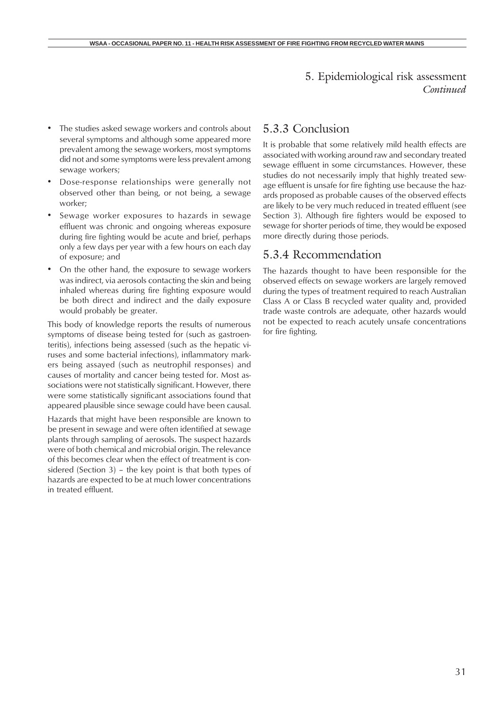- The studies asked sewage workers and controls about several symptoms and although some appeared more prevalent among the sewage workers, most symptoms did not and some symptoms were less prevalent among sewage workers;
- Dose-response relationships were generally not observed other than being, or not being, a sewage worker;
- Sewage worker exposures to hazards in sewage effluent was chronic and ongoing whereas exposure during fire fighting would be acute and brief, perhaps only a few days per year with a few hours on each day of exposure; and
- On the other hand, the exposure to sewage workers was indirect, via aerosols contacting the skin and being inhaled whereas during fire fighting exposure would be both direct and indirect and the daily exposure would probably be greater.

This body of knowledge reports the results of numerous symptoms of disease being tested for (such as gastroenteritis), infections being assessed (such as the hepatic viruses and some bacterial infections), inflammatory markers being assayed (such as neutrophil responses) and causes of mortality and cancer being tested for. Most associations were not statistically significant. However, there were some statistically significant associations found that appeared plausible since sewage could have been causal.

Hazards that might have been responsible are known to be present in sewage and were often identified at sewage plants through sampling of aerosols. The suspect hazards were of both chemical and microbial origin. The relevance of this becomes clear when the effect of treatment is considered (Section 3) – the key point is that both types of hazards are expected to be at much lower concentrations in treated effluent.

## 5.3.3 Conclusion

It is probable that some relatively mild health effects are associated with working around raw and secondary treated sewage effluent in some circumstances. However, these studies do not necessarily imply that highly treated sewage effluent is unsafe for fire fighting use because the hazards proposed as probable causes of the observed effects are likely to be very much reduced in treated effluent (see Section 3). Although fire fighters would be exposed to sewage for shorter periods of time, they would be exposed more directly during those periods.

### 5.3.4 Recommendation

The hazards thought to have been responsible for the observed effects on sewage workers are largely removed during the types of treatment required to reach Australian Class A or Class B recycled water quality and, provided trade waste controls are adequate, other hazards would not be expected to reach acutely unsafe concentrations for fire fighting.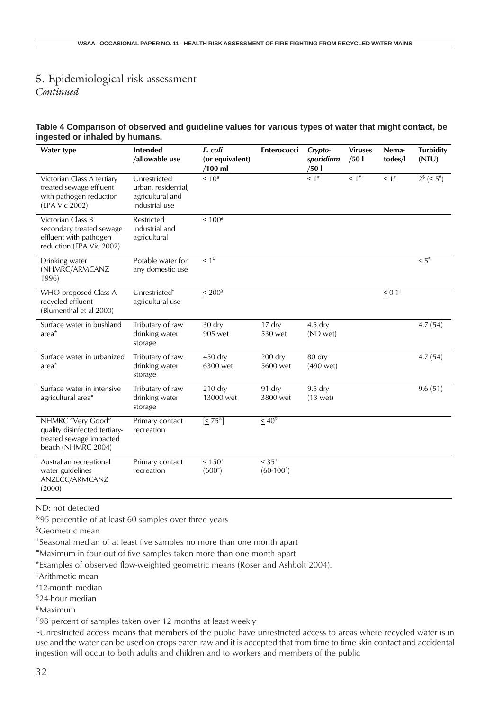# 5. Epidemiological risk assessment

*Continued*

#### **Table 4 Comparison of observed and guideline values for various types of water that might contact, be ingested or inhaled by humans.**

| <b>Water type</b>                                                                                   | <b>Intended</b><br>/allowable use                                                      | E. coli<br>(or equivalent)<br>/100 ml | Enterococci              | Crypto-<br>sporidium<br>/501 | <b>Viruses</b><br>/501 | Nema-<br>todes/l     | <b>Turbidity</b><br>(NTU)                    |
|-----------------------------------------------------------------------------------------------------|----------------------------------------------------------------------------------------|---------------------------------------|--------------------------|------------------------------|------------------------|----------------------|----------------------------------------------|
| Victorian Class A tertiary<br>treated sewage effluent<br>with pathogen reduction<br>(EPA Vic 2002)  | Unrestricted <sup>®</sup><br>urban, residential,<br>agricultural and<br>industrial use | < 10 <sup>a</sup>                     |                          | $1^{#}$                      | $1^*$                  | $< 1$ <sup>#</sup>   | $\sqrt{2^{\frac{1}{5}}}$ (< 5 <sup>#</sup> ) |
| Victorian Class B<br>secondary treated sewage<br>effluent with pathogen<br>reduction (EPA Vic 2002) | Restricted<br>industrial and<br>agricultural                                           | < 100 <sup>a</sup>                    |                          |                              |                        |                      |                                              |
| Drinking water<br>(NHMRC/ARMCANZ<br>1996)                                                           | Potable water for<br>any domestic use                                                  | $\leq 1$ <sup>£</sup>                 |                          |                              |                        |                      | $< 5$ <sup>#</sup>                           |
| WHO proposed Class A<br>recycled effluent<br>(Blumenthal et al 2000)                                | Unrestricted <sup>®</sup><br>agricultural use                                          | $\leq 200^{\$}$                       |                          |                              |                        | $\leq 0.1^{\dagger}$ |                                              |
| Surface water in bushland<br>area <sup>*</sup>                                                      | Tributary of raw<br>drinking water<br>storage                                          | 30 dry<br>905 wet                     | $17$ dry<br>530 wet      | $4.5$ dry<br>(ND wet)        |                        |                      | 4.7(54)                                      |
| Surface water in urbanized<br>area <sup>*</sup>                                                     | Tributary of raw<br>drinking water<br>storage                                          | 450 dry<br>6300 wet                   | $200$ dry<br>5600 wet    | 80 dry<br>(490 wet)          |                        |                      | 4.7(54)                                      |
| Surface water in intensive<br>agricultural area*                                                    | Tributary of raw<br>drinking water<br>storage                                          | $210$ dry<br>13000 wet                | 91 dry<br>3800 wet       | $9.5$ dry<br>$(13$ wet)      |                        |                      | 9.6(51)                                      |
| NHMRC "Very Good"<br>quality disinfected tertiary-<br>treated sewage impacted<br>beach (NHMRC 2004) | Primary contact<br>recreation                                                          | $\left[ \leq 75^{\text{8}} \right]$   | $\leq 40^{\text{Å}}$     |                              |                        |                      |                                              |
| Australian recreational<br>water guidelines<br>ANZECC/ARMCANZ<br>(2000)                             | Primary contact<br>recreation                                                          | $< 150^{+}$<br>(600)                  | $< 35^{+}$<br>$(60-100)$ |                              |                        |                      |                                              |

ND: not detected

 $895$  percentile of at least 60 samples over three years

§Geometric mean

+Seasonal median of at least five samples no more than one month apart

=Maximum in four out of five samples taken more than one month apart

\*Examples of observed flow-weighted geometric means (Roser and Ashbolt 2004).

†Arithmetic mean

ª12-month median

\$24-hour median

#Maximum

 $f$ 98 percent of samples taken over 12 months at least weekly

~Unrestricted access means that members of the public have unrestricted access to areas where recycled water is in use and the water can be used on crops eaten raw and it is accepted that from time to time skin contact and accidental ingestion will occur to both adults and children and to workers and members of the public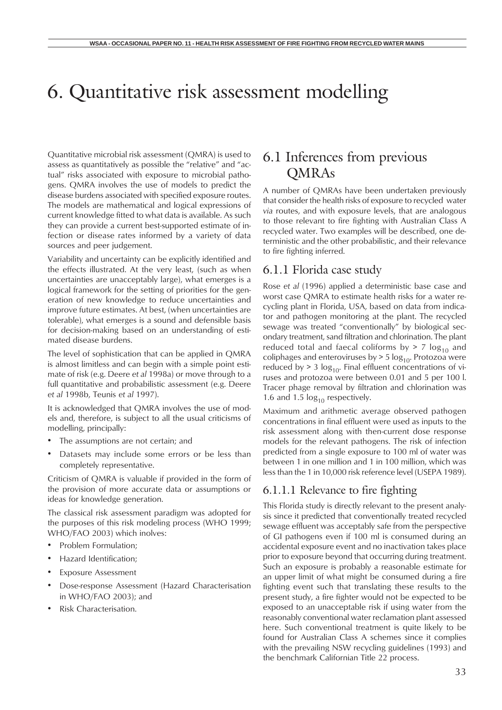# 6. Quantitative risk assessment modelling

Quantitative microbial risk assessment (QMRA) is used to assess as quantitatively as possible the "relative" and "actual" risks associated with exposure to microbial pathogens. QMRA involves the use of models to predict the disease burdens associated with specified exposure routes. The models are mathematical and logical expressions of current knowledge fitted to what data is available. As such they can provide a current best-supported estimate of infection or disease rates informed by a variety of data sources and peer judgement.

Variability and uncertainty can be explicitly identified and the effects illustrated. At the very least, (such as when uncertainties are unacceptably large), what emerges is a logical framework for the setting of priorities for the generation of new knowledge to reduce uncertainties and improve future estimates. At best, (when uncertainties are tolerable), what emerges is a sound and defensible basis for decision-making based on an understanding of estimated disease burdens.

The level of sophistication that can be applied in QMRA is almost limitless and can begin with a simple point estimate of risk (e.g. Deere *et al* 1998a) or move through to a full quantitative and probabilistic assessment (e.g. Deere *et al* 1998b, Teunis *et al* 1997).

It is acknowledged that QMRA involves the use of models and, therefore, is subject to all the usual criticisms of modelling, principally:

- The assumptions are not certain; and
- Datasets may include some errors or be less than completely representative.

Criticism of QMRA is valuable if provided in the form of the provision of more accurate data or assumptions or ideas for knowledge generation.

The classical risk assessment paradigm was adopted for the purposes of this risk modeling process (WHO 1999; WHO/FAO 2003) which inolves:

- Problem Formulation;
- Hazard Identification;
- Exposure Assessment
- Dose-response Assessment (Hazard Characterisation in WHO/FAO 2003); and
- Risk Characterisation.

## 6.1 Inferences from previous QMRAs

A number of QMRAs have been undertaken previously that consider the health risks of exposure to recycled water *via* routes, and with exposure levels, that are analogous to those relevant to fire fighting with Australian Class A recycled water. Two examples will be described, one deterministic and the other probabilistic, and their relevance to fire fighting inferred.

#### 6.1.1 Florida case study

Rose *et al* (1996) applied a deterministic base case and worst case QMRA to estimate health risks for a water recycling plant in Florida, USA, based on data from indicator and pathogen monitoring at the plant. The recycled sewage was treated "conventionally" by biological secondary treatment, sand filtration and chlorination. The plant reduced total and faecal coliforms by  $> 7 \log_{10}$  and coliphages and enteroviruses by  $> 5 \log_{10}$ . Protozoa were reduced by  $> 3 \log_{10}$ . Final effluent concentrations of viruses and protozoa were between 0.01 and 5 per 100 l. Tracer phage removal by filtration and chlorination was 1.6 and 1.5  $log_{10}$  respectively.

Maximum and arithmetic average observed pathogen concentrations in final effluent were used as inputs to the risk assessment along with then-current dose response models for the relevant pathogens. The risk of infection predicted from a single exposure to 100 ml of water was between 1 in one million and 1 in 100 million, which was less than the 1 in 10,000 risk reference level (USEPA 1989).

#### 6.1.1.1 Relevance to fire fighting

This Florida study is directly relevant to the present analysis since it predicted that conventionally treated recycled sewage effluent was acceptably safe from the perspective of GI pathogens even if 100 ml is consumed during an accidental exposure event and no inactivation takes place prior to exposure beyond that occurring during treatment. Such an exposure is probably a reasonable estimate for an upper limit of what might be consumed during a fire fighting event such that translating these results to the present study, a fire fighter would not be expected to be exposed to an unacceptable risk if using water from the reasonably conventional water reclamation plant assessed here. Such conventional treatment is quite likely to be found for Australian Class A schemes since it complies with the prevailing NSW recycling guidelines (1993) and the benchmark Californian Title 22 process.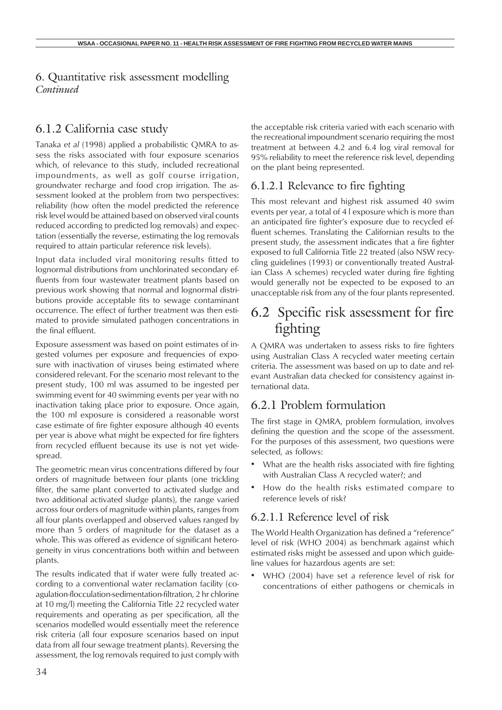## 6.1.2 California case study

Tanaka *et al* (1998) applied a probabilistic QMRA to assess the risks associated with four exposure scenarios which, of relevance to this study, included recreational impoundments, as well as golf course irrigation, groundwater recharge and food crop irrigation. The assessment looked at the problem from two perspectives: reliability (how often the model predicted the reference risk level would be attained based on observed viral counts reduced according to predicted log removals) and expectation (essentially the reverse, estimating the log removals required to attain particular reference risk levels).

Input data included viral monitoring results fitted to lognormal distributions from unchlorinated secondary effluents from four wastewater treatment plants based on previous work showing that normal and lognormal distributions provide acceptable fits to sewage contaminant occurrence. The effect of further treatment was then estimated to provide simulated pathogen concentrations in the final effluent.

Exposure assessment was based on point estimates of ingested volumes per exposure and frequencies of exposure with inactivation of viruses being estimated where considered relevant. For the scenario most relevant to the present study, 100 ml was assumed to be ingested per swimming event for 40 swimming events per year with no inactivation taking place prior to exposure. Once again, the 100 ml exposure is considered a reasonable worst case estimate of fire fighter exposure although 40 events per year is above what might be expected for fire fighters from recycled effluent because its use is not yet widespread.

The geometric mean virus concentrations differed by four orders of magnitude between four plants (one trickling filter, the same plant converted to activated sludge and two additional activated sludge plants), the range varied across four orders of magnitude within plants, ranges from all four plants overlapped and observed values ranged by more than 5 orders of magnitude for the dataset as a whole. This was offered as evidence of significant heterogeneity in virus concentrations both within and between plants.

The results indicated that if water were fully treated according to a conventional water reclamation facility (coagulation-flocculation-sedimentation-filtration, 2 hr chlorine at 10 mg/l) meeting the California Title 22 recycled water requirements and operating as per specification, all the scenarios modelled would essentially meet the reference risk criteria (all four exposure scenarios based on input data from all four sewage treatment plants). Reversing the assessment, the log removals required to just comply with the acceptable risk criteria varied with each scenario with the recreational impoundment scenario requiring the most treatment at between 4.2 and 6.4 log viral removal for 95% reliability to meet the reference risk level, depending on the plant being represented.

## 6.1.2.1 Relevance to fire fighting

This most relevant and highest risk assumed 40 swim events per year, a total of 4 l exposure which is more than an anticipated fire fighter's exposure due to recycled effluent schemes. Translating the Californian results to the present study, the assessment indicates that a fire fighter exposed to full California Title 22 treated (also NSW recycling guidelines (1993) or conventionally treated Australian Class A schemes) recycled water during fire fighting would generally not be expected to be exposed to an unacceptable risk from any of the four plants represented.

# 6.2 Specific risk assessment for fire fighting

A QMRA was undertaken to assess risks to fire fighters using Australian Class A recycled water meeting certain criteria. The assessment was based on up to date and relevant Australian data checked for consistency against international data.

## 6.2.1 Problem formulation

The first stage in QMRA, problem formulation, involves defining the question and the scope of the assessment. For the purposes of this assessment, two questions were selected, as follows:

- What are the health risks associated with fire fighting with Australian Class A recycled water?; and
- How do the health risks estimated compare to reference levels of risk?

### 6.2.1.1 Reference level of risk

The World Health Organization has defined a "reference" level of risk (WHO 2004) as benchmark against which estimated risks might be assessed and upon which guideline values for hazardous agents are set:

WHO (2004) have set a reference level of risk for concentrations of either pathogens or chemicals in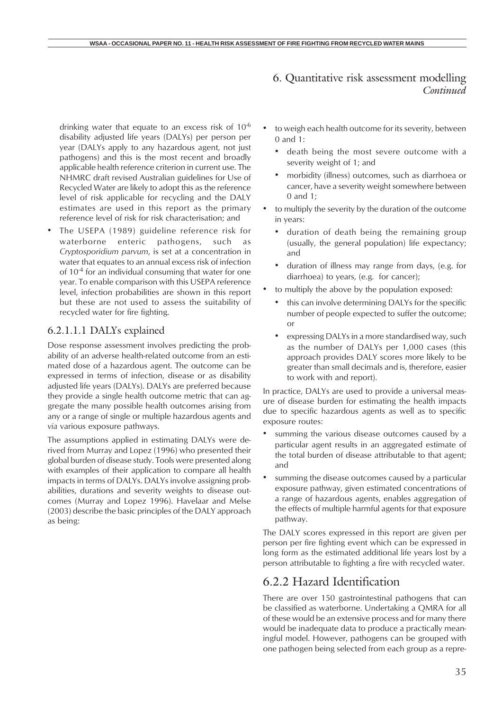drinking water that equate to an excess risk of 10-6 disability adjusted life years (DALYs) per person per year (DALYs apply to any hazardous agent, not just pathogens) and this is the most recent and broadly applicable health reference criterion in current use. The NHMRC draft revised Australian guidelines for Use of Recycled Water are likely to adopt this as the reference level of risk applicable for recycling and the DALY estimates are used in this report as the primary reference level of risk for risk characterisation; and

• The USEPA (1989) guideline reference risk for waterborne enteric pathogens, such as *Cryptosporidium parvum*, is set at a concentration in water that equates to an annual excess risk of infection of  $10^{-4}$  for an individual consuming that water for one year. To enable comparison with this USEPA reference level, infection probabilities are shown in this report but these are not used to assess the suitability of recycled water for fire fighting.

#### 6.2.1.1.1 DALYs explained

Dose response assessment involves predicting the probability of an adverse health-related outcome from an estimated dose of a hazardous agent. The outcome can be expressed in terms of infection, disease or as disability adjusted life years (DALYs). DALYs are preferred because they provide a single health outcome metric that can aggregate the many possible health outcomes arising from any or a range of single or multiple hazardous agents and *via* various exposure pathways.

The assumptions applied in estimating DALYs were derived from Murray and Lopez (1996) who presented their global burden of disease study. Tools were presented along with examples of their application to compare all health impacts in terms of DALYs. DALYs involve assigning probabilities, durations and severity weights to disease outcomes (Murray and Lopez 1996). Havelaar and Melse (2003) describe the basic principles of the DALY approach as being:

- to weigh each health outcome for its severity, between 0 and 1:
	- death being the most severe outcome with a severity weight of 1; and
	- morbidity (illness) outcomes, such as diarrhoea or cancer, have a severity weight somewhere between 0 and 1;
- to multiply the severity by the duration of the outcome in years:
	- duration of death being the remaining group (usually, the general population) life expectancy; and
	- duration of illness may range from days, (e.g. for diarrhoea) to years, (e.g. for cancer);
- to multiply the above by the population exposed:
	- this can involve determining DALYs for the specific number of people expected to suffer the outcome; or
	- expressing DALYs in a more standardised way, such as the number of DALYs per 1,000 cases (this approach provides DALY scores more likely to be greater than small decimals and is, therefore, easier to work with and report).

In practice, DALYs are used to provide a universal measure of disease burden for estimating the health impacts due to specific hazardous agents as well as to specific exposure routes:

- summing the various disease outcomes caused by a particular agent results in an aggregated estimate of the total burden of disease attributable to that agent; and
- summing the disease outcomes caused by a particular exposure pathway, given estimated concentrations of a range of hazardous agents, enables aggregation of the effects of multiple harmful agents for that exposure pathway.

The DALY scores expressed in this report are given per person per fire fighting event which can be expressed in long form as the estimated additional life years lost by a person attributable to fighting a fire with recycled water.

### 6.2.2 Hazard Identification

There are over 150 gastrointestinal pathogens that can be classified as waterborne. Undertaking a QMRA for all of these would be an extensive process and for many there would be inadequate data to produce a practically meaningful model. However, pathogens can be grouped with one pathogen being selected from each group as a repre-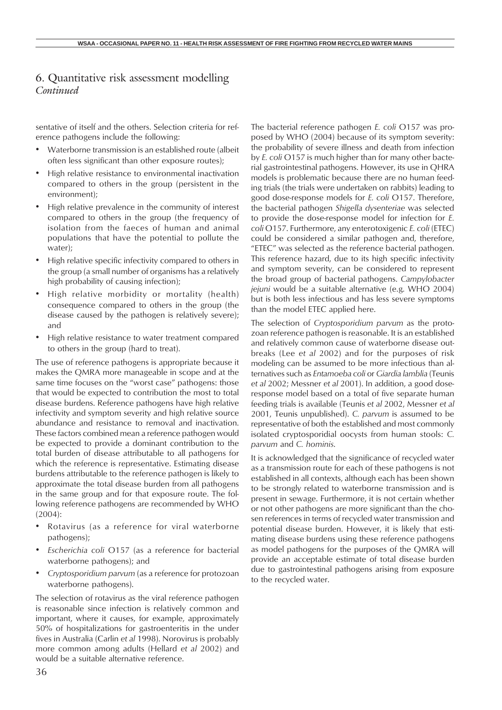sentative of itself and the others. Selection criteria for reference pathogens include the following:

- Waterborne transmission is an established route (albeit often less significant than other exposure routes);
- High relative resistance to environmental inactivation compared to others in the group (persistent in the environment);
- High relative prevalence in the community of interest compared to others in the group (the frequency of isolation from the faeces of human and animal populations that have the potential to pollute the water);
- High relative specific infectivity compared to others in the group (a small number of organisms has a relatively high probability of causing infection);
- High relative morbidity or mortality (health) consequence compared to others in the group (the disease caused by the pathogen is relatively severe); and
- High relative resistance to water treatment compared to others in the group (hard to treat).

The use of reference pathogens is appropriate because it makes the QMRA more manageable in scope and at the same time focuses on the "worst case" pathogens: those that would be expected to contribution the most to total disease burdens. Reference pathogens have high relative infectivity and symptom severity and high relative source abundance and resistance to removal and inactivation. These factors combined mean a reference pathogen would be expected to provide a dominant contribution to the total burden of disease attributable to all pathogens for which the reference is representative. Estimating disease burdens attributable to the reference pathogen is likely to approximate the total disease burden from all pathogens in the same group and for that exposure route. The following reference pathogens are recommended by WHO (2004):

- Rotavirus (as a reference for viral waterborne pathogens);
- *• Escherichia coli* O157 (as a reference for bacterial waterborne pathogens); and
- *• Cryptosporidium parvum* (as a reference for protozoan waterborne pathogens).

The selection of rotavirus as the viral reference pathogen is reasonable since infection is relatively common and important, where it causes, for example, approximately 50% of hospitalizations for gastroenteritis in the under fives in Australia (Carlin *et al* 1998). Norovirus is probably more common among adults (Hellard *et al* 2002) and would be a suitable alternative reference.

The bacterial reference pathogen *E. coli* O157 was proposed by WHO (2004) because of its symptom severity: the probability of severe illness and death from infection by *E. coli* O157 is much higher than for many other bacterial gastrointestinal pathogens. However, its use in QHRA models is problematic because there are no human feeding trials (the trials were undertaken on rabbits) leading to good dose-response models for *E. coli* O157. Therefore, the bacterial pathogen *Shigella dysenteriae* was selected to provide the dose-response model for infection for *E. coli* O157. Furthermore, any enterotoxigenic *E. coli* (ETEC) could be considered a similar pathogen and, therefore, "ETEC" was selected as the reference bacterial pathogen. This reference hazard, due to its high specific infectivity and symptom severity, can be considered to represent the broad group of bacterial pathogens. *Campylobacter jejuni* would be a suitable alternative (e.g. WHO 2004) but is both less infectious and has less severe symptoms than the model ETEC applied here.

The selection of *Cryptosporidium parvum* as the protozoan reference pathogen is reasonable. It is an established and relatively common cause of waterborne disease outbreaks (Lee *et al* 2002) and for the purposes of risk modeling can be assumed to be more infectious than alternatives such as *Entamoeba coli* or *Giardia lamblia* (Teunis *et al* 2002; Messner *et al* 2001). In addition, a good doseresponse model based on a total of five separate human feeding trials is available (Teunis *et al* 2002, Messner *et al* 2001, Teunis unpublished). *C. parvum* is assumed to be representative of both the established and most commonly isolated cryptosporidial oocysts from human stools: *C. parvum* and *C. hominis*.

It is acknowledged that the significance of recycled water as a transmission route for each of these pathogens is not established in all contexts, although each has been shown to be strongly related to waterborne transmission and is present in sewage. Furthermore, it is not certain whether or not other pathogens are more significant than the chosen references in terms of recycled water transmission and potential disease burden. However, it is likely that estimating disease burdens using these reference pathogens as model pathogens for the purposes of the QMRA will provide an acceptable estimate of total disease burden due to gastrointestinal pathogens arising from exposure to the recycled water.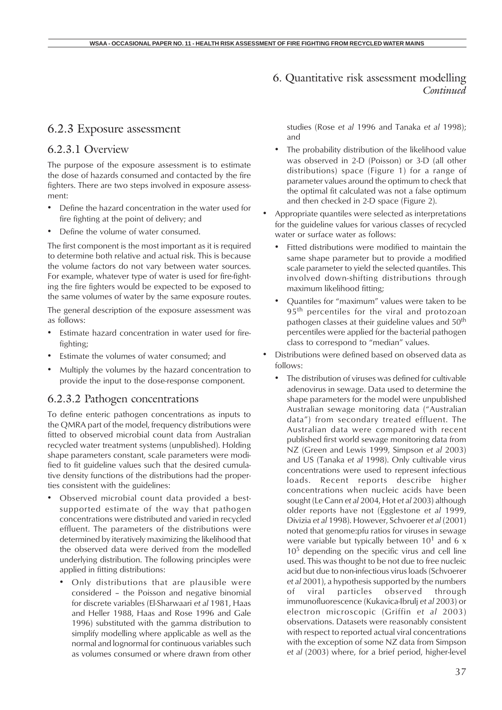#### 6.2.3 Exposure assessment

#### 6.2.3.1 Overview

The purpose of the exposure assessment is to estimate the dose of hazards consumed and contacted by the fire fighters. There are two steps involved in exposure assessment:

- Define the hazard concentration in the water used for fire fighting at the point of delivery; and
- Define the volume of water consumed.

The first component is the most important as it is required to determine both relative and actual risk. This is because the volume factors do not vary between water sources. For example, whatever type of water is used for fire-fighting the fire fighters would be expected to be exposed to the same volumes of water by the same exposure routes.

The general description of the exposure assessment was as follows:

- Estimate hazard concentration in water used for firefighting;
- Estimate the volumes of water consumed; and
- Multiply the volumes by the hazard concentration to provide the input to the dose-response component.

#### 6.2.3.2 Pathogen concentrations

To define enteric pathogen concentrations as inputs to the QMRA part of the model, frequency distributions were fitted to observed microbial count data from Australian recycled water treatment systems (unpublished). Holding shape parameters constant, scale parameters were modified to fit guideline values such that the desired cumulative density functions of the distributions had the properties consistent with the guidelines:

- Observed microbial count data provided a bestsupported estimate of the way that pathogen concentrations were distributed and varied in recycled effluent. The parameters of the distributions were determined by iteratively maximizing the likelihood that the observed data were derived from the modelled underlying distribution. The following principles were applied in fitting distributions:
	- Only distributions that are plausible were considered – the Poisson and negative binomial for discrete variables (El-Sharwaari *et al* 1981, Haas and Heller 1988, Haas and Rose 1996 and Gale 1996) substituted with the gamma distribution to simplify modelling where applicable as well as the normal and lognormal for continuous variables such as volumes consumed or where drawn from other

studies (Rose *et al* 1996 and Tanaka *et al* 1998); and

- The probability distribution of the likelihood value was observed in 2-D (Poisson) or 3-D (all other distributions) space (Figure 1) for a range of parameter values around the optimum to check that the optimal fit calculated was not a false optimum and then checked in 2-D space (Figure 2).
- Appropriate quantiles were selected as interpretations for the guideline values for various classes of recycled water or surface water as follows:
	- Fitted distributions were modified to maintain the same shape parameter but to provide a modified scale parameter to yield the selected quantiles. This involved down-shifting distributions through maximum likelihood fitting;
	- Quantiles for "maximum" values were taken to be 95<sup>th</sup> percentiles for the viral and protozoan pathogen classes at their guideline values and 50<sup>th</sup> percentiles were applied for the bacterial pathogen class to correspond to "median" values.
- Distributions were defined based on observed data as follows:
	- The distribution of viruses was defined for cultivable adenovirus in sewage. Data used to determine the shape parameters for the model were unpublished Australian sewage monitoring data ("Australian data") from secondary treated effluent. The Australian data were compared with recent published first world sewage monitoring data from NZ (Green and Lewis 1999, Simpson *et al* 2003) and US (Tanaka *et al* 1998). Only cultivable virus concentrations were used to represent infectious loads. Recent reports describe higher concentrations when nucleic acids have been sought (Le Cann *et al* 2004, Hot *et al* 2003) although older reports have not (Egglestone *et al* 1999, Divizia *et al* 1998). However, Schvoerer *et al* (2001) noted that genome:pfu ratios for viruses in sewage were variable but typically between  $10^1$  and 6 x  $10<sup>5</sup>$  depending on the specific virus and cell line used. This was thought to be not due to free nucleic acid but due to non-infectious virus loads (Schvoerer *et al* 2001), a hypothesis supported by the numbers of viral particles observed through immunofluorescence (Kukavica-Ibrulj *et al* 2003) or electron microscopic (Griffin *et al* 2003) observations. Datasets were reasonably consistent with respect to reported actual viral concentrations with the exception of some NZ data from Simpson *et al* (2003) where, for a brief period, higher-level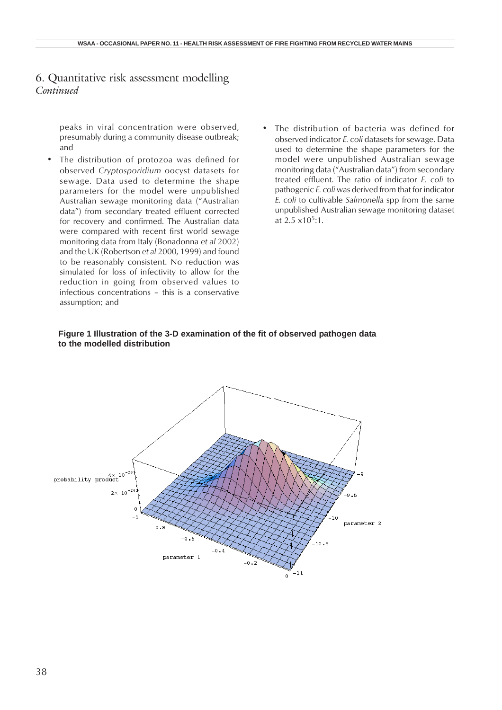peaks in viral concentration were observed, presumably during a community disease outbreak; and

- The distribution of protozoa was defined for observed *Cryptosporidium* oocyst datasets for sewage. Data used to determine the shape parameters for the model were unpublished Australian sewage monitoring data ("Australian data") from secondary treated effluent corrected for recovery and confirmed. The Australian data were compared with recent first world sewage monitoring data from Italy (Bonadonna *et al* 2002) and the UK (Robertson *et al* 2000, 1999) and found to be reasonably consistent. No reduction was simulated for loss of infectivity to allow for the reduction in going from observed values to infectious concentrations – this is a conservative assumption; and
- The distribution of bacteria was defined for observed indicator *E. coli* datasets for sewage. Data used to determine the shape parameters for the model were unpublished Australian sewage monitoring data ("Australian data") from secondary treated effluent. The ratio of indicator *E. coli* to pathogenic *E. coli* was derived from that for indicator *E. coli* to cultivable *Salmonella* spp from the same unpublished Australian sewage monitoring dataset at  $2.5 \times 10^5$ :1.



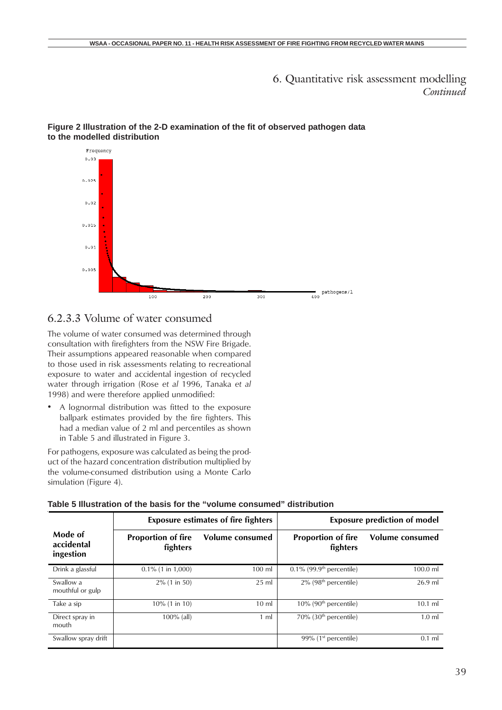

#### **Figure 2 Illustration of the 2-D examination of the fit of observed pathogen data to the modelled distribution**

### 6.2.3.3 Volume of water consumed

The volume of water consumed was determined through consultation with firefighters from the NSW Fire Brigade. Their assumptions appeared reasonable when compared to those used in risk assessments relating to recreational exposure to water and accidental ingestion of recycled water through irrigation (Rose *et al* 1996, Tanaka *et al* 1998) and were therefore applied unmodified:

• A lognormal distribution was fitted to the exposure ballpark estimates provided by the fire fighters. This had a median value of 2 ml and percentiles as shown in Table 5 and illustrated in Figure 3.

For pathogens, exposure was calculated as being the product of the hazard concentration distribution multiplied by the volume-consumed distribution using a Monte Carlo simulation (Figure 4).

|                                    | <b>Exposure estimates of fire fighters</b> |                 |                                         | <b>Exposure prediction of model</b> |
|------------------------------------|--------------------------------------------|-----------------|-----------------------------------------|-------------------------------------|
| Mode of<br>accidental<br>ingestion | <b>Proportion of fire</b><br>fighters      | Volume consumed | <b>Proportion of fire</b><br>fighters   | Volume consumed                     |
| Drink a glassful                   | $0.1\%$ (1 in 1,000)                       | 100 ml          | $0.1\%$ (99.9 <sup>th</sup> percentile) | $100.0$ ml                          |
| Swallow a<br>mouthful or gulp      | $2\%$ (1 in 50)                            | $25$ ml         | $2\%$ (98 <sup>th</sup> percentile)     | $26.9$ ml                           |
| Take a sip                         | $10\%$ (1 in 10)                           | $10 \mathrm{m}$ | $10\%$ (90 <sup>th</sup> percentile)    | $10.1$ ml                           |
| Direct spray in<br>mouth           | $100\%$ (all)                              | $1 \text{ ml}$  | 70% (30 <sup>th</sup> percentile)       | $1.0$ ml                            |
| Swallow spray drift                |                                            |                 | 99% $(1st$ percentile)                  | $0.1$ ml                            |

| Table 5 Illustration of the basis for the "volume consumed" distribution |
|--------------------------------------------------------------------------|
|                                                                          |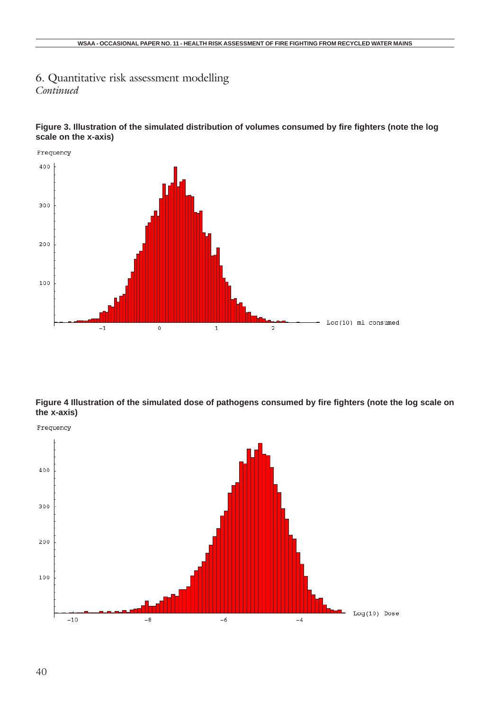



**Figure 4 Illustration of the simulated dose of pathogens consumed by fire fighters (note the log scale on the x-axis)**

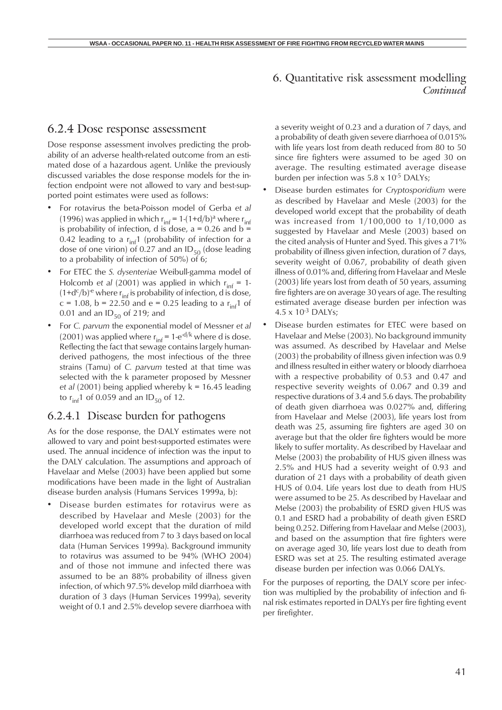#### 6.2.4 Dose response assessment

Dose response assessment involves predicting the probability of an adverse health-related outcome from an estimated dose of a hazardous agent. Unlike the previously discussed variables the dose response models for the infection endpoint were not allowed to vary and best-supported point estimates were used as follows:

- For rotavirus the beta-Poisson model of Gerba *et al* (1996) was applied in which  $r_{\text{inf}} = 1-(1+d/b)^a$  where  $r_{\text{inf}}$ is probability of infection, d is dose,  $a = 0.26$  and  $b =$ 0.42 leading to a  $r_{inf}$ 1 (probability of infection for a dose of one virion) of 0.27 and an  $ID_{50}$  (dose leading to a probability of infection of 50%) of 6;
- For ETEC the *S. dysenteriae* Weibull-gamma model of Holcomb *et al* (2001) was applied in which  $r_{\text{inf}} = 1$ - $(1+d<sup>c</sup>/b)<sup>-e</sup>$  where r<sub>inf</sub> is probability of infection, d is dose, c = 1.08, b = 22.50 and e = 0.25 leading to a  $r_{\text{inf}}$ 1 of 0.01 and an  $ID_{50}$  of 219; and
- For *C. parvum* the exponential model of Messner *et al* (2001) was applied where  $r_{\text{inf}} = 1-e^{-d/k}$  where d is dose. Reflecting the fact that sewage contains largely humanderived pathogens, the most infectious of the three strains (Tamu) of *C. parvum* tested at that time was selected with the k parameter proposed by Messner *et al* (2001) being applied whereby k = 16.45 leading to  $r_{\text{inf}}$ 1 of 0.059 and an ID<sub>50</sub> of 12.

#### 6.2.4.1 Disease burden for pathogens

As for the dose response, the DALY estimates were not allowed to vary and point best-supported estimates were used. The annual incidence of infection was the input to the DALY calculation. The assumptions and approach of Havelaar and Melse (2003) have been applied but some modifications have been made in the light of Australian disease burden analysis (Humans Services 1999a, b):

• Disease burden estimates for rotavirus were as described by Havelaar and Mesle (2003) for the developed world except that the duration of mild diarrhoea was reduced from 7 to 3 days based on local data (Human Services 1999a). Background immunity to rotavirus was assumed to be 94% (WHO 2004) and of those not immune and infected there was assumed to be an 88% probability of illness given infection, of which 97.5% develop mild diarrhoea with duration of 3 days (Human Services 1999a), severity weight of 0.1 and 2.5% develop severe diarrhoea with

a severity weight of 0.23 and a duration of 7 days, and a probability of death given severe diarrhoea of 0.015% with life years lost from death reduced from 80 to 50 since fire fighters were assumed to be aged 30 on average. The resulting estimated average disease burden per infection was  $5.8 \times 10^{-5}$  DALYs;

- Disease burden estimates for *Cryptosporidium* were as described by Havelaar and Mesle (2003) for the developed world except that the probability of death was increased from 1/100,000 to 1/10,000 as suggested by Havelaar and Mesle (2003) based on the cited analysis of Hunter and Syed. This gives a 71% probability of illness given infection, duration of 7 days, severity weight of 0.067, probability of death given illness of 0.01% and, differing from Havelaar and Mesle (2003) life years lost from death of 50 years, assuming fire fighters are on average 30 years of age. The resulting estimated average disease burden per infection was  $4.5 \times 10^{-3}$  DALYs:
- Disease burden estimates for ETEC were based on Havelaar and Melse (2003). No background immunity was assumed. As described by Havelaar and Melse (2003) the probability of illness given infection was 0.9 and illness resulted in either watery or bloody diarrhoea with a respective probability of 0.53 and 0.47 and respective severity weights of 0.067 and 0.39 and respective durations of 3.4 and 5.6 days. The probability of death given diarrhoea was 0.027% and, differing from Havelaar and Melse (2003), life years lost from death was 25, assuming fire fighters are aged 30 on average but that the older fire fighters would be more likely to suffer mortality. As described by Havelaar and Melse (2003) the probability of HUS given illness was 2.5% and HUS had a severity weight of 0.93 and duration of 21 days with a probability of death given HUS of 0.04. Life years lost due to death from HUS were assumed to be 25. As described by Havelaar and Melse (2003) the probability of ESRD given HUS was 0.1 and ESRD had a probability of death given ESRD being 0.252. Differing from Havelaar and Melse (2003), and based on the assumption that fire fighters were on average aged 30, life years lost due to death from ESRD was set at 25. The resulting estimated average disease burden per infection was 0.066 DALYs.

For the purposes of reporting, the DALY score per infection was multiplied by the probability of infection and final risk estimates reported in DALYs per fire fighting event per firefighter.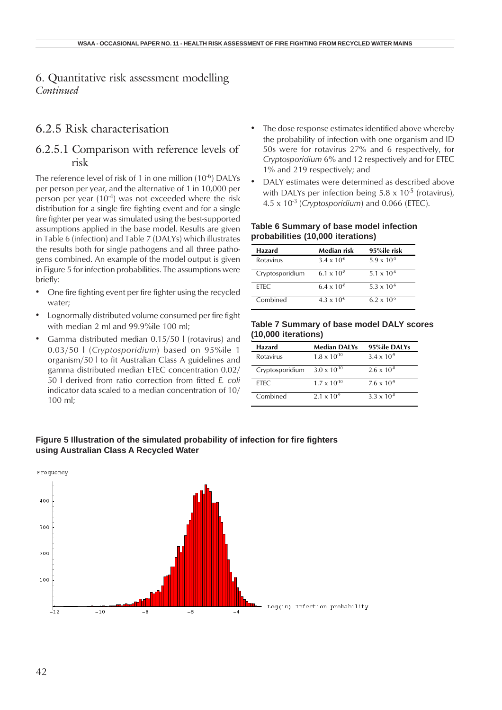### 6.2.5 Risk characterisation

## 6.2.5.1 Comparison with reference levels of risk

The reference level of risk of 1 in one million (10<sup>-6</sup>) DALYs per person per year, and the alternative of 1 in 10,000 per person per year  $(10^{-4})$  was not exceeded where the risk distribution for a single fire fighting event and for a single fire fighter per year was simulated using the best-supported assumptions applied in the base model. Results are given in Table 6 (infection) and Table 7 (DALYs) which illustrates the results both for single pathogens and all three pathogens combined. An example of the model output is given in Figure 5 for infection probabilities. The assumptions were briefly:

- One fire fighting event per fire fighter using the recycled water;
- Lognormally distributed volume consumed per fire fight with median 2 ml and 99.9%ile 100 ml;
- Gamma distributed median 0.15/50 l (rotavirus) and 0.03/50 l (*Cryptosporidium*) based on 95%ile 1 organism/50 l to fit Australian Class A guidelines and gamma distributed median ETEC concentration 0.02/ 50 l derived from ratio correction from fitted *E. coli* indicator data scaled to a median concentration of 10/ 100 ml;
- The dose response estimates identified above whereby the probability of infection with one organism and ID 50s were for rotavirus 27% and 6 respectively, for *Cryptosporidium* 6% and 12 respectively and for ETEC 1% and 219 respectively; and
- DALY estimates were determined as described above with DALYs per infection being  $5.8 \times 10^{-5}$  (rotavirus),  $4.5 \times 10^{-3}$  (*Cryptosporidium*) and 0.066 (ETEC).

#### **Table 6 Summary of base model infection probabilities (10,000 iterations)**

| Hazard          | Median risk          | 95%ile risk          |
|-----------------|----------------------|----------------------|
| Rotavirus       | $3.4 \times 10^{-6}$ | $5.9 \times 10^{-5}$ |
| Cryptosporidium | 6.1 x $10^{-8}$      | 5.1 x $10^{-6}$      |
| FTFC.           | $6.4 \times 10^{-8}$ | $5.3 \times 10^{-6}$ |
| Combined        | $4.3 \times 10^{-6}$ | $6.2 \times 10^{-5}$ |

#### **Table 7 Summary of base model DALY scores (10,000 iterations)**

| Hazard          | <b>Median DALYs</b>   | 95%ile DALYs         |
|-----------------|-----------------------|----------------------|
| Rotavirus       | $1.8 \times 10^{-10}$ | $3.4 \times 10^{-9}$ |
| Cryptosporidium | $3.0 \times 10^{-10}$ | $2.6 \times 10^{-8}$ |
| FTFC.           | $1.7 \times 10^{-10}$ | $7.6 \times 10^{-9}$ |
| Combined        | $2.1 \times 10^{-9}$  | $3.3 \times 10^{-8}$ |

#### **Figure 5 Illustration of the simulated probability of infection for fire fighters using Australian Class A Recycled Water**

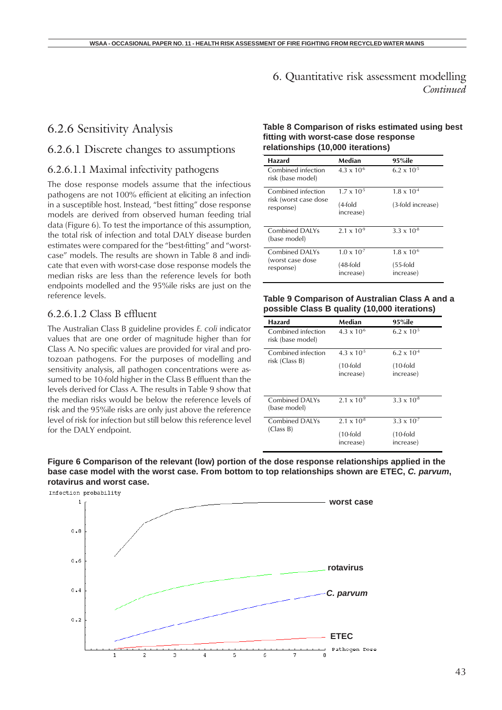#### 6.2.6 Sensitivity Analysis

#### 6.2.6.1 Discrete changes to assumptions

#### 6.2.6.1.1 Maximal infectivity pathogens

The dose response models assume that the infectious pathogens are not 100% efficient at eliciting an infection in a susceptible host. Instead, "best fitting" dose response models are derived from observed human feeding trial data (Figure 6). To test the importance of this assumption, the total risk of infection and total DALY disease burden estimates were compared for the "best-fitting" and "worstcase" models. The results are shown in Table 8 and indicate that even with worst-case dose response models the median risks are less than the reference levels for both endpoints modelled and the 95%ile risks are just on the reference levels.

#### 6.2.6.1.2 Class B effluent

The Australian Class B guideline provides *E. coli* indicator values that are one order of magnitude higher than for Class A. No specific values are provided for viral and protozoan pathogens. For the purposes of modelling and sensitivity analysis, all pathogen concentrations were assumed to be 10-fold higher in the Class B effluent than the levels derived for Class A. The results in Table 9 show that the median risks would be below the reference levels of risk and the 95%ile risks are only just above the reference level of risk for infection but still below this reference level for the DALY endpoint.

#### **Table 8 Comparison of risks estimated using best fitting with worst-case dose response relationships (10,000 iterations)**

| Hazard                                  | Median                | 95%ile                   |
|-----------------------------------------|-----------------------|--------------------------|
| Combined infection<br>risk (base model) | $4.3 \times 10^{-6}$  | $6.2 \times 10^{-5}$     |
| Combined infection                      | $1.7 \times 10^{-5}$  | $1.8 \times 10^{-4}$     |
| risk (worst case dose<br>response)      | (4-fold<br>increase)  | (3-fold increase)        |
| Combined DAI Ys<br>(base model)         | $2.1 \times 10^{-9}$  | $3.3 \times 10^{-8}$     |
| Combined DAI Ys                         | $1.0 \times 10^{-7}$  | $1.8 \times 10^{-6}$     |
| (worst case dose<br>response)           | (48-fold<br>increase) | $(55-fold)$<br>increase) |

#### **Table 9 Comparison of Australian Class A and a possible Class B quality (10,000 iterations)**

| Hazard                                  | Median                   | 95%ile                   |
|-----------------------------------------|--------------------------|--------------------------|
| Combined infection<br>risk (base model) | $4.3 \times 10^{-6}$     | $6.2 \times 10^{-5}$     |
| Combined infection<br>risk (Class B)    | $4.3 \times 10^{-5}$     | $6.2 \times 10^{-4}$     |
|                                         | $(10$ -fold<br>increase) | $(10-fold)$<br>increase) |
| Combined DAI Ys<br>(base model)         | $2.1 \times 10^{-9}$     | $3.3 \times 10^{-8}$     |
| Combined DAI Ys<br>(Class B)            | $2.1 \times 10^{-8}$     | $3.3 \times 10^{-7}$     |
|                                         | $(10$ -fold<br>increase) | $(10-fold)$<br>increase) |

**Figure 6 Comparison of the relevant (low) portion of the dose response relationships applied in the base case model with the worst case. From bottom to top relationships shown are ETEC,** *C. parvum***, rotavirus and worst case.**

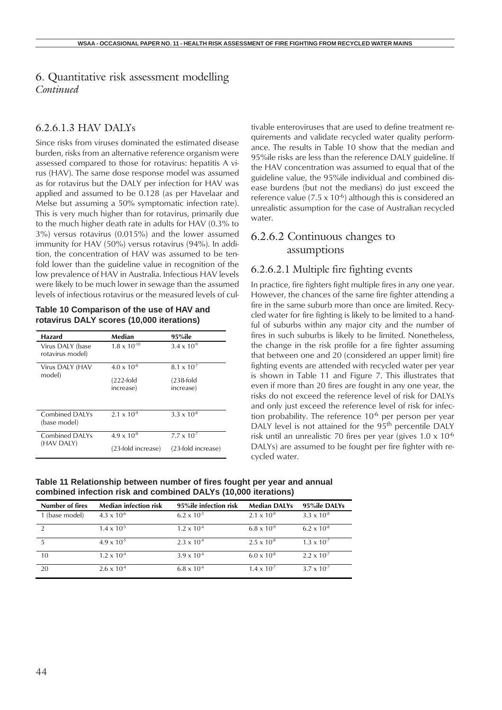#### 6.2.6.1.3 HAV DALYs

Since risks from viruses dominated the estimated disease burden, risks from an alternative reference organism were assessed compared to those for rotavirus: hepatitis A virus (HAV). The same dose response model was assumed as for rotavirus but the DALY per infection for HAV was applied and assumed to be 0.128 (as per Havelaar and Melse but assuming a 50% symptomatic infection rate). This is very much higher than for rotavirus, primarily due to the much higher death rate in adults for HAV (0.3% to 3%) versus rotavirus (0.015%) and the lower assumed immunity for HAV (50%) versus rotavirus (94%). In addition, the concentration of HAV was assumed to be tenfold lower than the guideline value in recognition of the low prevalence of HAV in Australia. Infectious HAV levels were likely to be much lower in sewage than the assumed levels of infectious rotavirus or the measured levels of cul-

#### **Table 10 Comparison of the use of HAV and rotavirus DALY scores (10,000 iterations)**

| Hazard                               | Median                    | 95%ile                    |
|--------------------------------------|---------------------------|---------------------------|
| Virus DALY (base<br>rotavirus model) | $1.8 \times 10^{-10}$     | $3.4 \times 10^{-9}$      |
| Virus DALY (HAV<br>model)            | $4.0 \times 10^{-8}$      | $8.1 \times 10^{-7}$      |
|                                      | $(222-fold)$<br>increase) | $(238-fold)$<br>increase) |
| Combined DAI Ys<br>(base model)      | $2.1 \times 10^{-9}$      | $3.3 \times 10^{-8}$      |
| Combined DAI Ys<br>(HAV DALY)        | $4.9 \times 10^{-8}$      | $7.7 \times 10^{-7}$      |
|                                      | (23-fold increase)        | (23-fold increase)        |

tivable enteroviruses that are used to define treatment requirements and validate recycled water quality performance. The results in Table 10 show that the median and 95%ile risks are less than the reference DALY guideline. If the HAV concentration was assumed to equal that of the guideline value, the 95%ile individual and combined disease burdens (but not the medians) do just exceed the reference value  $(7.5 \times 10^{-6})$  although this is considered an unrealistic assumption for the case of Australian recycled water.

#### 6.2.6.2 Continuous changes to assumptions

#### 6.2.6.2.1 Multiple fire fighting events

In practice, fire fighters fight multiple fires in any one year. However, the chances of the same fire fighter attending a fire in the same suburb more than once are limited. Recycled water for fire fighting is likely to be limited to a handful of suburbs within any major city and the number of fires in such suburbs is likely to be limited. Nonetheless, the change in the risk profile for a fire fighter assuming that between one and 20 (considered an upper limit) fire fighting events are attended with recycled water per year is shown in Table 11 and Figure 7. This illustrates that even if more than 20 fires are fought in any one year, the risks do not exceed the reference level of risk for DALYs and only just exceed the reference level of risk for infection probability. The reference  $10<sup>-6</sup>$  per person per year DALY level is not attained for the 95<sup>th</sup> percentile DALY risk until an unrealistic 70 fires per year (gives  $1.0 \times 10^{-6}$ DALYs) are assumed to be fought per fire fighter with recycled water.

**Table 11 Relationship between number of fires fought per year and annual combined infection risk and combined DALYs (10,000 iterations)**

| <b>Number of fires</b> | <b>Median infection risk</b> | 95%ile infection risk | <b>Median DALYs</b>  | 95%ile DALYs         |
|------------------------|------------------------------|-----------------------|----------------------|----------------------|
| 1 (base model)         | $4.3 \times 10^{-6}$         | $6.2 \times 10^{-5}$  | $2.1 \times 10^{-9}$ | $3.3 \times 10^{-8}$ |
| $\mathcal{D}$          | $1.4 \times 10^{-5}$         | $1.2 \times 10^{-4}$  | $6.8 \times 10^{-9}$ | $6.2 \times 10^{-8}$ |
| $\overline{5}$         | $4.9 \times 10^{-5}$         | $2.3 \times 10^{-4}$  | $2.5 \times 10^{-8}$ | $1.3 \times 10^{-7}$ |
| 10                     | $1.2 \times 10^{-4}$         | $3.9 \times 10^{-4}$  | $6.0 \times 10^{-8}$ | $2.2 \times 10^{-7}$ |
| 20                     | $2.6 \times 10^{-4}$         | $6.8 \times 10^{-4}$  | $1.4 \times 10^{-7}$ | $3.7 \times 10^{-7}$ |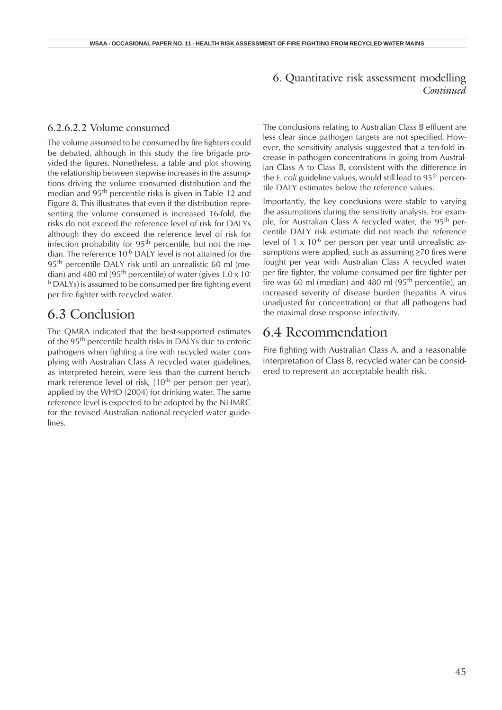#### 6.2.6.2.2 Volume consumed

The volume assumed to be consumed by fire fighters could be debated, although in this study the fire brigade provided the figures. Nonetheless, a table and plot showing the relationship between stepwise increases in the assumptions driving the volume consumed distribution and the median and 95th percentile risks is given in Table 12 and Figure 8. This illustrates that even if the distribution representing the volume consumed is increased 16-fold, the risks do not exceed the reference level of risk for DALYs although they do exceed the reference level of risk for infection probability for  $95<sup>th</sup>$  percentile, but not the median. The reference 10<sup>-6</sup> DALY level is not attained for the 95th percentile DALY risk until an unrealistic 60 ml (median) and 480 ml (95<sup>th</sup> percentile) of water (gives  $1.0 \times 10^{-7}$  $6$  DALYs) is assumed to be consumed per fire fighting event per fire fighter with recycled water.

## 6.3 Conclusion

The QMRA indicated that the best-supported estimates of the 95<sup>th</sup> percentile health risks in DALYs due to enteric pathogens when fighting a fire with recycled water complying with Australian Class A recycled water guidelines, as interpreted herein, were less than the current benchmark reference level of risk, (10<sup>-6</sup> per person per year), applied by the WHO (2004) for drinking water. The same reference level is expected to be adopted by the NHMRC for the revised Australian national recycled water guidelines.

The conclusions relating to Australian Class B effluent are less clear since pathogen targets are not specified. However, the sensitivity analysis suggested that a ten-fold increase in pathogen concentrations in going from Australian Class A to Class B, consistent with the difference in the *E. coli* guideline values, would still lead to 95th percentile DALY estimates below the reference values.

Importantly, the key conclusions were stable to varying the assumptions during the sensitivity analysis. For example, for Australian Class A recycled water, the 95<sup>th</sup> percentile DALY risk estimate did not reach the reference level of  $1 \times 10^{-6}$  per person per year until unrealistic assumptions were applied, such as assuming  $\geq$ 70 fires were fought per year with Australian Class A recycled water per fire fighter, the volume consumed per fire fighter per fire was 60 ml (median) and 480 ml  $(95<sup>th</sup>$  percentile), an increased severity of disease burden (hepatitis A virus unadjusted for concentration) or that all pathogens had the maximal dose response infectivity.

## 6.4 Recommendation

Fire fighting with Australian Class A, and a reasonable interpretation of Class B, recycled water can be considered to represent an acceptable health risk.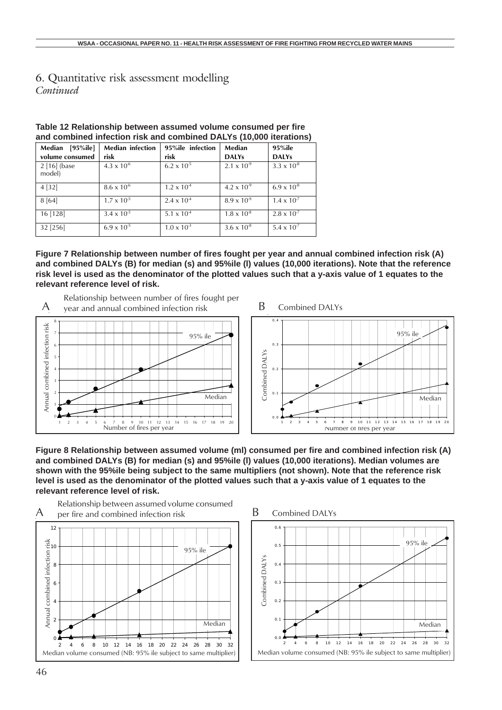| Median [95%ile]        | <b>Median infection</b> | 95%ile infection              | Median               | 95%ile               |
|------------------------|-------------------------|-------------------------------|----------------------|----------------------|
| volume consumed        | risk                    | risk                          | <b>DALYs</b>         | <b>DALYs</b>         |
| 2 [16] (base<br>model) | $4.3 \times 10^{-6}$    | $6.2 \times 10^{-5}$          | $2.1 \times 10^{-9}$ | $3.3 \times 10^{-8}$ |
| 4 [32]                 | $8.6 \times 10^{-6}$    | $1.2 \times 10^{-4}$          | $4.2 \times 10^{-9}$ | $6.9 \times 10^{-8}$ |
| 8[64]                  | $1.7 \times 10^{-5}$    | $2.4 \times 10^{-4}$          | $8.9 \times 10^{-9}$ | $1.4 \times 10^{-7}$ |
| 16 [128]               | $3.4 \times 10^{-5}$    | 5.1 $\times$ 10 <sup>-4</sup> | $1.8 \times 10^{-8}$ | $2.8 \times 10^{-7}$ |
| 32 [256]               | $6.9 \times 10^{-5}$    | $1.0 \times 10^{-3}$          | $3.6 \times 10^{8}$  | $5.4 \times 10^{-7}$ |

| Table 12 Relationship between assumed volume consumed per fire     |  |
|--------------------------------------------------------------------|--|
| and combined infection risk and combined DALYs (10,000 iterations) |  |

**Figure 7 Relationship between number of fires fought per year and annual combined infection risk (A) and combined DALYs (B) for median (s) and 95%ile (l) values (10,000 iterations). Note that the reference risk level is used as the denominator of the plotted values such that a y-axis value of 1 equates to the relevant reference level of risk.**

Relationship between number of fires fought per year and annual combined infection risk







**Figure 8 Relationship between assumed volume (ml) consumed per fire and combined infection risk (A) and combined DALYs (B) for median (s) and 95%ile (l) values (10,000 iterations). Median volumes are shown with the 95%ile being subject to the same multipliers (not shown). Note that the reference risk level is used as the denominator of the plotted values such that a y-axis value of 1 equates to the relevant reference level of risk.**





A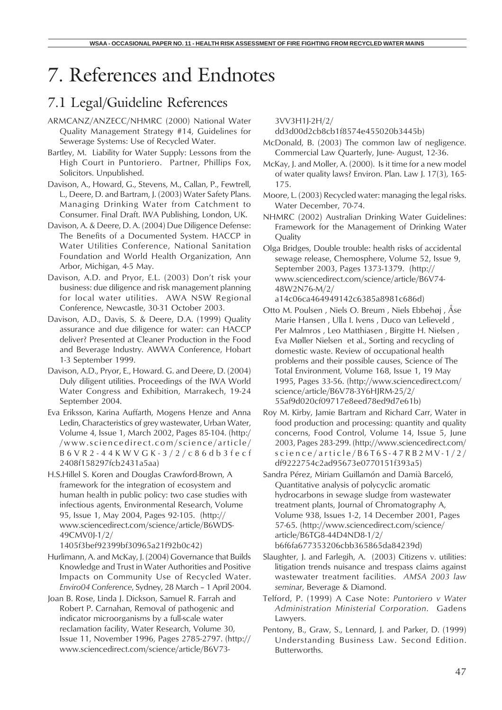# 7. References and Endnotes

# 7.1 Legal/Guideline References

- ARMCANZ/ANZECC/NHMRC (2000) National Water Quality Management Strategy #14, Guidelines for Sewerage Systems: Use of Recycled Water.
- Bartley, M. Liability for Water Supply: Lessons from the High Court in Puntoriero. Partner, Phillips Fox, Solicitors. Unpublished.
- Davison, A., Howard, G., Stevens, M., Callan, P., Fewtrell, L., Deere, D. and Bartram, J. (2003) Water Safety Plans. Managing Drinking Water from Catchment to Consumer. Final Draft. IWA Publishing, London, UK.
- Davison, A. & Deere, D. A. (2004) Due Diligence Defense: The Benefits of a Documented System. HACCP in Water Utilities Conference, National Sanitation Foundation and World Health Organization, Ann Arbor, Michigan, 4-5 May.
- Davison, A.D. and Pryor, E.L. (2003) Don't risk your business: due diligence and risk management planning for local water utilities. AWA NSW Regional Conference, Newcastle, 30-31 October 2003.
- Davison, A.D., Davis, S. & Deere, D.A. (1999) Quality assurance and due diligence for water: can HACCP deliver? Presented at Cleaner Production in the Food and Beverage Industry. AWWA Conference, Hobart 1-3 September 1999.
- Davison, A.D., Pryor, E., Howard. G. and Deere, D. (2004) Duly diligent utilities. Proceedings of the IWA World Water Congress and Exhibition, Marrakech, 19-24 September 2004.
- Eva Eriksson, Karina Auffarth, Mogens Henze and Anna Ledin, Characteristics of grey wastewater, Urban Water, Volume 4, Issue 1, March 2002, Pages 85-104. (http:/ /www.sciencedirect.com/science/article/ B6VR2-44KWVGK-3/2/c86db3fecf 2408f158297fcb2431a5aa)
- H.S.Hillel S. Koren and Douglas Crawford-Brown, A framework for the integration of ecosystem and human health in public policy: two case studies with infectious agents, Environmental Research, Volume 95, Issue 1, May 2004, Pages 92-105. (http:// www.sciencedirect.com/science/article/B6WDS-49CMV0J-1/2/ 1405f3bef92399bf30965a21f92b0c42)
- Hurlimann, A. and McKay, J. (2004) Governance that Builds Knowledge and Trust in Water Authorities and Positive Impacts on Community Use of Recycled Water. *Enviro04 Conference*, Sydney, 28 March – 1 April 2004.
- Joan B. Rose, Linda J. Dickson, Samuel R. Farrah and Robert P. Carnahan, Removal of pathogenic and indicator microorganisms by a full-scale water reclamation facility, Water Research, Volume 30, Issue 11, November 1996, Pages 2785-2797. (http:// www.sciencedirect.com/science/article/B6V73-

3VV3H1J-2H/2/

- dd3d00d2cb8cb1f8574e455020b3445b)
- McDonald, B. (2003) The common law of negligence. Commercial Law Quarterly, June- August, 12-36.
- McKay, J. and Moller, A. (2000). Is it time for a new model of water quality laws? Environ. Plan. Law J. 17(3), 165- 175.
- Moore, L. (2003) Recycled water: managing the legal risks. Water December, 70-74.
- NHMRC (2002) Australian Drinking Water Guidelines: Framework for the Management of Drinking Water **Quality**
- Olga Bridges, Double trouble: health risks of accidental sewage release, Chemosphere, Volume 52, Issue 9, September 2003, Pages 1373-1379. (http:// www.sciencedirect.com/science/article/B6V74- 48W2N76-M/2/

a14c06ca464949142c6385a8981c686d)

- Otto M. Poulsen , Niels O. Breum , Niels Ebbehøj , Åse Marie Hansen , Ulla I. Ivens , Duco van Lelieveld , Per Malmros , Leo Matthiasen , Birgitte H. Nielsen , Eva Møller Nielsen et al., Sorting and recycling of domestic waste. Review of occupational health problems and their possible causes, Science of The Total Environment, Volume 168, Issue 1, 19 May 1995, Pages 33-56. (http://www.sciencedirect.com/ science/article/B6V78-3Y6HJRM-25/2/ 55af9d020cf09717e8eed78ed9d7e61b)
- Roy M. Kirby, Jamie Bartram and Richard Carr, Water in food production and processing: quantity and quality concerns, Food Control, Volume 14, Issue 5, June 2003, Pages 283-299. (http://www.sciencedirect.com/ science/article/B6T6S-47RB2MV-1/2/ df9222754c2ad95673e0770151f393a5)
- Sandra Pérez, Miriam Guillamón and Damià Barceló, Quantitative analysis of polycyclic aromatic hydrocarbons in sewage sludge from wastewater treatment plants, Journal of Chromatography A, Volume 938, Issues 1-2, 14 December 2001, Pages 57-65. (http://www.sciencedirect.com/science/ article/B6TG8-44D4ND8-1/2/ b6f6fa677353206cbb365865da84239d)
- Slaughter, J. and Farlegih, A. (2003) Citizens v. utilities: litigation trends nuisance and trespass claims against wastewater treatment facilities. *AMSA 2003 law seminar*, Beverage & Diamond.
- Telford, P. (1999) A Case Note: *Puntoriero v Water Administration Ministerial Corporation*. Gadens Lawyers.
- Pentony, B., Graw, S., Lennard, J. and Parker, D. (1999) Understanding Business Law. Second Edition. Butterworths.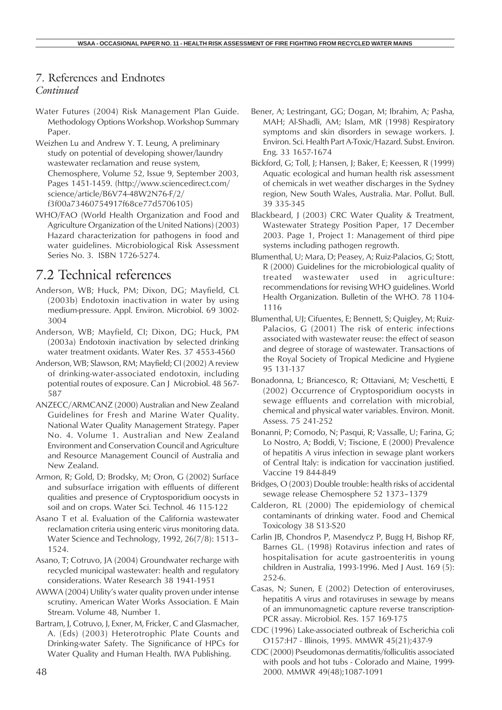#### 7. References and Endnotes *Continued*

- Water Futures (2004) Risk Management Plan Guide. Methodology Options Workshop. Workshop Summary Paper.
- Weizhen Lu and Andrew Y. T. Leung, A preliminary study on potential of developing shower/laundry wastewater reclamation and reuse system, Chemosphere, Volume 52, Issue 9, September 2003, Pages 1451-1459. (http://www.sciencedirect.com/ science/article/B6V74-48W2N76-F/2/ f3f00a73460754917f68ce77d5706105)
- WHO/FAO (World Health Organization and Food and Agriculture Organization of the United Nations) (2003) Hazard characterization for pathogens in food and water guidelines. Microbiological Risk Assessment Series No. 3. ISBN 1726-5274.

# 7.2 Technical references

- Anderson, WB; Huck, PM; Dixon, DG; Mayfield, CL (2003b) Endotoxin inactivation in water by using medium-pressure. Appl. Environ. Microbiol. 69 3002- 3004
- Anderson, WB; Mayfield, CI; Dixon, DG; Huck, PM (2003a) Endotoxin inactivation by selected drinking water treatment oxidants. Water Res. 37 4553-4560
- Anderson, WB; Slawson, RM; Mayfield; CI (2002) A review of drinking-water-associated endotoxin, including potential routes of exposure. Can J Microbiol. 48 567- 587
- ANZECC/ARMCANZ (2000) Australian and New Zealand Guidelines for Fresh and Marine Water Quality. National Water Quality Management Strategy. Paper No. 4. Volume 1. Australian and New Zealand Environment and Conservation Council and Agriculture and Resource Management Council of Australia and New Zealand.
- Armon, R; Gold, D; Brodsky, M; Oron, G (2002) Surface and subsurface irrigation with effluents of different qualities and presence of Cryptosporidium oocysts in soil and on crops. Water Sci. Technol. 46 115-122
- Asano T et al. Evaluation of the California wastewater reclamation criteria using enteric virus monitoring data. Water Science and Technology, 1992, 26(7/8): 1513– 1524.
- Asano, T; Cotruvo, JA (2004) Groundwater recharge with recycled municipal wastewater: health and regulatory considerations. Water Research 38 1941-1951
- AWWA (2004) Utility's water quality proven under intense scrutiny. American Water Works Association. E Main Stream. Volume 48, Number 1.
- Bartram, J, Cotruvo, J, Exner, M, Fricker, C and Glasmacher, A. (Eds) (2003) Heterotrophic Plate Counts and Drinking-water Safety. The Significance of HPCs for Water Quality and Human Health. IWA Publishing.
- Bener, A; Lestringant, GG; Dogan, M; Ibrahim, A; Pasha, MAH; Al-Shadli, AM; Islam, MR (1998) Respiratory symptoms and skin disorders in sewage workers. J. Environ. Sci. Health Part A-Toxic/Hazard. Subst. Environ. Eng. 33 1657-1674
- Bickford, G; Toll, J; Hansen, J; Baker, E; Keessen, R (1999) Aquatic ecological and human health risk assessment of chemicals in wet weather discharges in the Sydney region, New South Wales, Australia. Mar. Pollut. Bull. 39 335-345
- Blackbeard, J (2003) CRC Water Quality & Treatment, Wastewater Strategy Position Paper, 17 December 2003. Page 1, Project 1: Management of third pipe systems including pathogen regrowth.
- Blumenthal, U; Mara, D; Peasey, A; Ruiz-Palacios, G; Stott, R (2000) Guidelines for the microbiological quality of treated wastewater used in agriculture: recommendations for revising WHO guidelines. World Health Organization. Bulletin of the WHO. 78 1104- 1116
- Blumenthal, UJ; Cifuentes, E; Bennett, S; Quigley, M; Ruiz-Palacios, G (2001) The risk of enteric infections associated with wastewater reuse: the effect of season and degree of storage of wastewater. Transactions of the Royal Society of Tropical Medicine and Hygiene 95 131-137
- Bonadonna, L; Briancesco, R; Ottaviani, M; Veschetti, E (2002) Occurrence of Cryptosporidium oocysts in sewage effluents and correlation with microbial, chemical and physical water variables. Environ. Monit. Assess. 75 241-252
- Bonanni, P; Comodo, N; Pasqui, R; Vassalle, U; Farina, G; Lo Nostro, A; Boddi, V; Tiscione, E (2000) Prevalence of hepatitis A virus infection in sewage plant workers of Central Italy: is indication for vaccination justified. Vaccine 19 844-849
- Bridges, O (2003) Double trouble: health risks of accidental sewage release Chemosphere 52 1373–1379
- Calderon, RL (2000) The epidemiology of chemical contaminants of drinking water. Food and Chemical Toxicology 38 S13-S20
- Carlin JB, Chondros P, Masendycz P, Bugg H, Bishop RF, Barnes GL. (1998) Rotavirus infection and rates of hospitalisation for acute gastroenteritis in young children in Australia, 1993-1996. Med J Aust. 169 (5): 252-6.
- Casas, N; Sunen, E (2002) Detection of enteroviruses, hepatitis A virus and rotaviruses in sewage by means of an immunomagnetic capture reverse transcription-PCR assay. Microbiol. Res. 157 169-175
- CDC (1996) Lake-associated outbreak of Escherichia coli O157:H7 - Illinois, 1995. MMWR 45(21);437-9
- CDC (2000) Pseudomonas dermatitis/folliculitis associated with pools and hot tubs - Colorado and Maine, 1999- 2000. MMWR 49(48);1087-1091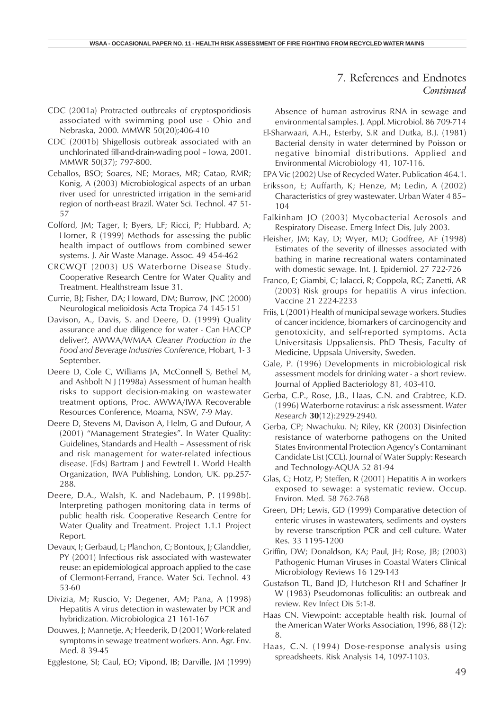#### 7. References and Endnotes *Continued*

- CDC (2001a) Protracted outbreaks of cryptosporidiosis associated with swimming pool use - Ohio and Nebraska, 2000. MMWR 50(20);406-410
- CDC (2001b) Shigellosis outbreak associated with an unchlorinated fill-and-drain-wading pool – Iowa, 2001. MMWR 50(37); 797-800.
- Ceballos, BSO; Soares, NE; Moraes, MR; Catao, RMR; Konig, A (2003) Microbiological aspects of an urban river used for unrestricted irrigation in the semi-arid region of north-east Brazil. Water Sci. Technol. 47 51- 57
- Colford, JM; Tager, I; Byers, LF; Ricci, P; Hubbard, A; Horner, R (1999) Methods for assessing the public health impact of outflows from combined sewer systems. J. Air Waste Manage. Assoc. 49 454-462
- CRCWQT (2003) US Waterborne Disease Study. Cooperative Research Centre for Water Quality and Treatment. Healthstream Issue 31.
- Currie, BJ; Fisher, DA; Howard, DM; Burrow, JNC (2000) Neurological melioidosis Acta Tropica 74 145-151
- Davison, A., Davis, S. and Deere, D. (1999) Quality assurance and due diligence for water - Can HACCP deliver?, AWWA/WMAA *Cleaner Production in the Food and Beverage Industries Conference*, Hobart, 1- 3 September.
- Deere D, Cole C, Williams JA, McConnell S, Bethel M, and Ashbolt N J (1998a) Assessment of human health risks to support decision-making on wastewater treatment options, Proc. AWWA/IWA Recoverable Resources Conference, Moama, NSW, 7-9 May.
- Deere D, Stevens M, Davison A, Helm, G and Dufour, A (2001) "Management Strategies". In Water Quality: Guidelines, Standards and Health – Assessment of risk and risk management for water-related infectious disease. (Eds) Bartram J and Fewtrell L. World Health Organization, IWA Publishing, London, UK. pp.257- 288.
- Deere, D.A., Walsh, K. and Nadebaum, P. (1998b). Interpreting pathogen monitoring data in terms of public health risk. Cooperative Research Centre for Water Quality and Treatment. Project 1.1.1 Project Report.
- Devaux, I; Gerbaud, L; Planchon, C; Bontoux, J; Glanddier, PY (2001) Infectious risk associated with wastewater reuse: an epidemiological approach applied to the case of Clermont-Ferrand, France. Water Sci. Technol. 43 53-60
- Divizia, M; Ruscio, V; Degener, AM; Pana, A (1998) Hepatitis A virus detection in wastewater by PCR and hybridization. Microbiologica 21 161-167
- Douwes, J; Mannetje, A; Heederik, D (2001) Work-related symptoms in sewage treatment workers. Ann. Agr. Env. Med. 8 39-45

Egglestone, SI; Caul, EO; Vipond, IB; Darville, JM (1999)

Absence of human astrovirus RNA in sewage and environmental samples. J. Appl. Microbiol. 86 709-714

- El-Sharwaari, A.H., Esterby, S.R and Dutka, B.J. (1981) Bacterial density in water determined by Poisson or negative binomial distributions. Applied and Environmental Microbiology 41, 107-116.
- EPA Vic (2002) Use of Recycled Water. Publication 464.1.
- Eriksson, E; Auffarth, K; Henze, M; Ledin, A (2002) Characteristics of grey wastewater. Urban Water 4 85– 104
- Falkinham JO (2003) Mycobacterial Aerosols and Respiratory Disease. Emerg Infect Dis, July 2003.
- Fleisher, JM; Kay, D; Wyer, MD; Godfree, AF (1998) Estimates of the severity of illnesses associated with bathing in marine recreational waters contaminated with domestic sewage. Int. J. Epidemiol. 27 722-726
- Franco, E; Giambi, C; Ialacci, R; Coppola, RC; Zanetti, AR (2003) Risk groups for hepatitis A virus infection. Vaccine 21 2224-2233
- Friis, L (2001) Health of municipal sewage workers. Studies of cancer incidence, biomarkers of carcinogencity and genotoxicity, and self-reported symptoms. Acta Universitasis Uppsaliensis. PhD Thesis, Faculty of Medicine, Uppsala University, Sweden.
- Gale, P. (1996) Developments in microbiological risk assessment models for drinking water - a short review. Journal of Applied Bacteriology 81, 403-410.
- Gerba, C.P., Rose, J.B., Haas, C.N. and Crabtree, K.D. (1996) Waterborne rotavirus: a risk assessment. *Water Research* **30**(12):2929-2940.
- Gerba, CP; Nwachuku. N; Riley, KR (2003) Disinfection resistance of waterborne pathogens on the United States Environmental Protection Agency's Contaminant Candidate List (CCL). Journal of Water Supply: Research and Technology-AQUA 52 81-94
- Glas, C; Hotz, P; Steffen, R (2001) Hepatitis A in workers exposed to sewage: a systematic review. Occup. Environ. Med. 58 762-768
- Green, DH; Lewis, GD (1999) Comparative detection of enteric viruses in wastewaters, sediments and oysters by reverse transcription PCR and cell culture. Water Res. 33 1195-1200
- Griffin, DW; Donaldson, KA; Paul, JH; Rose, JB; (2003) Pathogenic Human Viruses in Coastal Waters Clinical Microbiology Reviews 16 129-143
- Gustafson TL, Band JD, Hutcheson RH and Schaffner Jr W (1983) Pseudomonas folliculitis: an outbreak and review. Rev Infect Dis 5:1-8.
- Haas CN. Viewpoint: acceptable health risk. Journal of the American Water Works Association, 1996, 88 (12): 8.
- Haas, C.N. (1994) Dose-response analysis using spreadsheets. Risk Analysis 14, 1097-1103.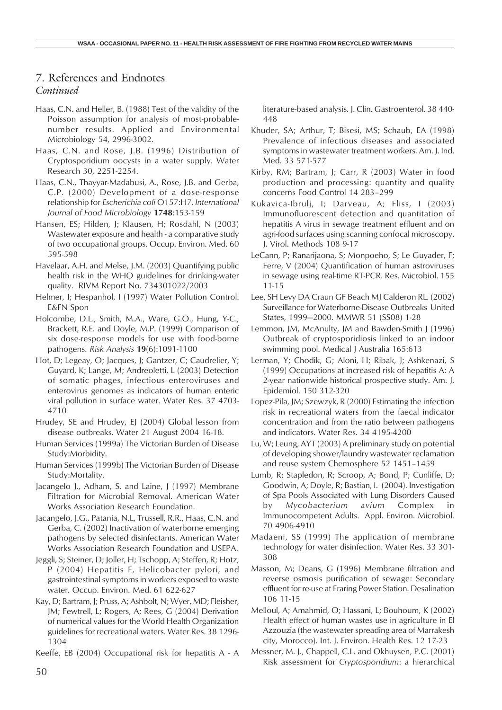# 7. References and Endnotes

#### *Continued*

- Haas, C.N. and Heller, B. (1988) Test of the validity of the Poisson assumption for analysis of most-probablenumber results. Applied and Environmental Microbiology 54, 2996-3002.
- Haas, C.N. and Rose, J.B. (1996) Distribution of Cryptosporidium oocysts in a water supply. Water Research 30, 2251-2254.
- Haas, C.N., Thayyar-Madabusi, A., Rose, J.B. and Gerba, C.P. (2000) Development of a dose-response relationship for *Escherichia coli* O157:H7. *International Journal of Food Microbiology* **1748**:153-159
- Hansen, ES; Hilden, J; Klausen, H; Rosdahl, N (2003) Wastewater exposure and health - a comparative study of two occupational groups. Occup. Environ. Med. 60 595-598
- Havelaar, A.H. and Melse, J.M. (2003) Quantifying public health risk in the WHO guidelines for drinking-water quality. RIVM Report No. 734301022/2003
- Helmer, I; Hespanhol, I (1997) Water Pollution Control. E&FN Spon
- Holcombe, D.L., Smith, M.A., Ware, G.O., Hung, Y-C., Brackett, R.E. and Doyle, M.P. (1999) Comparison of six dose-response models for use with food-borne pathogens. *Risk Analysis* **19**(6):1091-1100
- Hot, D; Legeay, O; Jacques, J; Gantzer, C; Caudrelier, Y; Guyard, K; Lange, M; Andreoletti, L (2003) Detection of somatic phages, infectious enteroviruses and enterovirus genomes as indicators of human enteric viral pollution in surface water. Water Res. 37 4703- 4710
- Hrudey, SE and Hrudey, EJ (2004) Global lesson from disease outbreaks. Water 21 August 2004 16-18.
- Human Services (1999a) The Victorian Burden of Disease Study:Morbidity.
- Human Services (1999b) The Victorian Burden of Disease Study:Mortality.
- Jacangelo J., Adham, S. and Laine, J (1997) Membrane Filtration for Microbial Removal. American Water Works Association Research Foundation.
- Jacangelo, J.G., Patania, N.L, Trussell, R.R., Haas, C.N. and Gerba, C. (2002) Inactivation of waterborne emerging pathogens by selected disinfectants. American Water Works Association Research Foundation and USEPA.
- Jeggli, S; Steiner, D; Joller, H; Tschopp, A; Steffen, R; Hotz, P (2004) Hepatitis E, Helicobacter pylori, and gastrointestinal symptoms in workers exposed to waste water. Occup. Environ. Med. 61 622-627
- Kay, D; Bartram, J; Pruss, A; Ashbolt, N; Wyer, MD; Fleisher, JM; Fewtrell, L; Rogers, A; Rees, G (2004) Derivation of numerical values for the World Health Organization guidelines for recreational waters. Water Res. 38 1296- 1304
- Keeffe, EB (2004) Occupational risk for hepatitis A A

literature-based analysis. J. Clin. Gastroenterol. 38 440- 448

- Khuder, SA; Arthur, T; Bisesi, MS; Schaub, EA (1998) Prevalence of infectious diseases and associated symptoms in wastewater treatment workers. Am. J. Ind. Med. 33 571-577
- Kirby, RM; Bartram, J; Carr, R (2003) Water in food production and processing: quantity and quality concerns Food Control 14 283–299
- Kukavica-Ibrulj, I; Darveau, A; Fliss, I (2003) Immunofluorescent detection and quantitation of hepatitis A virus in sewage treatment effluent and on agri-food surfaces using scanning confocal microscopy. J. Virol. Methods 108 9-17
- LeCann, P; Ranarijaona, S; Monpoeho, S; Le Guyader, F; Ferre, V (2004) Quantification of human astroviruses in sewage using real-time RT-PCR. Res. Microbiol. 155 11-15
- Lee, SH Levy DA Craun GF Beach MJ Calderon RL. (2002) Surveillance for Waterborne-Disease Outbreaks United States, 1999—2000. MMWR 51 (SS08) 1-28
- Lemmon, JM, McAnulty, JM and Bawden-Smith J (1996) Outbreak of cryptosporidiosis linked to an indoor swimming pool. Medical J Australia 165:613
- Lerman, Y; Chodik, G; Aloni, H; Ribak, J; Ashkenazi, S (1999) Occupations at increased risk of hepatitis A: A 2-year nationwide historical prospective study. Am. J. Epidemiol. 150 312-320
- Lopez-Pila, JM; Szewzyk, R (2000) Estimating the infection risk in recreational waters from the faecal indicator concentration and from the ratio between pathogens and indicators. Water Res. 34 4195-4200
- Lu, W; Leung, AYT (2003) A preliminary study on potential of developing shower/laundry wastewater reclamation and reuse system Chemosphere 52 1451–1459
- Lumb, R; Stapledon, R; Scroop, A; Bond, P; Cunliffe, D; Goodwin, A; Doyle, R; Bastian, I. (2004). Investigation of Spa Pools Associated with Lung Disorders Caused by *Mycobacterium avium* Complex in Immunocompetent Adults. Appl. Environ. Microbiol. 70 4906-4910
- Madaeni, SS (1999) The application of membrane technology for water disinfection. Water Res. 33 301- 308
- Masson, M; Deans, G (1996) Membrane filtration and reverse osmosis purification of sewage: Secondary effluent for re-use at Eraring Power Station. Desalination 106 11-15
- Melloul, A; Amahmid, O; Hassani, L; Bouhoum, K (2002) Health effect of human wastes use in agriculture in El Azzouzia (the wastewater spreading area of Marrakesh city, Morocco). Int. J. Environ. Health Res. 12 17-23
- Messner, M. J., Chappell, C.L. and Okhuysen, P.C. (2001) Risk assessment for *Cryptosporidium*: a hierarchical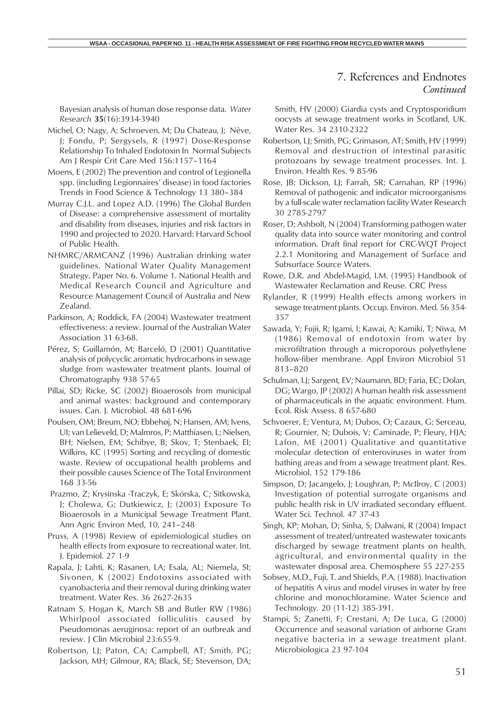Bayesian analysis of human dose response data. *Water Research* **35**(16):3934-3940

- Michel, O; Nagy, A; Schroeven, M; Du Chateau, J; Nève, J; Fondu, P; Sergysels, R (1997) Dose-Response Relationship To Inhaled Endotoxin In Normal Subjects Am J Respir Crit Care Med 156:1157–1164
- Moens, E (2002) The prevention and control of Legionella spp. (including Legionnaires' disease) in food factories Trends in Food Science & Technology 13 380–384
- Murray C.J.L. and Lopez A.D. (1996) The Global Burden of Disease: a comprehensive assessment of mortality and disability from diseases, injuries and risk factors in 1990 and projected to 2020. Harvard: Harvard School of Public Health.
- NHMRC/ARMCANZ (1996) Australian drinking water guidelines. National Water Quality Management Strategy. Paper No. 6. Volume 1. National Health and Medical Research Council and Agriculture and Resource Management Council of Australia and New Zealand.
- Parkinson, A; Roddick, FA (2004) Wastewater treatment effectiveness: a review. Journal of the Australian Water Association 31 63-68.
- Pérez, S; Guillamón, M; Barceló, D (2001) Quantitative analysis of polycyclic aromatic hydrocarbons in sewage sludge from wastewater treatment plants. Journal of Chromatography 938 57-65
- Pillai, SD; Ricke, SC (2002) Bioaerosols from municipal and animal wastes: background and contemporary issues. Can. J. Microbiol. 48 681-696
- Poulsen, OM; Breum, NO; Ebbehøj, N; Hansen, AM; Ivens, UI; van Lelieveld, D; Malmros, P; Matthiasen, L; Nielsen, BH; Nielsen, EM; Schibye, B; Skov, T; Stenbaek, EI; Wilkins, KC (1995) Sorting and recycling of domestic waste. Review of occupational health problems and their possible causes Science of The Total Environment 168 33-56
- Prazmo, Z; Krysinska -Traczyk, E; Skórska, C; Sitkowska, J; Cholewa, G; Dutkiewicz, J; (2003) Exposure To Bioaerosols in a Municipal Sewage Treatment Plant. Ann Agric Environ Med, 10, 241–248
- Pruss, A (1998) Review of epidemiological studies on health effects from exposure to recreational water. Int. J. Epidemiol. 27 1-9
- Rapala, J; Lahti, K; Rasanen, LA; Esala, AL; Niemela, SI; Sivonen, K (2002) Endotoxins associated with cyanobacteria and their removal during drinking water treatment. Water Res. 36 2627-2635
- Ratnam S, Hogan K, March SB and Butler RW (1986) Whirlpool associated folliculitis caused by Pseudomonas aeruginosa: report of an outbreak and review. J Clin Microbiol 23:655-9.
- Robertson, LJ; Paton, CA; Campbell, AT; Smith, PG; Jackson, MH; Gilmour, RA; Black, SE; Stevenson, DA;

7. References and Endnotes *Continued*

Smith, HV (2000) Giardia cysts and Cryptosporidium oocysts at sewage treatment works in Scotland, UK. Water Res. 34 2310-2322

- Robertson, LJ; Smith, PG; Grimason, AT; Smith, HV (1999) Removal and destruction of intestinal parasitic protozoans by sewage treatment processes. Int. J. Environ. Health Res. 9 85-96
- Rose, JB; Dickson, LJ; Farrah, SR; Carnahan, RP (1996) Removal of pathogenic and indicator microorganisms by a full-scale water reclamation facility Water Research 30 2785-2797
- Roser, D; Ashbolt, N (2004) Transforming pathogen water quality data into source water monitoring and control information. Draft final report for CRC-WQT Project 2.2.1 Monitoring and Management of Surface and Subsurface Source Waters.
- Rowe, D.R. and Abdel-Magid, I.M. (1995) Handbook of Wastewater Reclamation and Reuse. CRC Press
- Rylander, R (1999) Health effects among workers in sewage treatment plants. Occup. Environ. Med. 56 354- 357
- Sawada, Y; Fujii, R; Igami, I; Kawai, A; Kamiki, T; Niwa, M (1986) Removal of endotoxin from water by microfiltration through a microporous polyethylene hollow-fiber membrane. Appl Environ Microbiol 51 813–820
- Schulman, LJ; Sargent, EV; Naumann, BD; Faria, EC; Dolan, DG; Wargo, JP (2002) A human health risk assessment of pharmaceuticals in the aquatic environment. Hum. Ecol. Risk Assess. 8 657-680
- Schvoerer, E; Ventura, M; Dubos, O; Cazaux, G; Serceau, R; Gournier, N; Dubois, V; Caminade, P; Fleury, HJA; Lafon, ME (2001) Qualitative and quantitative molecular detection of enteroviruses in water from bathing areas and from a sewage treatment plant. Res. Microbiol. 152 179-186
- Simpson, D; Jacangelo, J; Loughran, P; McIlroy, C (2003) Investigation of potential surrogate organisms and public health risk in UV irradiated secondary effluent. Water Sci. Technol. 47 37-43
- Singh, KP; Mohan, D; Sinha, S; Dalwani, R (2004) Impact assessment of treated/untreated wastewater toxicants discharged by sewage treatment plants on health, agricultural, and environmental quality in the wastewater disposal area. Chemosphere 55 227-255
- Sobsey, M.D., Fuji, T. and Shields, P.A. (1988). Inactivation of hepatitis A virus and model viruses in water by free chlorine and monochloramine. Water Science and Technology. 20 (11-12) 385-391.
- Stampi, S; Zanetti, F; Crestani, A; De Luca, G (2000) Occurrence and seasonal variation of airborne Gram negative bacteria in a sewage treatment plant. Microbiologica 23 97-104